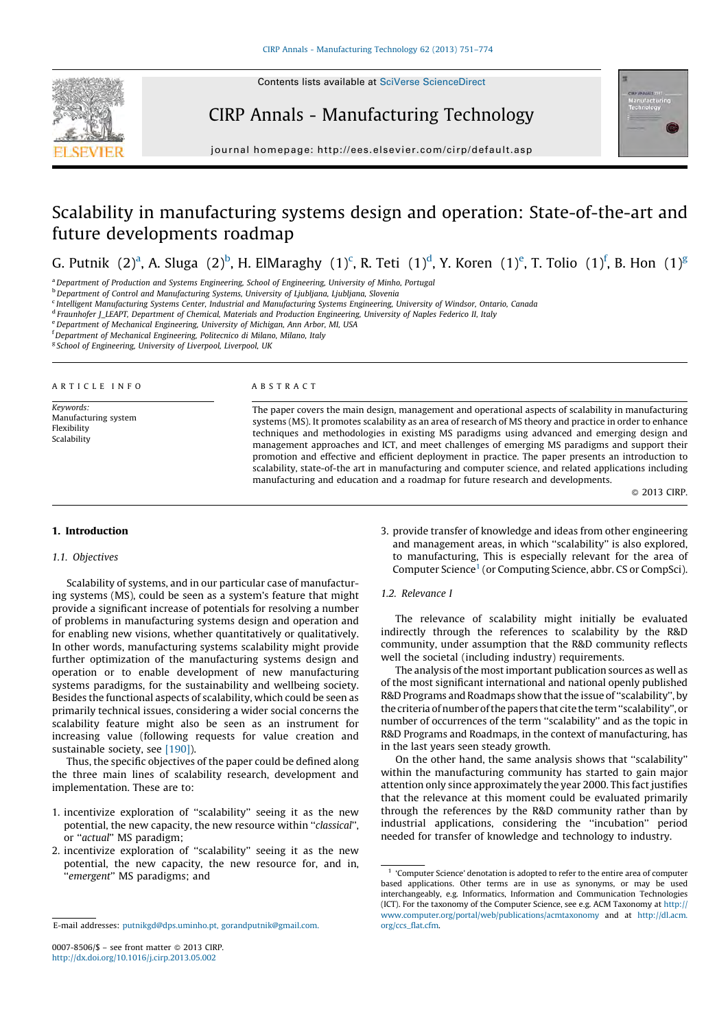

Contents lists available at [SciVerse ScienceDirect](http://www.sciencedirect.com/science/journal/00078506)

CIRP Annals - Manufacturing Technology



journal homepage: http://ees.elsevier.com/cirp/default.asp

# Scalability in manufacturing systems design and operation: State-of-the-art and future developments roadmap

G. Putnik  $(2)^a$ , A. Sluga  $(2)^b$ , H. ElMaraghy  $(1)^c$ , R. Teti  $(1)^d$ , Y. Koren  $(1)^e$ , T. Tolio  $(1)^f$ , B. Hon  $(1)^g$ 

<sup>a</sup> Department of Production and Systems Engineering, School of Engineering, University of Minho, Portugal

**b** Department of Control and Manufacturing Systems, University of Ljubljana, Ljubljana, Slovenia

<sup>c</sup> Intelligent Manufacturing Systems Center, Industrial and Manufacturing Systems Engineering, University of Windsor, Ontario, Canada

<sup>d</sup> Fraunhofer J\_LEAPT, Department of Chemical, Materials and Production Engineering, University of Naples Federico II, Italy

e Department of Mechanical Engineering, University of Michigan, Ann Arbor, MI, USA

f Department of Mechanical Engineering, Politecnico di Milano, Milano, Italy

<sup>g</sup> School of Engineering, University of Liverpool, Liverpool, UK

ARTICLE INFO

Keywords: Manufacturing system Flexibility **Scalability** 

## ABSTRACT

The paper covers the main design, management and operational aspects of scalability in manufacturing systems (MS). It promotes scalability as an area of research of MS theory and practice in order to enhance techniques and methodologies in existing MS paradigms using advanced and emerging design and management approaches and ICT, and meet challenges of emerging MS paradigms and support their promotion and effective and efficient deployment in practice. The paper presents an introduction to scalability, state-of-the art in manufacturing and computer science, and related applications including manufacturing and education and a roadmap for future research and developments.

© 2013 CIRP.

## 1. Introduction

## 1.1. Objectives

Scalability of systems, and in our particular case of manufacturing systems (MS), could be seen as a system's feature that might provide a significant increase of potentials for resolving a number of problems in manufacturing systems design and operation and for enabling new visions, whether quantitatively or qualitatively. In other words, manufacturing systems scalability might provide further optimization of the manufacturing systems design and operation or to enable development of new manufacturing systems paradigms, for the sustainability and wellbeing society. Besides the functional aspects of scalability, which could be seen as primarily technical issues, considering a wider social concerns the scalability feature might also be seen as an instrument for increasing value (following requests for value creation and sustainable society, see [\[190\]\)](#page-23-0).

Thus, the specific objectives of the paper could be defined along the three main lines of scalability research, development and implementation. These are to:

- 1. incentivize exploration of ''scalability'' seeing it as the new potential, the new capacity, the new resource within ''classical'', or ''actual'' MS paradigm;
- 2. incentivize exploration of ''scalability'' seeing it as the new potential, the new capacity, the new resource for, and in, "emergent" MS paradigms; and

3. provide transfer of knowledge and ideas from other engineering and management areas, in which ''scalability'' is also explored, to manufacturing, This is especially relevant for the area of Computer Science<sup>1</sup> (or Computing Science, abbr. CS or CompSci).

## 1.2. Relevance I

The relevance of scalability might initially be evaluated indirectly through the references to scalability by the R&D community, under assumption that the R&D community reflects well the societal (including industry) requirements.

The analysis of the most important publication sources as well as of the most significant international and national openly published R&D Programs and Roadmaps show that the issue of ''scalability'', by the criteria of number of the papers that cite the term ''scalability'', or number of occurrences of the term ''scalability'' and as the topic in R&D Programs and Roadmaps, in the context of manufacturing, has in the last years seen steady growth.

On the other hand, the same analysis shows that ''scalability'' within the manufacturing community has started to gain major attention only since approximately the year 2000. This fact justifies that the relevance at this moment could be evaluated primarily through the references by the R&D community rather than by industrial applications, considering the ''incubation'' period needed for transfer of knowledge and technology to industry.

E-mail addresses: [putnikgd@dps.uminho.pt, gorandputnik@gmail.com.](mailto:gorandputnik@gmail.com)

<sup>&</sup>lt;sup>1</sup> 'Computer Science' denotation is adopted to refer to the entire area of computer based applications. Other terms are in use as synonyms, or may be used interchangeably, e.g. Informatics, Information and Communication Technologies (ICT). For the taxonomy of the Computer Science, see e.g. ACM Taxonomy at [http://](http://www.computer.org/portal/web/publications/acmtaxonomy) [www.computer.org/portal/web/publications/acmtaxonomy](http://www.computer.org/portal/web/publications/acmtaxonomy) and at [http://dl.acm.](http://dl.acm.org/ccs_flat.cfm) [org/ccs\\_flat.cfm.](http://dl.acm.org/ccs_flat.cfm)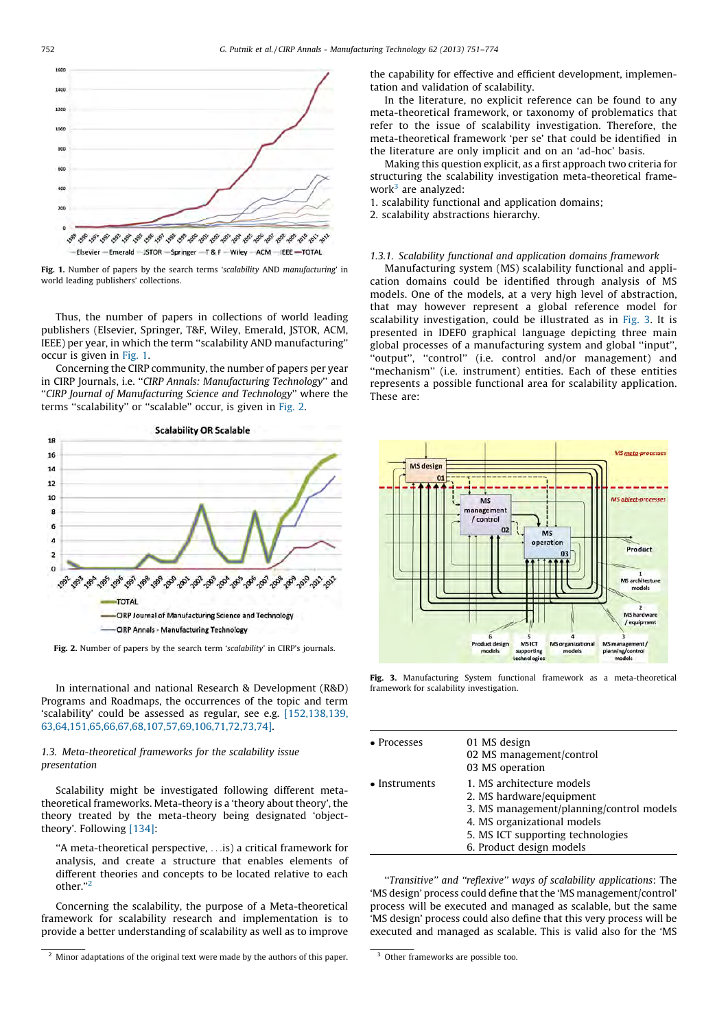

Fig. 1. Number of papers by the search terms 'scalability AND manufacturing' in world leading publishers' collections.

Thus, the number of papers in collections of world leading publishers (Elsevier, Springer, T&F, Wiley, Emerald, JSTOR, ACM, IEEE) per year, in which the term ''scalability AND manufacturing'' occur is given in Fig. 1.

Concerning the CIRP community, the number of papers per year in CIRP Journals, i.e. ''CIRP Annals: Manufacturing Technology'' and ''CIRP Journal of Manufacturing Science and Technology'' where the terms ''scalability'' or ''scalable'' occur, is given in Fig. 2.



Fig. 2. Number of papers by the search term 'scalability' in CIRP's journals.

In international and national Research & Development (R&D) Programs and Roadmaps, the occurrences of the topic and term 'scalability' could be assessed as regular, see e.g. [\[152,138,139,](#page-22-0) [63,64,151,65,66,67,68,107,57,69,106,71,72,73,74\]](#page-22-0).

## 1.3. Meta-theoretical frameworks for the scalability issue presentation

Scalability might be investigated following different metatheoretical frameworks. Meta-theory is a 'theory about theory', the theory treated by the meta-theory being designated 'objecttheory'. Following [\[134\]](#page-22-0):

''A meta-theoretical perspective, ...is) a critical framework for analysis, and create a structure that enables elements of different theories and concepts to be located relative to each other.''<sup>2</sup>

Concerning the scalability, the purpose of a Meta-theoretical framework for scalability research and implementation is to provide a better understanding of scalability as well as to improve

the capability for effective and efficient development, implementation and validation of scalability.

In the literature, no explicit reference can be found to any meta-theoretical framework, or taxonomy of problematics that refer to the issue of scalability investigation. Therefore, the meta-theoretical framework 'per se' that could be identified in the literature are only implicit and on an 'ad-hoc' basis.

Making this question explicit, as a first approach two criteria for structuring the scalability investigation meta-theoretical framework $3$  are analyzed:

1. scalability functional and application domains;

2. scalability abstractions hierarchy.

#### 1.3.1. Scalability functional and application domains framework

Manufacturing system (MS) scalability functional and application domains could be identified through analysis of MS models. One of the models, at a very high level of abstraction, that may however represent a global reference model for scalability investigation, could be illustrated as in Fig. 3. It is presented in IDEF0 graphical language depicting three main global processes of a manufacturing system and global ''input'', "output", "control" (i.e. control and/or management) and ''mechanism'' (i.e. instrument) entities. Each of these entities represents a possible functional area for scalability application. These are:



Fig. 3. Manufacturing System functional framework as a meta-theoretical framework for scalability investigation.

| • Processes           | 01 MS design<br>02 MS management/control<br>03 MS operation                                                                                                                                       |
|-----------------------|---------------------------------------------------------------------------------------------------------------------------------------------------------------------------------------------------|
| $\bullet$ Instruments | 1. MS architecture models<br>2. MS hardware/equipment<br>3. MS management/planning/control models<br>4. MS organizational models<br>5. MS ICT supporting technologies<br>6. Product design models |

''Transitive'' and ''reflexive'' ways of scalability applications: The 'MS design' process could define that the 'MS management/control' process will be executed and managed as scalable, but the same 'MS design' process could also define that this very process will be executed and managed as scalable. This is valid also for the 'MS

<span id="page-1-0"></span>

 $2$  Minor adaptations of the original text were made by the authors of this paper.  $3$  Other frameworks are possible too.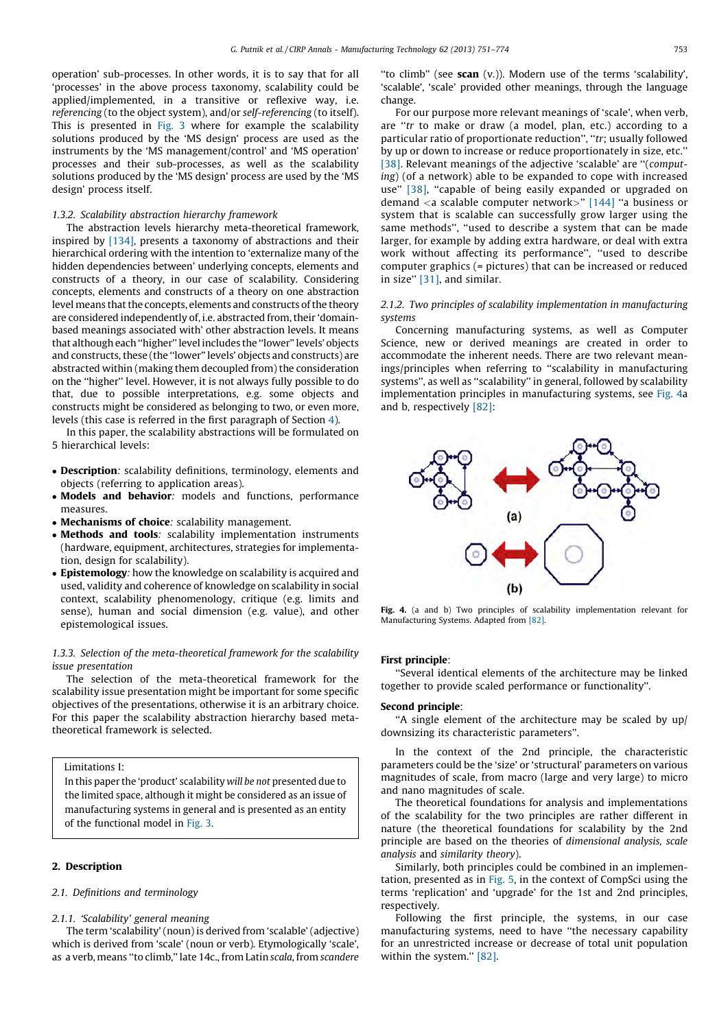operation' sub-processes. In other words, it is to say that for all 'processes' in the above process taxonomy, scalability could be applied/implemented, in a transitive or reflexive way, i.e. referencing (to the object system), and/or self-referencing (to itself). This is presented in [Fig. 3](#page-1-0) where for example the scalability solutions produced by the 'MS design' process are used as the instruments by the 'MS management/control' and 'MS operation' processes and their sub-processes, as well as the scalability solutions produced by the 'MS design' process are used by the 'MS design' process itself.

## 1.3.2. Scalability abstraction hierarchy framework

The abstraction levels hierarchy meta-theoretical framework, inspired by [\[134\]](#page-22-0), presents a taxonomy of abstractions and their hierarchical ordering with the intention to 'externalize many of the hidden dependencies between' underlying concepts, elements and constructs of a theory, in our case of scalability. Considering concepts, elements and constructs of a theory on one abstraction level means that the concepts, elements and constructs of the theory are considered independently of, i.e. abstracted from, their 'domainbased meanings associated with' other abstraction levels. It means that although each ''higher'' level includes the ''lower'' levels' objects and constructs, these (the ''lower'' levels' objects and constructs) are abstracted within (making them decoupled from) the consideration on the ''higher'' level. However, it is not always fully possible to do that, due to possible interpretations, e.g. some objects and constructs might be considered as belonging to two, or even more, levels (this case is referred in the first paragraph of Section [4](#page-10-0)).

In this paper, the scalability abstractions will be formulated on 5 hierarchical levels:

- Description: scalability definitions, terminology, elements and objects (referring to application areas).
- Models and behavior: models and functions, performance measures.
- Mechanisms of choice: scalability management.
- Methods and tools: scalability implementation instruments (hardware, equipment, architectures, strategies for implementation, design for scalability).
- Epistemology: how the knowledge on scalability is acquired and used, validity and coherence of knowledge on scalability in social context, scalability phenomenology, critique (e.g. limits and sense), human and social dimension (e.g. value), and other epistemological issues.

# 1.3.3. Selection of the meta-theoretical framework for the scalability issue presentation

The selection of the meta-theoretical framework for the scalability issue presentation might be important for some specific objectives of the presentations, otherwise it is an arbitrary choice. For this paper the scalability abstraction hierarchy based metatheoretical framework is selected.

## Limitations I:

In this paper the 'product' scalability will be not presented due to the limited space, although it might be considered as an issue of manufacturing systems in general and is presented as an entity of the functional model in [Fig. 3.](#page-1-0)

## 2. Description

# 2.1. Definitions and terminology

## 2.1.1. 'Scalability' general meaning

The term 'scalability' (noun) is derived from 'scalable' (adjective) which is derived from 'scale' (noun or verb). Etymologically 'scale', as a verb, means ''to climb,'' late 14c., from Latin scala, from scandere "to climb" (see scan (v.)). Modern use of the terms 'scalability', 'scalable', 'scale' provided other meanings, through the language change.

For our purpose more relevant meanings of 'scale', when verb, are "tr to make or draw (a model, plan, etc.) according to a particular ratio of proportionate reduction", "tr; usually followed by up or down to increase or reduce proportionately in size, etc.'' [\[38\].](#page-20-0) Relevant meanings of the adjective 'scalable' are "(computing) (of a network) able to be expanded to cope with increased use" [\[38\]](#page-20-0), "capable of being easily expanded or upgraded on demand  $\langle a \rangle$  scalable computer network $>$ " [\[144\]](#page-22-0) "a business or system that is scalable can successfully grow larger using the same methods'', ''used to describe a system that can be made larger, for example by adding extra hardware, or deal with extra work without affecting its performance'', ''used to describe computer graphics (= pictures) that can be increased or reduced in size'' [\[31\]](#page-20-0), and similar.

## 2.1.2. Two principles of scalability implementation in manufacturing systems

Concerning manufacturing systems, as well as Computer Science, new or derived meanings are created in order to accommodate the inherent needs. There are two relevant meanings/principles when referring to ''scalability in manufacturing systems'', as well as ''scalability'' in general, followed by scalability implementation principles in manufacturing systems, see Fig. 4a and b, respectively [\[82\]](#page-21-0):



Fig. 4. (a and b) Two principles of scalability implementation relevant for Manufacturing Systems. Adapted from [\[82\]](#page-21-0).

#### First principle:

''Several identical elements of the architecture may be linked together to provide scaled performance or functionality''.

#### Second principle:

''A single element of the architecture may be scaled by up/ downsizing its characteristic parameters''.

In the context of the 2nd principle, the characteristic parameters could be the 'size' or 'structural' parameters on various magnitudes of scale, from macro (large and very large) to micro and nano magnitudes of scale.

The theoretical foundations for analysis and implementations of the scalability for the two principles are rather different in nature (the theoretical foundations for scalability by the 2nd principle are based on the theories of dimensional analysis, scale analysis and similarity theory).

Similarly, both principles could be combined in an implementation, presented as in [Fig. 5](#page-3-0), in the context of CompSci using the terms 'replication' and 'upgrade' for the 1st and 2nd principles, respectively.

Following the first principle, the systems, in our case manufacturing systems, need to have ''the necessary capability for an unrestricted increase or decrease of total unit population within the system." [\[82\].](#page-21-0)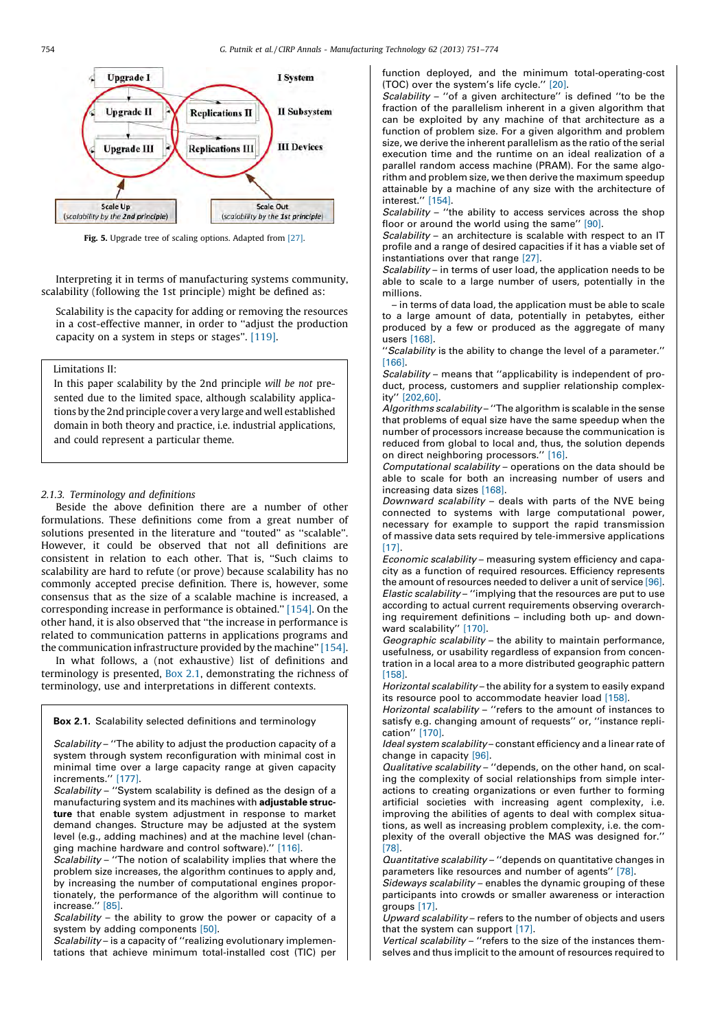<span id="page-3-0"></span>

Fig. 5. Upgrade tree of scaling options. Adapted from [\[27\].](#page-20-0)

Interpreting it in terms of manufacturing systems community, scalability (following the 1st principle) might be defined as:

Scalability is the capacity for adding or removing the resources in a cost-effective manner, in order to ''adjust the production capacity on a system in steps or stages''. [\[119\].](#page-22-0)

## Limitations II:

In this paper scalability by the 2nd principle will be not presented due to the limited space, although scalability applications by the 2nd principle cover a very large and well established domain in both theory and practice, i.e. industrial applications, and could represent a particular theme.

# 2.1.3. Terminology and definitions

Beside the above definition there are a number of other formulations. These definitions come from a great number of solutions presented in the literature and ''touted'' as ''scalable''. However, it could be observed that not all definitions are consistent in relation to each other. That is, ''Such claims to scalability are hard to refute (or prove) because scalability has no commonly accepted precise definition. There is, however, some consensus that as the size of a scalable machine is increased, a corresponding increase in performance is obtained.'' [\[154\]](#page-22-0). On the other hand, it is also observed that ''the increase in performance is related to communication patterns in applications programs and the communication infrastructure provided by the machine'' [\[154\].](#page-22-0)

In what follows, a (not exhaustive) list of definitions and terminology is presented, Box 2.1, demonstrating the richness of terminology, use and interpretations in different contexts.

#### Box 2.1. Scalability selected definitions and terminology

Scalability – "The ability to adjust the production capacity of a system through system reconfiguration with minimal cost in minimal time over a large capacity range at given capacity increments.'' [\[177\]](#page-23-0).

Scalability – "System scalability is defined as the design of a manufacturing system and its machines with adjustable structure that enable system adjustment in response to market demand changes. Structure may be adjusted at the system level (e.g., adding machines) and at the machine level (changing machine hardware and control software).'' [\[116\].](#page-22-0)

Scalability – ''The notion of scalability implies that where the problem size increases, the algorithm continues to apply and, by increasing the number of computational engines proportionately, the performance of the algorithm will continue to increase.'' [\[85\]](#page-21-0).

Scalability – the ability to grow the power or capacity of a system by adding components [\[50\].](#page-21-0)

Scalability – is a capacity of ''realizing evolutionary implementations that achieve minimum total-installed cost (TIC) per function deployed, and the minimum total-operating-cost (TOC) over the system's life cycle.'' [\[20\]](#page-20-0).

Scalability – ''of a given architecture'' is defined ''to be the fraction of the parallelism inherent in a given algorithm that can be exploited by any machine of that architecture as a function of problem size. For a given algorithm and problem size, we derive the inherent parallelism as the ratio of the serial execution time and the runtime on an ideal realization of a parallel random access machine (PRAM). For the same algorithm and problem size, we then derive the maximum speedup attainable by a machine of any size with the architecture of interest.'' [\[154\].](#page-22-0)

Scalability – "the ability to access services across the shop floor or around the world using the same" [\[90\].](#page-21-0)

Scalability - an architecture is scalable with respect to an IT profile and a range of desired capacities if it has a viable set of instantiations over that range [\[27\]](#page-20-0).

Scalability – in terms of user load, the application needs to be able to scale to a large number of users, potentially in the millions.

– in terms of data load, the application must be able to scale to a large amount of data, potentially in petabytes, either produced by a few or produced as the aggregate of many users [\[168\]](#page-22-0).

"Scalability is the ability to change the level of a parameter." [\[166\]](#page-22-0).

Scalability – means that ''applicability is independent of product, process, customers and supplier relationship complexity'' [\[202,60\].](#page-23-0)

Algorithms scalability – ''The algorithm is scalable in the sense that problems of equal size have the same speedup when the number of processors increase because the communication is reduced from global to local and, thus, the solution depends on direct neighboring processors.'' [\[16\]](#page-20-0).

Computational scalability – operations on the data should be able to scale for both an increasing number of users and increasing data sizes [\[168\]](#page-22-0).

Downward scalability – deals with parts of the NVE being connected to systems with large computational power, necessary for example to support the rapid transmission of massive data sets required by tele-immersive applications  $[17]$ .

Economic scalability – measuring system efficiency and capacity as a function of required resources. Efficiency represents the amount of resources needed to deliver a unit of service [\[96\].](#page-21-0) Elastic scalability – ''implying that the resources are put to use according to actual current requirements observing overarching requirement definitions – including both up- and down-ward scalability" [\[170\]](#page-23-0).

Geographic scalability – the ability to maintain performance, usefulness, or usability regardless of expansion from concentration in a local area to a more distributed geographic pattern [\[158\]](#page-22-0).

Horizontal scalability – the ability for a system to easily expand its resource pool to accommodate heavier load [\[158\]](#page-22-0).

Horizontal scalability – ''refers to the amount of instances to satisfy e.g. changing amount of requests'' or, ''instance replication'' [\[170\]](#page-23-0).

Ideal system scalability – constant efficiency and a linear rate of change in capacity [\[96\]](#page-21-0).

Qualitative scalability – ''depends, on the other hand, on scaling the complexity of social relationships from simple interactions to creating organizations or even further to forming artificial societies with increasing agent complexity, i.e. improving the abilities of agents to deal with complex situations, as well as increasing problem complexity, i.e. the complexity of the overall objective the MAS was designed for.'' [\[78\].](#page-21-0)

Quantitative scalability – ''depends on quantitative changes in parameters like resources and number of agents'' [\[78\]](#page-21-0).

Sideways scalability – enables the dynamic grouping of these participants into crowds or smaller awareness or interaction groups [\[17\].](#page-20-0)

Upward scalability – refers to the number of objects and users that the system can support [\[17\].](#page-20-0)

Vertical scalability – ''refers to the size of the instances themselves and thus implicit to the amount of resources required to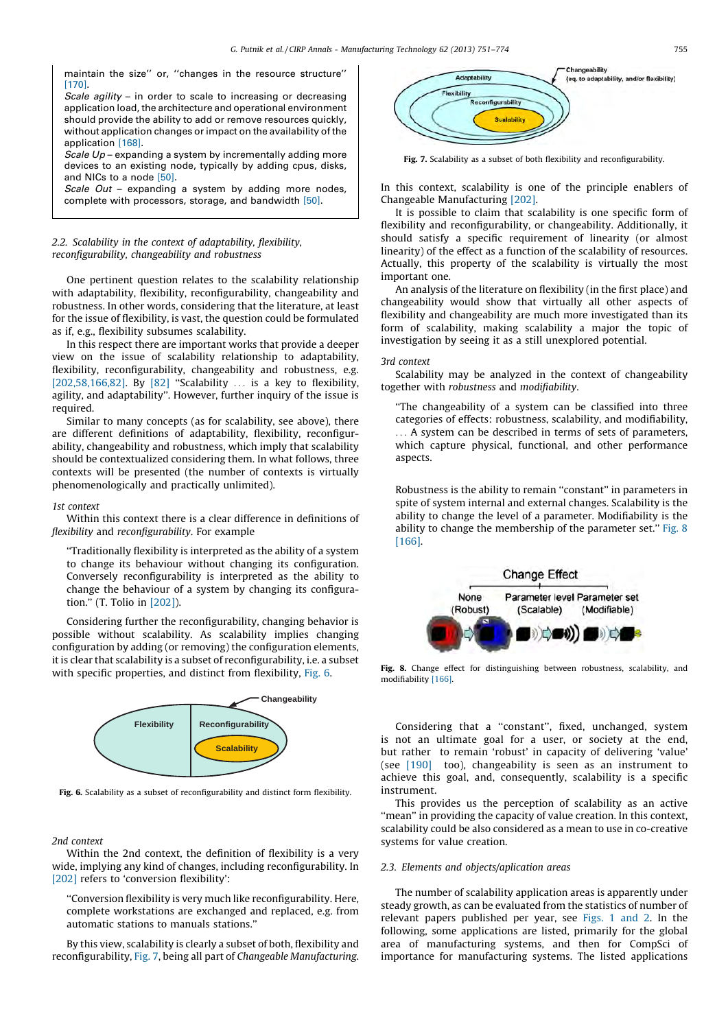maintain the size'' or, ''changes in the resource structure'' [\[170\].](#page-23-0)

Scale agility - in order to scale to increasing or decreasing application load, the architecture and operational environment should provide the ability to add or remove resources quickly, without application changes or impact on the availability of the application [\[168\]](#page-22-0).

Scale  $Up$  – expanding a system by incrementally adding more devices to an existing node, typically by adding cpus, disks, and NICs to a node [\[50\].](#page-21-0)

Scale Out - expanding a system by adding more nodes, complete with processors, storage, and bandwidth [\[50\]](#page-21-0).

## 2.2. Scalability in the context of adaptability, flexibility, reconfigurability, changeability and robustness

One pertinent question relates to the scalability relationship with adaptability, flexibility, reconfigurability, changeability and robustness. In other words, considering that the literature, at least for the issue of flexibility, is vast, the question could be formulated as if, e.g., flexibility subsumes scalability.

In this respect there are important works that provide a deeper view on the issue of scalability relationship to adaptability, flexibility, reconfigurability, changeability and robustness, e.g. [\[202,58,166,82\]](#page-23-0). By [\[82\]](#page-21-0) "Scalability ... is a key to flexibility, agility, and adaptability''. However, further inquiry of the issue is required.

Similar to many concepts (as for scalability, see above), there are different definitions of adaptability, flexibility, reconfigurability, changeability and robustness, which imply that scalability should be contextualized considering them. In what follows, three contexts will be presented (the number of contexts is virtually phenomenologically and practically unlimited).

#### 1st context

Within this context there is a clear difference in definitions of flexibility and reconfigurability. For example

''Traditionally flexibility is interpreted as the ability of a system to change its behaviour without changing its configuration. Conversely reconfigurability is interpreted as the ability to change the behaviour of a system by changing its configuration.'' (T. Tolio in [\[202\]](#page-23-0)).

Considering further the reconfigurability, changing behavior is possible without scalability. As scalability implies changing configuration by adding (or removing) the configuration elements, it is clear that scalability is a subset of reconfigurability, i.e. a subset with specific properties, and distinct from flexibility, Fig. 6.



Fig. 6. Scalability as a subset of reconfigurability and distinct form flexibility.

2nd context

Within the 2nd context, the definition of flexibility is a very wide, implying any kind of changes, including reconfigurability. In [\[202\]](#page-23-0) refers to 'conversion flexibility':

''Conversion flexibility is very much like reconfigurability. Here, complete workstations are exchanged and replaced, e.g. from automatic stations to manuals stations.''

By this view, scalability is clearly a subset of both, flexibility and reconfigurability, Fig. 7, being all part of Changeable Manufacturing.



Fig. 7. Scalability as a subset of both flexibility and reconfigurability.

In this context, scalability is one of the principle enablers of Changeable Manufacturing [\[202\]](#page-23-0).

It is possible to claim that scalability is one specific form of flexibility and reconfigurability, or changeability. Additionally, it should satisfy a specific requirement of linearity (or almost linearity) of the effect as a function of the scalability of resources. Actually, this property of the scalability is virtually the most important one.

An analysis of the literature on flexibility (in the first place) and changeability would show that virtually all other aspects of flexibility and changeability are much more investigated than its form of scalability, making scalability a major the topic of investigation by seeing it as a still unexplored potential.

#### 3rd context

Scalability may be analyzed in the context of changeability together with robustness and modifiability.

''The changeability of a system can be classified into three categories of effects: robustness, scalability, and modifiability, ... A system can be described in terms of sets of parameters, which capture physical, functional, and other performance aspects.

Robustness is the ability to remain ''constant'' in parameters in spite of system internal and external changes. Scalability is the ability to change the level of a parameter. Modifiability is the ability to change the membership of the parameter set.'' Fig. 8 [\[166\]](#page-22-0).



Fig. 8. Change effect for distinguishing between robustness, scalability, and modifiability [\[166\].](#page-22-0)

Considering that a ''constant'', fixed, unchanged, system is not an ultimate goal for a user, or society at the end, but rather to remain 'robust' in capacity of delivering 'value' (see [\[190\]](#page-23-0) too), changeability is seen as an instrument to achieve this goal, and, consequently, scalability is a specific instrument.

This provides us the perception of scalability as an active ''mean'' in providing the capacity of value creation. In this context, scalability could be also considered as a mean to use in co-creative systems for value creation.

## 2.3. Elements and objects/aplication areas

The number of scalability application areas is apparently under steady growth, as can be evaluated from the statistics of number of relevant papers published per year, see [Figs. 1 and 2](#page-1-0). In the following, some applications are listed, primarily for the global area of manufacturing systems, and then for CompSci of importance for manufacturing systems. The listed applications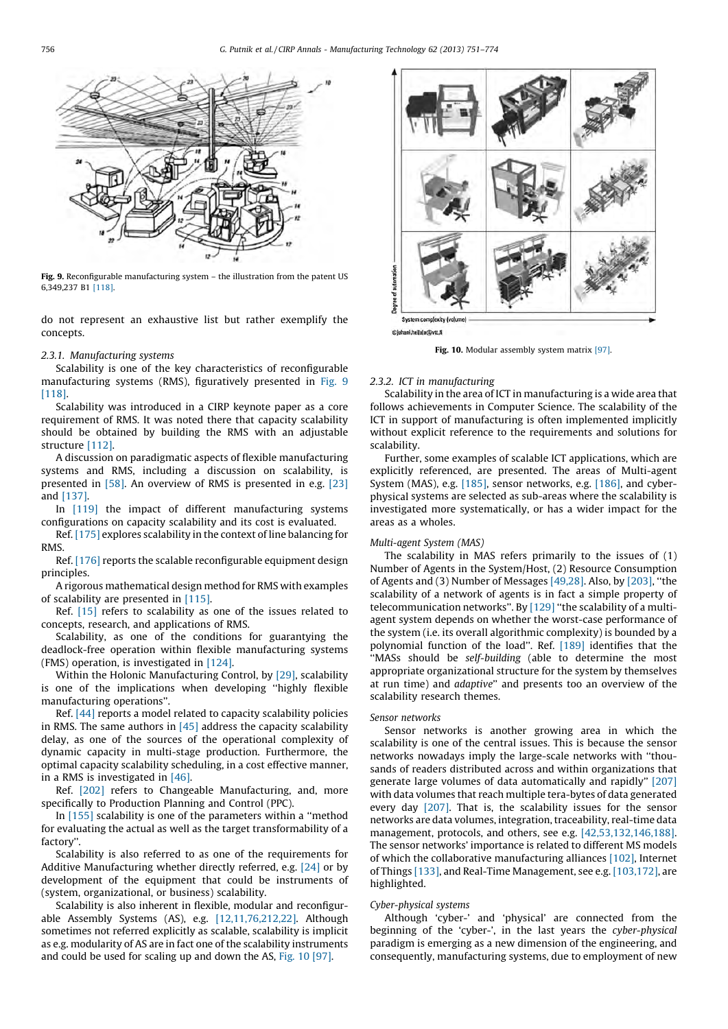<span id="page-5-0"></span>

Fig. 9. Reconfigurable manufacturing system – the illustration from the patent US 6,349,237 B1 [\[118\].](#page-22-0)

do not represent an exhaustive list but rather exemplify the concepts.

## 2.3.1. Manufacturing systems

Scalability is one of the key characteristics of reconfigurable manufacturing systems (RMS), figuratively presented in Fig. 9 [\[118\]](#page-22-0).

Scalability was introduced in a CIRP keynote paper as a core requirement of RMS. It was noted there that capacity scalability should be obtained by building the RMS with an adjustable structure [\[112\].](#page-22-0)

A discussion on paradigmatic aspects of flexible manufacturing systems and RMS, including a discussion on scalability, is presented in [\[58\].](#page-21-0) An overview of RMS is presented in e.g. [\[23\]](#page-20-0) and [\[137\]](#page-22-0).

In [\[119\]](#page-22-0) the impact of different manufacturing systems configurations on capacity scalability and its cost is evaluated.

Ref. [\[175\]](#page-23-0) explores scalability in the context of line balancing for RMS.

Ref. [\[176\]](#page-23-0) reports the scalable reconfigurable equipment design principles.

A rigorous mathematical design method for RMS with examples of scalability are presented in [\[115\].](#page-22-0)

Ref. [\[15\]](#page-20-0) refers to scalability as one of the issues related to concepts, research, and applications of RMS.

Scalability, as one of the conditions for guarantying the deadlock-free operation within flexible manufacturing systems (FMS) operation, is investigated in [\[124\].](#page-22-0)

Within the Holonic Manufacturing Control, by [\[29\],](#page-20-0) scalability is one of the implications when developing ''highly flexible manufacturing operations''.

Ref. [\[44\]](#page-21-0) reports a model related to capacity scalability policies in RMS. The same authors in  $[45]$  address the capacity scalability delay, as one of the sources of the operational complexity of dynamic capacity in multi-stage production. Furthermore, the optimal capacity scalability scheduling, in a cost effective manner, in a RMS is investigated in [\[46\]](#page-21-0).

Ref. [\[202\]](#page-23-0) refers to Changeable Manufacturing, and, more specifically to Production Planning and Control (PPC).

In [\[155\]](#page-22-0) scalability is one of the parameters within a ''method for evaluating the actual as well as the target transformability of a factory''.

Scalability is also referred to as one of the requirements for Additive Manufacturing whether directly referred, e.g. [\[24\]](#page-20-0) or by development of the equipment that could be instruments of (system, organizational, or business) scalability.

Scalability is also inherent in flexible, modular and reconfigurable Assembly Systems (AS), e.g. [\[12,11,76,212,22\]](#page-20-0). Although sometimes not referred explicitly as scalable, scalability is implicit as e.g. modularity of AS are in fact one of the scalability instruments and could be used for scaling up and down the AS, Fig. 10 [\[97\]](#page-21-0).



Fig. 10. Modular assembly system matrix [\[97\]](#page-21-0).

#### 2.3.2. ICT in manufacturing

Scalability in the area of ICT in manufacturing is a wide area that follows achievements in Computer Science. The scalability of the ICT in support of manufacturing is often implemented implicitly without explicit reference to the requirements and solutions for scalability.

Further, some examples of scalable ICT applications, which are explicitly referenced, are presented. The areas of Multi-agent System (MAS), e.g. [\[185\]](#page-23-0), sensor networks, e.g. [\[186\]](#page-23-0), and cyberphysical systems are selected as sub-areas where the scalability is investigated more systematically, or has a wider impact for the areas as a wholes.

## Multi-agent System (MAS)

The scalability in MAS refers primarily to the issues of (1) Number of Agents in the System/Host, (2) Resource Consumption of Agents and (3) Number of Messages [\[49,28\].](#page-21-0) Also, by [\[203\]](#page-23-0), ''the scalability of a network of agents is in fact a simple property of telecommunication networks''. By [\[129\]](#page-22-0) ''the scalability of a multiagent system depends on whether the worst-case performance of the system (i.e. its overall algorithmic complexity) is bounded by a polynomial function of the load''. Ref. [\[189\]](#page-23-0) identifies that the ''MASs should be self-building (able to determine the most appropriate organizational structure for the system by themselves at run time) and adaptive'' and presents too an overview of the scalability research themes.

## Sensor networks

Sensor networks is another growing area in which the scalability is one of the central issues. This is because the sensor networks nowadays imply the large-scale networks with ''thousands of readers distributed across and within organizations that generate large volumes of data automatically and rapidly'' [\[207\]](#page-23-0) with data volumes that reach multiple tera-bytes of data generated every day [\[207\]](#page-23-0). That is, the scalability issues for the sensor networks are data volumes, integration, traceability, real-time data management, protocols, and others, see e.g. [\[42,53,132,146,188\].](#page-21-0) The sensor networks' importance is related to different MS models of which the collaborative manufacturing alliances [\[102\],](#page-22-0) Internet of Things [\[133\]](#page-22-0), and Real-Time Management, see e.g. [\[103,172\]](#page-22-0), are highlighted.

## Cyber-physical systems

Although 'cyber-' and 'physical' are connected from the beginning of the 'cyber-', in the last years the cyber-physical paradigm is emerging as a new dimension of the engineering, and consequently, manufacturing systems, due to employment of new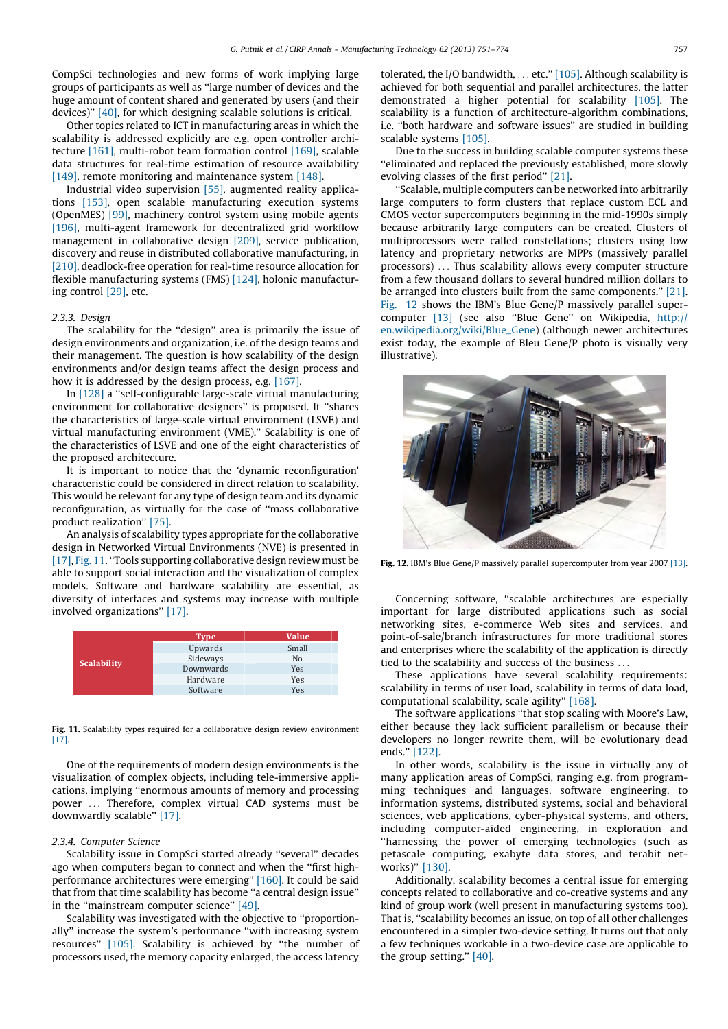CompSci technologies and new forms of work implying large groups of participants as well as ''large number of devices and the huge amount of content shared and generated by users (and their devices)'' [\[40\],](#page-20-0) for which designing scalable solutions is critical.

Other topics related to ICT in manufacturing areas in which the scalability is addressed explicitly are e.g. open controller architecture [\[161\],](#page-22-0) multi-robot team formation control [\[169\],](#page-23-0) scalable data structures for real-time estimation of resource availability [\[149\]](#page-22-0), remote monitoring and maintenance system [\[148\]](#page-22-0).

Industrial video supervision [\[55\],](#page-21-0) augmented reality applications [\[153\],](#page-22-0) open scalable manufacturing execution systems (OpenMES) [\[99\],](#page-21-0) machinery control system using mobile agents [\[196\]](#page-23-0), multi-agent framework for decentralized grid workflow management in collaborative design [\[209\],](#page-23-0) service publication, discovery and reuse in distributed collaborative manufacturing, in [\[210\],](#page-23-0) deadlock-free operation for real-time resource allocation for flexible manufacturing systems (FMS) [\[124\],](#page-22-0) holonic manufacturing control [\[29\],](#page-20-0) etc.

#### 2.3.3. Design

The scalability for the ''design'' area is primarily the issue of design environments and organization, i.e. of the design teams and their management. The question is how scalability of the design environments and/or design teams affect the design process and how it is addressed by the design process, e.g. [\[167\].](#page-22-0)

In [\[128\]](#page-22-0) a ''self-configurable large-scale virtual manufacturing environment for collaborative designers'' is proposed. It ''shares the characteristics of large-scale virtual environment (LSVE) and virtual manufacturing environment (VME).'' Scalability is one of the characteristics of LSVE and one of the eight characteristics of the proposed architecture.

It is important to notice that the 'dynamic reconfiguration' characteristic could be considered in direct relation to scalability. This would be relevant for any type of design team and its dynamic reconfiguration, as virtually for the case of ''mass collaborative product realization'' [\[75\]](#page-21-0).

An analysis of scalability types appropriate for the collaborative design in Networked Virtual Environments (NVE) is presented in [\[17\]](#page-20-0), Fig. 11. ''Tools supporting collaborative design review must be able to support social interaction and the visualization of complex models. Software and hardware scalability are essential, as diversity of interfaces and systems may increase with multiple involved organizations'' [\[17\]](#page-20-0).

|                    | Type      | <b>Value</b>   |  |  |
|--------------------|-----------|----------------|--|--|
| <b>Scalability</b> | Upwards   | Small          |  |  |
|                    | Sideways  | N <sub>o</sub> |  |  |
|                    | Downwards | Yes            |  |  |
|                    | Hardware  | Yes            |  |  |
|                    | Software  | Yes            |  |  |

Fig. 11. Scalability types required for a collaborative design review environment [\[17\]](#page-20-0).

One of the requirements of modern design environments is the visualization of complex objects, including tele-immersive applications, implying ''enormous amounts of memory and processing power ... Therefore, complex virtual CAD systems must be downwardly scalable'' [\[17\]](#page-20-0).

#### 2.3.4. Computer Science

Scalability issue in CompSci started already ''several'' decades ago when computers began to connect and when the "first highperformance architectures were emerging'' [\[160\]](#page-22-0). It could be said that from that time scalability has become ''a central design issue'' in the ''mainstream computer science'' [\[49\]](#page-21-0).

Scalability was investigated with the objective to ''proportionally'' increase the system's performance ''with increasing system resources'' [\[105\].](#page-22-0) Scalability is achieved by ''the number of processors used, the memory capacity enlarged, the access latency

tolerated, the I/O bandwidth, ... etc.'' [\[105\]](#page-22-0). Although scalability is achieved for both sequential and parallel architectures, the latter demonstrated a higher potential for scalability [\[105\].](#page-22-0) The scalability is a function of architecture-algorithm combinations, i.e. ''both hardware and software issues'' are studied in building scalable systems [\[105\].](#page-22-0)

Due to the success in building scalable computer systems these ''eliminated and replaced the previously established, more slowly evolving classes of the first period'' [\[21\]](#page-20-0).

''Scalable, multiple computers can be networked into arbitrarily large computers to form clusters that replace custom ECL and CMOS vector supercomputers beginning in the mid-1990s simply because arbitrarily large computers can be created. Clusters of multiprocessors were called constellations; clusters using low latency and proprietary networks are MPPs (massively parallel processors) ... Thus scalability allows every computer structure from a few thousand dollars to several hundred million dollars to be arranged into clusters built from the same components.'' [\[21\].](#page-20-0) Fig. 12 shows the IBM's Blue Gene/P massively parallel supercomputer [\[13\]](#page-20-0) (see also ''Blue Gene'' on Wikipedia, [http://](mailto:putnikgd@dps.uminho.pt) [en.wikipedia.org/wiki/Blue\\_Gene\)](mailto:putnikgd@dps.uminho.pt) (although newer architectures exist today, the example of Bleu Gene/P photo is visually very illustrative).



Fig. 12. IBM's Blue Gene/P massively parallel supercomputer from year 2007 [\[13\].](#page-20-0)

Concerning software, ''scalable architectures are especially important for large distributed applications such as social networking sites, e-commerce Web sites and services, and point-of-sale/branch infrastructures for more traditional stores and enterprises where the scalability of the application is directly tied to the scalability and success of the business ...

These applications have several scalability requirements: scalability in terms of user load, scalability in terms of data load, computational scalability, scale agility'' [\[168\]](#page-22-0).

The software applications ''that stop scaling with Moore's Law, either because they lack sufficient parallelism or because their developers no longer rewrite them, will be evolutionary dead ends.'' [\[122\].](#page-22-0)

In other words, scalability is the issue in virtually any of many application areas of CompSci, ranging e.g. from programming techniques and languages, software engineering, to information systems, distributed systems, social and behavioral sciences, web applications, cyber-physical systems, and others, including computer-aided engineering, in exploration and ''harnessing the power of emerging technologies (such as petascale computing, exabyte data stores, and terabit networks)'' [\[130\].](#page-22-0)

Additionally, scalability becomes a central issue for emerging concepts related to collaborative and co-creative systems and any kind of group work (well present in manufacturing systems too). That is, ''scalability becomes an issue, on top of all other challenges encountered in a simpler two-device setting. It turns out that only a few techniques workable in a two-device case are applicable to the group setting.'' [\[40\]](#page-20-0).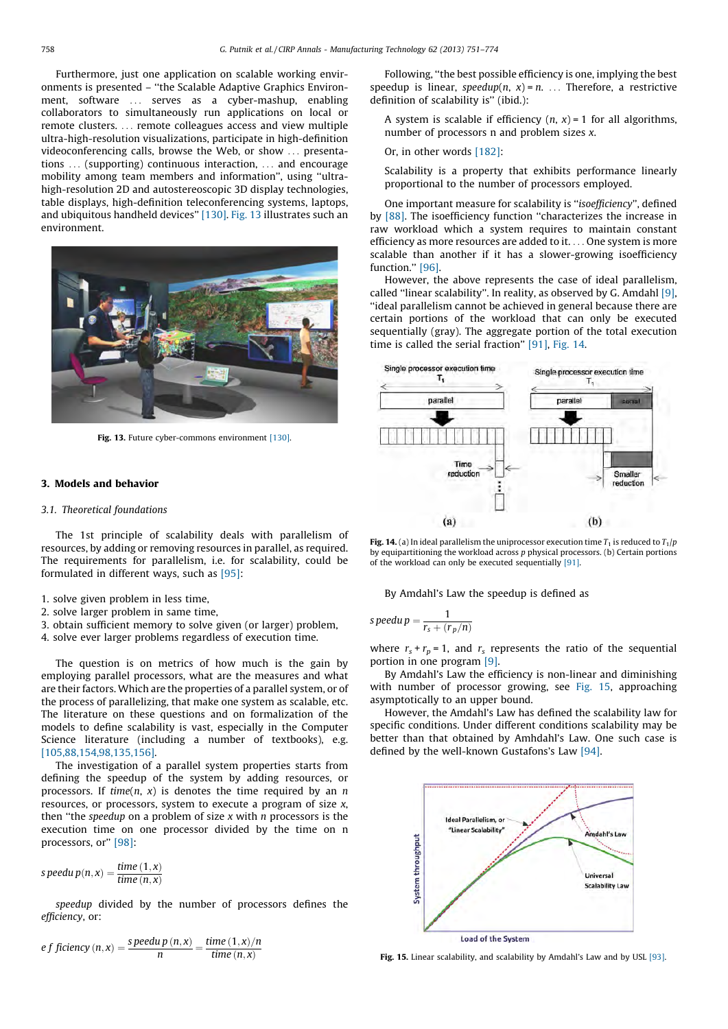<span id="page-7-0"></span>Furthermore, just one application on scalable working environments is presented – ''the Scalable Adaptive Graphics Environment, software ... serves as a cyber-mashup, enabling collaborators to simultaneously run applications on local or remote clusters. ... remote colleagues access and view multiple ultra-high-resolution visualizations, participate in high-definition videoconferencing calls, browse the Web, or show ... presentations ... (supporting) continuous interaction, ... and encourage mobility among team members and information'', using ''ultrahigh-resolution 2D and autostereoscopic 3D display technologies, table displays, high-definition teleconferencing systems, laptops, and ubiquitous handheld devices'' [\[130\]](#page-22-0). Fig. 13 illustrates such an environment.



Fig. 13. Future cyber-commons environment [\[130\].](#page-22-0)

## 3. Models and behavior

#### 3.1. Theoretical foundations

The 1st principle of scalability deals with parallelism of resources, by adding or removing resources in parallel, as required. The requirements for parallelism, i.e. for scalability, could be formulated in different ways, such as [\[95\]](#page-21-0):

- 1. solve given problem in less time,
- 2. solve larger problem in same time,
- 3. obtain sufficient memory to solve given (or larger) problem,
- 4. solve ever larger problems regardless of execution time.

The question is on metrics of how much is the gain by employing parallel processors, what are the measures and what are their factors. Which are the properties of a parallel system, or of the process of parallelizing, that make one system as scalable, etc. The literature on these questions and on formalization of the models to define scalability is vast, especially in the Computer Science literature (including a number of textbooks), e.g. [\[105,88,154,98,135,156\]](#page-22-0).

The investigation of a parallel system properties starts from defining the speedup of the system by adding resources, or processors. If  $time(n, x)$  is denotes the time required by an n resources, or processors, system to execute a program of size x, then "the *speedup* on a problem of size  $x$  with  $n$  processors is the execution time on one processor divided by the time on n processors, or" [\[98\]:](#page-21-0)

$$
s \text{ } pedu \text{ } p(n,x) = \frac{\text{time } (1,x)}{\text{time } (n,x)}
$$

speedup divided by the number of processors defines the efficiency, or:

*e f ficiency* 
$$
(n, x) = \frac{s \text{ speedu p } (n, x)}{n} = \frac{\text{time } (1, x)/n}{\text{time } (n, x)}
$$

Following, ''the best possible efficiency is one, implying the best speedup is linear, speedup(n,  $x$ ) = n. ... Therefore, a restrictive definition of scalability is'' (ibid.):

A system is scalable if efficiency  $(n, x) = 1$  for all algorithms, number of processors n and problem sizes x.

Or, in other words [\[182\]](#page-23-0):

Scalability is a property that exhibits performance linearly proportional to the number of processors employed.

One important measure for scalability is ''isoefficiency'', defined by [\[88\].](#page-21-0) The isoefficiency function ''characterizes the increase in raw workload which a system requires to maintain constant efficiency as more resources are added to it. ... One system is more scalable than another if it has a slower-growing isoefficiency function." [\[96\].](#page-21-0)

However, the above represents the case of ideal parallelism, called "linear scalability". In reality, as observed by G. Amdahl  $[9]$ , ''ideal parallelism cannot be achieved in general because there are certain portions of the workload that can only be executed sequentially (gray). The aggregate portion of the total execution time is called the serial fraction'' [\[91\],](#page-21-0) Fig. 14.



Fig. 14. (a) In ideal parallelism the uniprocessor execution time  $T_1$  is reduced to  $T_1/p$ by equipartitioning the workload across p physical processors. (b) Certain portions of the workload can only be executed sequentially [\[91\].](#page-21-0)

By Amdahl's Law the speedup is defined as

$$
s \, \text{peed} \, u \, p = \frac{1}{r_s + (r_p/n)}
$$

where  $r_s + r_p = 1$ , and  $r_s$  represents the ratio of the sequential portion in one program [\[9\]](#page-20-0).

By Amdahl's Law the efficiency is non-linear and diminishing with number of processor growing, see Fig. 15, approaching asymptotically to an upper bound.

However, the Amdahl's Law has defined the scalability law for specific conditions. Under different conditions scalability may be better than that obtained by Amhdahl's Law. One such case is defined by the well-known Gustafons's Law [\[94\].](#page-21-0)



**Load of the System** 

Fig. 15. Linear scalability, and scalability by Amdahl's Law and by USL [\[93\].](#page-21-0)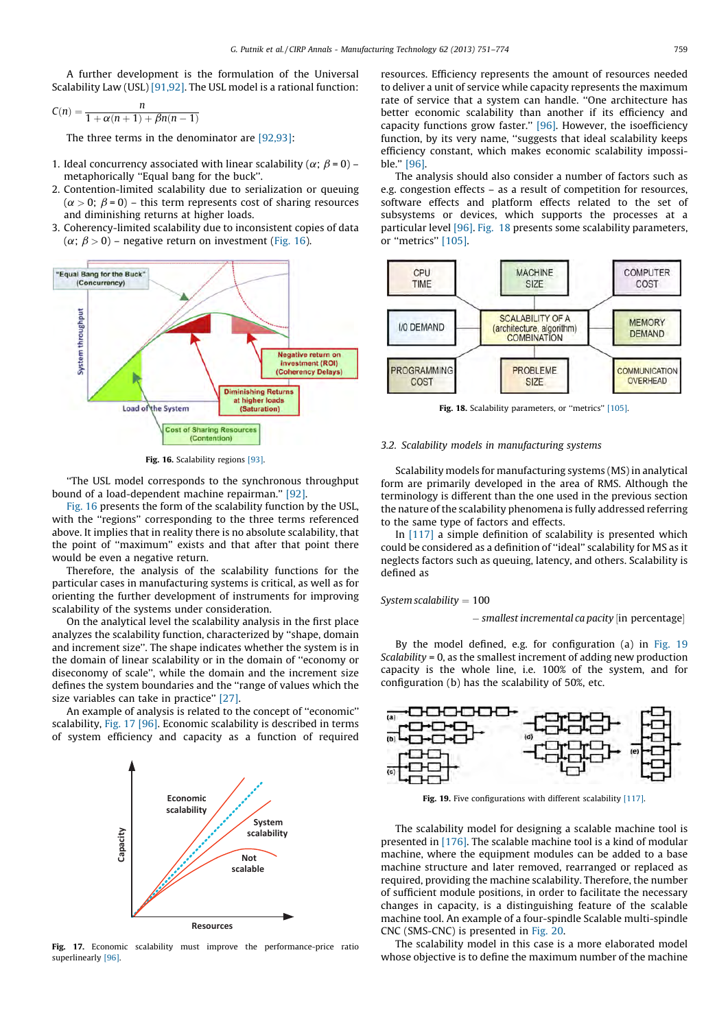<span id="page-8-0"></span>A further development is the formulation of the Universal Scalability Law (USL) [\[91,92\].](#page-21-0) The USL model is a rational function:

$$
C(n) = \frac{n}{1 + \alpha(n+1) + \beta n(n-1)}
$$

The three terms in the denominator are [\[92,93\]:](#page-21-0)

- 1. Ideal concurrency associated with linear scalability ( $\alpha$ ;  $\beta$  = 0) metaphorically ''Equal bang for the buck''.
- 2. Contention-limited scalability due to serialization or queuing  $(\alpha > 0; \beta = 0)$  – this term represents cost of sharing resources and diminishing returns at higher loads.
- 3. Coherency-limited scalability due to inconsistent copies of data  $(\alpha; \beta > 0)$  – negative return on investment (Fig. 16).



Fig. 16. Scalability regions [\[93\]](#page-21-0).

''The USL model corresponds to the synchronous throughput bound of a load-dependent machine repairman.'' [\[92\].](#page-21-0)

Fig. 16 presents the form of the scalability function by the USL, with the ''regions'' corresponding to the three terms referenced above. It implies that in reality there is no absolute scalability, that the point of ''maximum'' exists and that after that point there would be even a negative return.

Therefore, the analysis of the scalability functions for the particular cases in manufacturing systems is critical, as well as for orienting the further development of instruments for improving scalability of the systems under consideration.

On the analytical level the scalability analysis in the first place analyzes the scalability function, characterized by ''shape, domain and increment size''. The shape indicates whether the system is in the domain of linear scalability or in the domain of ''economy or diseconomy of scale'', while the domain and the increment size defines the system boundaries and the ''range of values which the size variables can take in practice'' [\[27\]](#page-20-0).

An example of analysis is related to the concept of ''economic'' scalability, Fig. 17 [\[96\].](#page-21-0) Economic scalability is described in terms of system efficiency and capacity as a function of required



Fig. 17. Economic scalability must improve the performance-price ratio superlinearly [\[96\].](#page-21-0)

resources. Efficiency represents the amount of resources needed to deliver a unit of service while capacity represents the maximum rate of service that a system can handle. ''One architecture has better economic scalability than another if its efficiency and capacity functions grow faster.'' [\[96\].](#page-21-0) However, the isoefficiency function, by its very name, ''suggests that ideal scalability keeps efficiency constant, which makes economic scalability impossible.'' [\[96\]](#page-21-0).

The analysis should also consider a number of factors such as e.g. congestion effects – as a result of competition for resources, software effects and platform effects related to the set of subsystems or devices, which supports the processes at a particular level [\[96\].](#page-21-0) Fig. 18 presents some scalability parameters, or ''metrics'' [\[105\].](#page-22-0)



Fig. 18. Scalability parameters, or "metrics" [\[105\]](#page-22-0).

#### 3.2. Scalability models in manufacturing systems

Scalability models for manufacturing systems (MS) in analytical form are primarily developed in the area of RMS. Although the terminology is different than the one used in the previous section the nature of the scalability phenomena is fully addressed referring to the same type of factors and effects.

In [\[117\]](#page-22-0) a simple definition of scalability is presented which could be considered as a definition of ''ideal'' scalability for MS as it neglects factors such as queuing, latency, and others. Scalability is defined as

## System scalability  $= 100$

 $-$  smallest incremental ca pacity [in percentage]

By the model defined, e.g. for configuration (a) in Fig. 19 Scalability = 0, as the smallest increment of adding new production capacity is the whole line, i.e. 100% of the system, and for configuration (b) has the scalability of 50%, etc.



Fig. 19. Five configurations with different scalability [\[117\].](#page-22-0)

The scalability model for designing a scalable machine tool is presented in [\[176\].](#page-23-0) The scalable machine tool is a kind of modular machine, where the equipment modules can be added to a base machine structure and later removed, rearranged or replaced as required, providing the machine scalability. Therefore, the number of sufficient module positions, in order to facilitate the necessary changes in capacity, is a distinguishing feature of the scalable machine tool. An example of a four-spindle Scalable multi-spindle CNC (SMS-CNC) is presented in [Fig. 20.](#page-9-0)

The scalability model in this case is a more elaborated model whose objective is to define the maximum number of the machine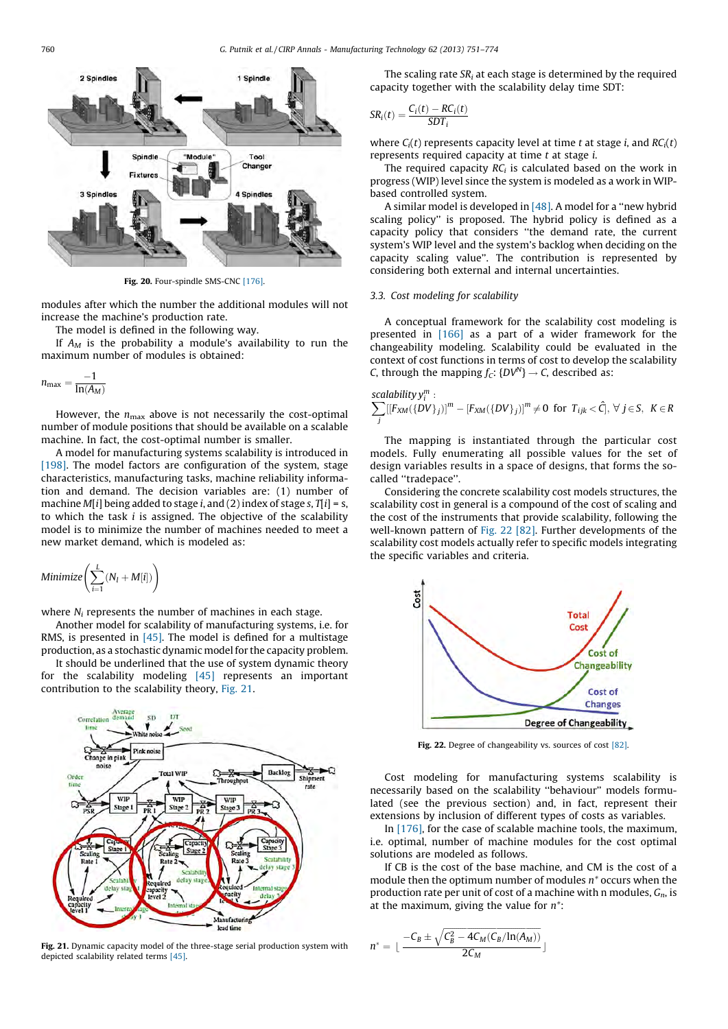<span id="page-9-0"></span>

Fig. 20. Four-spindle SMS-CNC [\[176\]](#page-23-0).

modules after which the number the additional modules will not increase the machine's production rate.

The model is defined in the following way.

If  $A_M$  is the probability a module's availability to run the maximum number of modules is obtained:

$$
n_{\max} = \frac{-1}{\ln(A_M)}
$$

However, the  $n_{\text{max}}$  above is not necessarily the cost-optimal number of module positions that should be available on a scalable machine. In fact, the cost-optimal number is smaller.

A model for manufacturing systems scalability is introduced in [\[198\]](#page-23-0). The model factors are configuration of the system, stage characteristics, manufacturing tasks, machine reliability information and demand. The decision variables are: (1) number of machine M[i] being added to stage i, and (2) index of stage s,  $T[i] = s$ , to which the task  $i$  is assigned. The objective of the scalability model is to minimize the number of machines needed to meet a new market demand, which is modeled as:

$$
Minimize \left( \sum_{i=1}^{L} (N_l + M[i]) \right)
$$

where  $N_i$  represents the number of machines in each stage.

Another model for scalability of manufacturing systems, i.e. for RMS, is presented in  $[45]$ . The model is defined for a multistage production, as a stochastic dynamic model for the capacity problem.

It should be underlined that the use of system dynamic theory for the scalability modeling [\[45\]](#page-21-0) represents an important contribution to the scalability theory, Fig. 21.



Fig. 21. Dynamic capacity model of the three-stage serial production system with  $n^* = \lfloor \frac{\mu}{\mu} \sqrt{\frac{\mu}{\mu}} \frac{\mu}{\mu} \sqrt{\frac{\mu}{\mu}} \sqrt{\frac{\mu}{\mu}} \sqrt{\frac{\mu}{\mu}} \sqrt{\frac{\mu}{\mu}} \sqrt{\frac{\mu}{\mu}} \sqrt{\frac{\mu}{\mu}} \sqrt{\frac{\mu}{\mu}} \sqrt{\frac{\mu}{\mu}} \sqrt{\frac{\mu}{\mu}} \sqrt{\frac{\mu}{\mu}} \sqrt{\frac{\mu$ depicted scalability related terms [\[45\].](#page-21-0)

The scaling rate  $SR_i$  at each stage is determined by the required capacity together with the scalability delay time SDT:

$$
SR_i(t) = \frac{C_i(t) - RC_i(t)}{SDT_i}
$$

where  $C_i(t)$  represents capacity level at time t at stage i, and  $RC_i(t)$ represents required capacity at time  $t$  at stage  $i$ .

The required capacity  $RC<sub>i</sub>$  is calculated based on the work in progress (WIP) level since the system is modeled as a work in WIPbased controlled system.

A similar model is developed in [\[48\].](#page-21-0) A model for a ''new hybrid scaling policy'' is proposed. The hybrid policy is defined as a capacity policy that considers ''the demand rate, the current system's WIP level and the system's backlog when deciding on the capacity scaling value''. The contribution is represented by considering both external and internal uncertainties.

## 3.3. Cost modeling for scalability

A conceptual framework for the scalability cost modeling is presented in [\[166\]](#page-22-0) as a part of a wider framework for the changeability modeling. Scalability could be evaluated in the context of cost functions in terms of cost to develop the scalability C, through the mapping  $f_C$ :  $\{DV^N\} \rightarrow C$ , described as:

$$
\sum_{j} \left[ \left[ F_{XM}(\{DV\}_j) \right]^m - \left[ F_{XM}(\{DV\}_j) \right]^m \neq 0 \text{ for } T_{ijk} < \hat{C}, \forall j \in S, \ K \in R
$$

The mapping is instantiated through the particular cost models. Fully enumerating all possible values for the set of design variables results in a space of designs, that forms the socalled ''tradepace''.

Considering the concrete scalability cost models structures, the scalability cost in general is a compound of the cost of scaling and the cost of the instruments that provide scalability, following the well-known pattern of Fig. 22 [\[82\].](#page-21-0) Further developments of the scalability cost models actually refer to specific models integrating the specific variables and criteria.



Fig. 22. Degree of changeability vs. sources of cost [\[82\].](#page-21-0)

Cost modeling for manufacturing systems scalability is necessarily based on the scalability ''behaviour'' models formulated (see the previous section) and, in fact, represent their extensions by inclusion of different types of costs as variables.

In [\[176\]](#page-23-0), for the case of scalable machine tools, the maximum, i.e. optimal, number of machine modules for the cost optimal solutions are modeled as follows.

If CB is the cost of the base machine, and CM is the cost of a module then the optimum number of modules  $n^*$  occurs when the production rate per unit of cost of a machine with n modules,  $G_n$ , is at the maximum, giving the value for  $n^*$ :

$$
n^* = \lfloor \frac{-C_B \pm \sqrt{C_B^2 - 4C_M(C_B/\ln(A_M))}}{2C_M} \rfloor
$$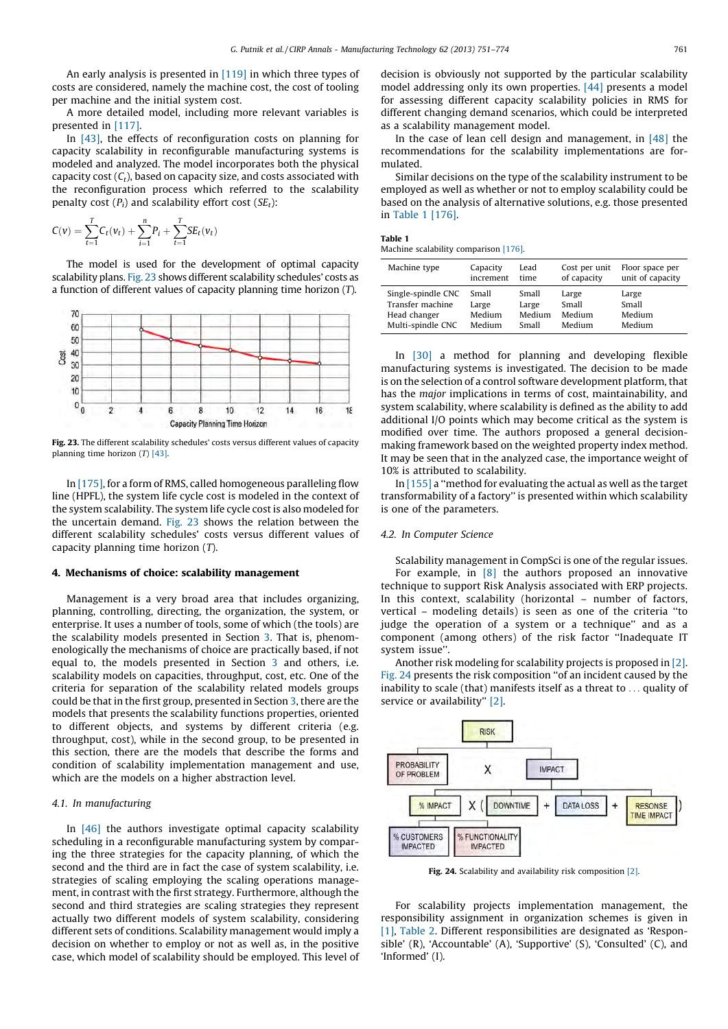<span id="page-10-0"></span>An early analysis is presented in [\[119\]](#page-22-0) in which three types of costs are considered, namely the machine cost, the cost of tooling per machine and the initial system cost.

A more detailed model, including more relevant variables is presented in [\[117\]](#page-22-0).

In [\[43\],](#page-21-0) the effects of reconfiguration costs on planning for capacity scalability in reconfigurable manufacturing systems is modeled and analyzed. The model incorporates both the physical capacity cost  $(C_t)$ , based on capacity size, and costs associated with the reconfiguration process which referred to the scalability penalty cost  $(P_i)$  and scalability effort cost  $(SE_t)$ :

$$
C(v) = \sum_{t=1}^{T} C_t(v_t) + \sum_{i=1}^{n} P_i + \sum_{t=1}^{T} SE_t(v_t)
$$

The model is used for the development of optimal capacity scalability plans. Fig. 23 shows different scalability schedules' costs as a function of different values of capacity planning time horizon (T).



Fig. 23. The different scalability schedules' costs versus different values of capacity planning time horizon (T) [\[43\].](#page-21-0)

In [\[175\]](#page-23-0), for a form of RMS, called homogeneous paralleling flow line (HPFL), the system life cycle cost is modeled in the context of the system scalability. The system life cycle cost is also modeled for the uncertain demand. Fig. 23 shows the relation between the different scalability schedules' costs versus different values of capacity planning time horizon (T).

## 4. Mechanisms of choice: scalability management

Management is a very broad area that includes organizing, planning, controlling, directing, the organization, the system, or enterprise. It uses a number of tools, some of which (the tools) are the scalability models presented in Section [3.](#page-7-0) That is, phenomenologically the mechanisms of choice are practically based, if not equal to, the models presented in Section [3](#page-7-0) and others, i.e. scalability models on capacities, throughput, cost, etc. One of the criteria for separation of the scalability related models groups could be that in the first group, presented in Section [3](#page-7-0), there are the models that presents the scalability functions properties, oriented to different objects, and systems by different criteria (e.g. throughput, cost), while in the second group, to be presented in this section, there are the models that describe the forms and condition of scalability implementation management and use, which are the models on a higher abstraction level.

## 4.1. In manufacturing

In [\[46\]](#page-21-0) the authors investigate optimal capacity scalability scheduling in a reconfigurable manufacturing system by comparing the three strategies for the capacity planning, of which the second and the third are in fact the case of system scalability, i.e. strategies of scaling employing the scaling operations management, in contrast with the first strategy. Furthermore, although the second and third strategies are scaling strategies they represent actually two different models of system scalability, considering different sets of conditions. Scalability management would imply a decision on whether to employ or not as well as, in the positive case, which model of scalability should be employed. This level of decision is obviously not supported by the particular scalability model addressing only its own properties. [\[44\]](#page-21-0) presents a model for assessing different capacity scalability policies in RMS for different changing demand scenarios, which could be interpreted as a scalability management model.

In the case of lean cell design and management, in  $[48]$  the recommendations for the scalability implementations are formulated.

Similar decisions on the type of the scalability instrument to be employed as well as whether or not to employ scalability could be based on the analysis of alternative solutions, e.g. those presented in Table 1 [\[176\]](#page-23-0).

Table 1

| Machine scalability comparison [176]. |  |  |  |  |
|---------------------------------------|--|--|--|--|
|---------------------------------------|--|--|--|--|

| Machine type       | Capacity  | Lead   | Cost per unit | Floor space per  |
|--------------------|-----------|--------|---------------|------------------|
|                    | increment | time   | of capacity   | unit of capacity |
| Single-spindle CNC | Small     | Small  | Large         | Large            |
| Transfer machine   | Large     | Large  | Small         | Small            |
| Head changer       | Medium    | Medium | Medium        | Medium           |
| Multi-spindle CNC  | Medium    | Small  | Medium        | Medium           |

In [\[30\]](#page-20-0) a method for planning and developing flexible manufacturing systems is investigated. The decision to be made is on the selection of a control software development platform, that has the major implications in terms of cost, maintainability, and system scalability, where scalability is defined as the ability to add additional I/O points which may become critical as the system is modified over time. The authors proposed a general decisionmaking framework based on the weighted property index method. It may be seen that in the analyzed case, the importance weight of 10% is attributed to scalability.

In [\[155\]](#page-22-0) a ''method for evaluating the actual as well as the target transformability of a factory'' is presented within which scalability is one of the parameters.

#### 4.2. In Computer Science

Scalability management in CompSci is one of the regular issues. For example, in [\[8\]](#page-20-0) the authors proposed an innovative technique to support Risk Analysis associated with ERP projects. In this context, scalability (horizontal – number of factors, vertical – modeling details) is seen as one of the criteria ''to judge the operation of a system or a technique'' and as a component (among others) of the risk factor ''Inadequate IT system issue''.

Another risk modeling for scalability projects is proposed in [\[2\].](#page-20-0) Fig. 24 presents the risk composition ''of an incident caused by the inability to scale (that) manifests itself as a threat to ... quality of service or availability" [\[2\].](#page-20-0)



Fig. 24. Scalability and availability risk composition [\[2\].](#page-20-0)

For scalability projects implementation management, the responsibility assignment in organization schemes is given in [\[1\]](#page-20-0), [Table 2.](#page-11-0) Different responsibilities are designated as 'Responsible' (R), 'Accountable' (A), 'Supportive' (S), 'Consulted' (C), and 'Informed' (I).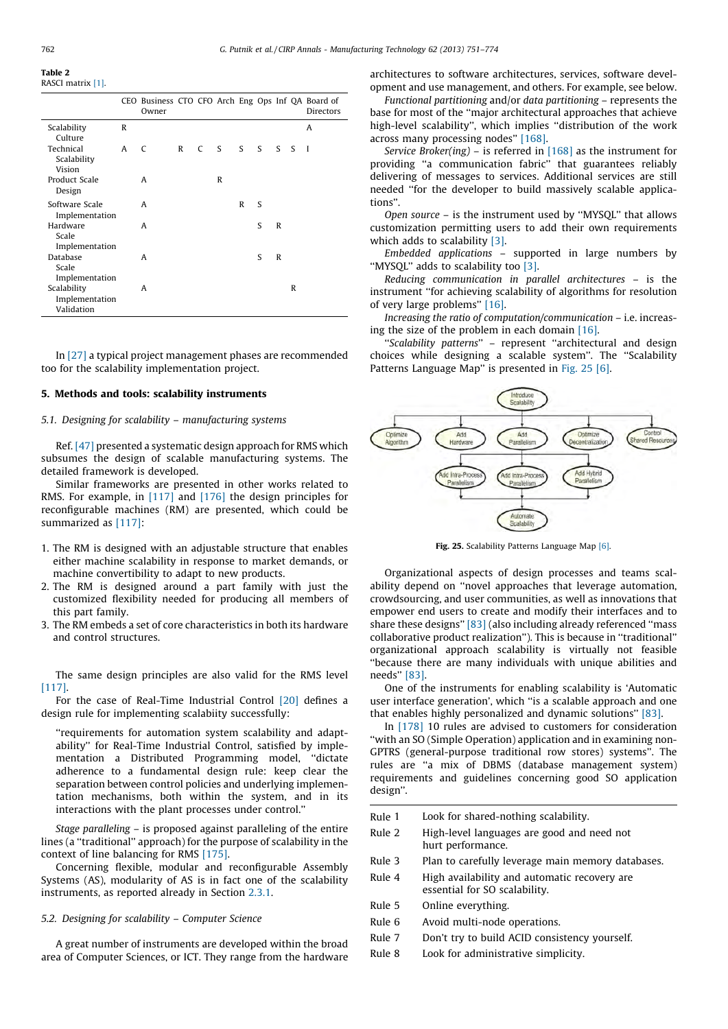<span id="page-11-0"></span>Table 2 RASCI matrix [\[1\]](#page-20-0).

|                                             |              | CEO Business CTO CFO Arch Eng Ops Inf QA Board of<br>Owner |   |   |                                                    |   |    |              |   | Directors      |
|---------------------------------------------|--------------|------------------------------------------------------------|---|---|----------------------------------------------------|---|----|--------------|---|----------------|
| Scalability<br>Culture                      | $\mathbb{R}$ |                                                            |   |   |                                                    |   |    |              |   | A              |
| Technical<br>Scalability<br>Vision          | A            | C                                                          | R | C | $\overline{\mathbf{S}}$<br>$\overline{\mathbf{S}}$ |   | S. | $S \quad S$  |   | $\blacksquare$ |
| Product Scale<br>Design                     |              | A                                                          |   |   | R                                                  |   |    |              |   |                |
| Software Scale<br>Implementation            |              | A                                                          |   |   |                                                    | R | S  |              |   |                |
| Hardware<br>Scale<br>Implementation         |              | A                                                          |   |   |                                                    |   | S  | $\mathbb{R}$ |   |                |
| Database<br>Scale<br>Implementation         |              | A                                                          |   |   |                                                    |   | S  | $\mathbb{R}$ |   |                |
| Scalability<br>Implementation<br>Validation |              | A                                                          |   |   |                                                    |   |    |              | R |                |

In [\[27\]](#page-20-0) a typical project management phases are recommended too for the scalability implementation project.

## 5. Methods and tools: scalability instruments

## 5.1. Designing for scalability – manufacturing systems

Ref. [\[47\]](#page-21-0) presented a systematic design approach for RMS which subsumes the design of scalable manufacturing systems. The detailed framework is developed.

Similar frameworks are presented in other works related to RMS. For example, in [\[117\]](#page-22-0) and [\[176\]](#page-23-0) the design principles for reconfigurable machines (RM) are presented, which could be summarized as [\[117\]](#page-22-0):

- 1. The RM is designed with an adjustable structure that enables either machine scalability in response to market demands, or machine convertibility to adapt to new products.
- 2. The RM is designed around a part family with just the customized flexibility needed for producing all members of this part family.
- 3. The RM embeds a set of core characteristics in both its hardware and control structures.

The same design principles are also valid for the RMS level [\[117\]](#page-22-0).

For the case of Real-Time Industrial Control [\[20\]](#page-20-0) defines a design rule for implementing scalabiity successfully:

''requirements for automation system scalability and adaptability'' for Real-Time Industrial Control, satisfied by implementation a Distributed Programming model, ''dictate adherence to a fundamental design rule: keep clear the separation between control policies and underlying implementation mechanisms, both within the system, and in its interactions with the plant processes under control.''

Stage paralleling – is proposed against paralleling of the entire lines (a ''traditional'' approach) for the purpose of scalability in the context of line balancing for RMS [\[175\]](#page-23-0).

Concerning flexible, modular and reconfigurable Assembly Systems (AS), modularity of AS is in fact one of the scalability instruments, as reported already in Section [2.3.1.](#page-5-0)

## 5.2. Designing for scalability – Computer Science

A great number of instruments are developed within the broad area of Computer Sciences, or ICT. They range from the hardware architectures to software architectures, services, software development and use management, and others. For example, see below.

Functional partitioning and/or data partitioning – represents the base for most of the ''major architectural approaches that achieve high-level scalability'', which implies ''distribution of the work across many processing nodes'' [\[168\].](#page-22-0)

Service Broker(ing) – is referred in  $[168]$  as the instrument for providing ''a communication fabric'' that guarantees reliably delivering of messages to services. Additional services are still needed ''for the developer to build massively scalable applications''.

Open source – is the instrument used by ''MYSQL'' that allows customization permitting users to add their own requirements which adds to scalability [\[3\].](#page-20-0)

Embedded applications – supported in large numbers by ''MYSQL'' adds to scalability too [\[3\]](#page-20-0).

Reducing communication in parallel architectures – is the instrument ''for achieving scalability of algorithms for resolution of very large problems'' [\[16\]](#page-20-0).

Increasing the ratio of computation/communication – i.e. increasing the size of the problem in each domain [\[16\].](#page-20-0)

"Scalability patterns" - represent "architectural and design choices while designing a scalable system''. The ''Scalability Patterns Language Map" is presented in Fig. 25 [\[6\].](#page-20-0)



Fig. 25. Scalability Patterns Language Map [\[6\]](#page-20-0).

Organizational aspects of design processes and teams scalability depend on ''novel approaches that leverage automation, crowdsourcing, and user communities, as well as innovations that empower end users to create and modify their interfaces and to share these designs'' [\[83\]](#page-21-0) (also including already referenced ''mass collaborative product realization''). This is because in ''traditional'' organizational approach scalability is virtually not feasible ''because there are many individuals with unique abilities and needs'' [\[83\]](#page-21-0).

One of the instruments for enabling scalability is 'Automatic user interface generation', which ''is a scalable approach and one that enables highly personalized and dynamic solutions'' [\[83\].](#page-21-0)

In [\[178\]](#page-23-0) 10 rules are advised to customers for consideration ''with an SO (Simple Operation) application and in examining non-GPTRS (general-purpose traditional row stores) systems''. The rules are ''a mix of DBMS (database management system) requirements and guidelines concerning good SO application design''.

- Rule 1 Look for shared-nothing scalability.
- Rule 2 High-level languages are good and need not hurt performance.
- Rule 3 Plan to carefully leverage main memory databases.
- Rule 4 High availability and automatic recovery are essential for SO scalability.
- Rule 5 Online everything.
- Rule 6 Avoid multi-node operations.
- Rule 7 Don't try to build ACID consistency yourself.
- Rule 8 Look for administrative simplicity.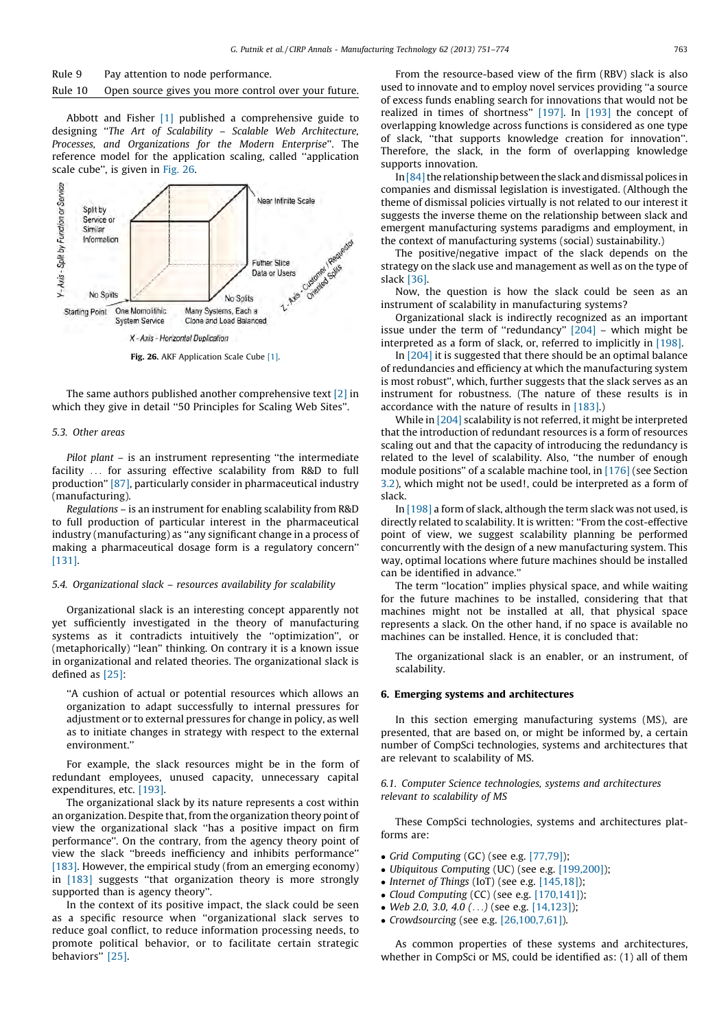# Rule 9 Pay attention to node performance.

## Rule 10 Open source gives you more control over your future.

Abbott and Fisher [\[1\]](#page-20-0) published a comprehensive guide to designing ''The Art of Scalability – Scalable Web Architecture, Processes, and Organizations for the Modern Enterprise''. The reference model for the application scaling, called ''application scale cube'', is given in Fig. 26.



Fig. 26. AKF Application Scale Cube [\[1\].](#page-20-0)

The same authors published another comprehensive text [\[2\]](#page-20-0) in which they give in detail "50 Principles for Scaling Web Sites".

# 5.3. Other areas

Pilot plant – is an instrument representing "the intermediate facility ... for assuring effective scalability from R&D to full production'' [\[87\]](#page-21-0), particularly consider in pharmaceutical industry (manufacturing).

Regulations – is an instrument for enabling scalability from R&D to full production of particular interest in the pharmaceutical industry (manufacturing) as ''any significant change in a process of making a pharmaceutical dosage form is a regulatory concern'' [\[131\]](#page-22-0).

#### 5.4. Organizational slack – resources availability for scalability

Organizational slack is an interesting concept apparently not yet sufficiently investigated in the theory of manufacturing systems as it contradicts intuitively the ''optimization'', or (metaphorically) ''lean'' thinking. On contrary it is a known issue in organizational and related theories. The organizational slack is defined as [\[25\]](#page-20-0):

''A cushion of actual or potential resources which allows an organization to adapt successfully to internal pressures for adjustment or to external pressures for change in policy, as well as to initiate changes in strategy with respect to the external environment.''

For example, the slack resources might be in the form of redundant employees, unused capacity, unnecessary capital expenditures, etc. [\[193\].](#page-23-0)

The organizational slack by its nature represents a cost within an organization. Despite that, from the organization theory point of view the organizational slack ''has a positive impact on firm performance''. On the contrary, from the agency theory point of view the slack ''breeds inefficiency and inhibits performance'' [\[183\]](#page-23-0). However, the empirical study (from an emerging economy) in [\[183\]](#page-23-0) suggests ''that organization theory is more strongly supported than is agency theory''.

In the context of its positive impact, the slack could be seen as a specific resource when ''organizational slack serves to reduce goal conflict, to reduce information processing needs, to promote political behavior, or to facilitate certain strategic behaviors'' [\[25\].](#page-20-0)

From the resource-based view of the firm (RBV) slack is also used to innovate and to employ novel services providing ''a source of excess funds enabling search for innovations that would not be realized in times of shortness'' [\[197\].](#page-23-0) In [\[193\]](#page-23-0) the concept of overlapping knowledge across functions is considered as one type of slack, ''that supports knowledge creation for innovation''. Therefore, the slack, in the form of overlapping knowledge supports innovation.

In  $[84]$  the relationship between the slack and dismissal polices in companies and dismissal legislation is investigated. (Although the theme of dismissal policies virtually is not related to our interest it suggests the inverse theme on the relationship between slack and emergent manufacturing systems paradigms and employment, in the context of manufacturing systems (social) sustainability.)

The positive/negative impact of the slack depends on the strategy on the slack use and management as well as on the type of slack [\[36\]](#page-20-0).

Now, the question is how the slack could be seen as an instrument of scalability in manufacturing systems?

Organizational slack is indirectly recognized as an important issue under the term of ''redundancy'' [\[204\]](#page-23-0) – which might be interpreted as a form of slack, or, referred to implicitly in [\[198\]](#page-23-0).

In [\[204\]](#page-23-0) it is suggested that there should be an optimal balance of redundancies and efficiency at which the manufacturing system is most robust'', which, further suggests that the slack serves as an instrument for robustness. (The nature of these results is in accordance with the nature of results in [\[183\].](#page-23-0))

While in [\[204\]](#page-23-0) scalability is not referred, it might be interpreted that the introduction of redundant resources is a form of resources scaling out and that the capacity of introducing the redundancy is related to the level of scalability. Also, ''the number of enough module positions'' of a scalable machine tool, in [\[176\]](#page-23-0) (see Section [3.2](#page-8-0)), which might not be used!, could be interpreted as a form of slack.

In [\[198\]](#page-23-0) a form of slack, although the term slack was not used, is directly related to scalability. It is written: ''From the cost-effective point of view, we suggest scalability planning be performed concurrently with the design of a new manufacturing system. This way, optimal locations where future machines should be installed can be identified in advance.''

The term ''location'' implies physical space, and while waiting for the future machines to be installed, considering that that machines might not be installed at all, that physical space represents a slack. On the other hand, if no space is available no machines can be installed. Hence, it is concluded that:

The organizational slack is an enabler, or an instrument, of scalability.

#### 6. Emerging systems and architectures

In this section emerging manufacturing systems (MS), are presented, that are based on, or might be informed by, a certain number of CompSci technologies, systems and architectures that are relevant to scalability of MS.

6.1. Computer Science technologies, systems and architectures relevant to scalability of MS

These CompSci technologies, systems and architectures platforms are:

- Grid Computing (GC) (see e.g. [\[77,79\]](#page-21-0));
- Ubiquitous Computing (UC) (see e.g. [\[199,200\]\)](#page-23-0);
- Internet of Things (IoT) (see e.g. [\[145,18\]](#page-22-0));
- Cloud Computing (CC) (see e.g. [\[170,141\]](#page-23-0));
- Web 2.0, 3.0, 4.0 (...) (see e.g. [\[14,123\]](#page-20-0));
- Crowdsourcing (see e.g. [\[26,100,7,61\]\)](#page-20-0).

As common properties of these systems and architectures, whether in CompSci or MS, could be identified as: (1) all of them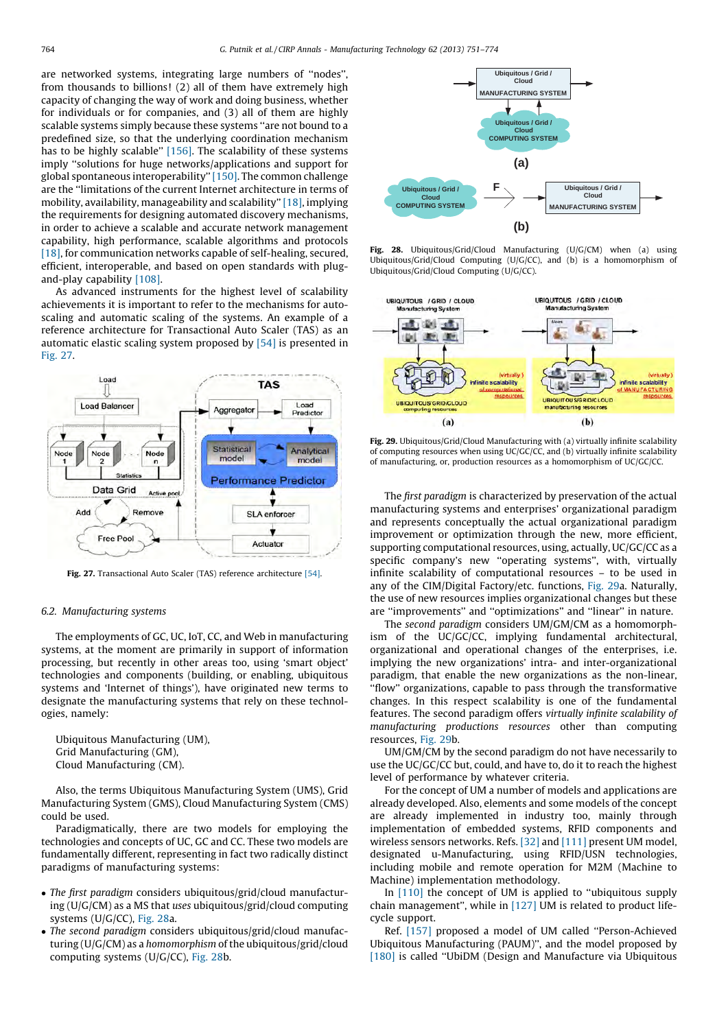are networked systems, integrating large numbers of ''nodes'', from thousands to billions! (2) all of them have extremely high capacity of changing the way of work and doing business, whether for individuals or for companies, and (3) all of them are highly scalable systems simply because these systems ''are not bound to a predefined size, so that the underlying coordination mechanism has to be highly scalable" [\[156\].](#page-22-0) The scalability of these systems imply ''solutions for huge networks/applications and support for global spontaneous interoperability'' [\[150\]](#page-22-0). The common challenge are the ''limitations of the current Internet architecture in terms of mobility, availability, manageability and scalability'' [\[18\]](#page-20-0), implying the requirements for designing automated discovery mechanisms, in order to achieve a scalable and accurate network management capability, high performance, scalable algorithms and protocols [\[18\]](#page-20-0), for communication networks capable of self-healing, secured, efficient, interoperable, and based on open standards with plugand-play capability [\[108\]](#page-22-0).

As advanced instruments for the highest level of scalability achievements it is important to refer to the mechanisms for autoscaling and automatic scaling of the systems. An example of a reference architecture for Transactional Auto Scaler (TAS) as an automatic elastic scaling system proposed by [\[54\]](#page-21-0) is presented in Fig. 27.



Fig. 27. Transactional Auto Scaler (TAS) reference architecture [\[54\].](#page-21-0)

## 6.2. Manufacturing systems

The employments of GC, UC, IoT, CC, and Web in manufacturing systems, at the moment are primarily in support of information processing, but recently in other areas too, using 'smart object' technologies and components (building, or enabling, ubiquitous systems and 'Internet of things'), have originated new terms to designate the manufacturing systems that rely on these technologies, namely:

Ubiquitous Manufacturing (UM), Grid Manufacturing (GM), Cloud Manufacturing (CM).

Also, the terms Ubiquitous Manufacturing System (UMS), Grid Manufacturing System (GMS), Cloud Manufacturing System (CMS) could be used.

Paradigmatically, there are two models for employing the technologies and concepts of UC, GC and CC. These two models are fundamentally different, representing in fact two radically distinct paradigms of manufacturing systems:

- The first paradigm considers ubiquitous/grid/cloud manufacturing (U/G/CM) as a MS that uses ubiquitous/grid/cloud computing systems (U/G/CC), Fig. 28a.
- The second paradigm considers ubiquitous/grid/cloud manufacturing (U/G/CM) as a homomorphism of the ubiquitous/grid/cloud computing systems (U/G/CC), Fig. 28b.



Fig. 28. Ubiquitous/Grid/Cloud Manufacturing (U/G/CM) when (a) using Ubiquitous/Grid/Cloud Computing (U/G/CC), and (b) is a homomorphism of Ubiquitous/Grid/Cloud Computing (U/G/CC).



Fig. 29. Ubiquitous/Grid/Cloud Manufacturing with (a) virtually infinite scalability of computing resources when using UC/GC/CC, and (b) virtually infinite scalability of manufacturing, or, production resources as a homomorphism of UC/GC/CC.

The first paradigm is characterized by preservation of the actual manufacturing systems and enterprises' organizational paradigm and represents conceptually the actual organizational paradigm improvement or optimization through the new, more efficient, supporting computational resources, using, actually, UC/GC/CC as a specific company's new ''operating systems'', with, virtually infinite scalability of computational resources – to be used in any of the CIM/Digital Factory/etc. functions, Fig. 29a. Naturally, the use of new resources implies organizational changes but these are ''improvements'' and ''optimizations'' and ''linear'' in nature.

The second paradigm considers UM/GM/CM as a homomorphism of the UC/GC/CC, implying fundamental architectural, organizational and operational changes of the enterprises, i.e. implying the new organizations' intra- and inter-organizational paradigm, that enable the new organizations as the non-linear, ''flow'' organizations, capable to pass through the transformative changes. In this respect scalability is one of the fundamental features. The second paradigm offers virtually infinite scalability of manufacturing productions resources other than computing resources, Fig. 29b.

UM/GM/CM by the second paradigm do not have necessarily to use the UC/GC/CC but, could, and have to, do it to reach the highest level of performance by whatever criteria.

For the concept of UM a number of models and applications are already developed. Also, elements and some models of the concept are already implemented in industry too, mainly through implementation of embedded systems, RFID components and wireless sensors networks. Refs. [\[32\]](#page-20-0) and [\[111\]](#page-22-0) present UM model, designated u-Manufacturing, using RFID/USN technologies, including mobile and remote operation for M2M (Machine to Machine) implementation methodology.

In [\[110\]](#page-22-0) the concept of UM is applied to ''ubiquitous supply chain management'', while in [\[127\]](#page-22-0) UM is related to product lifecycle support.

Ref. [\[157\]](#page-22-0) proposed a model of UM called ''Person-Achieved Ubiquitous Manufacturing (PAUM)'', and the model proposed by [\[180\]](#page-23-0) is called "UbiDM (Design and Manufacture via Ubiquitous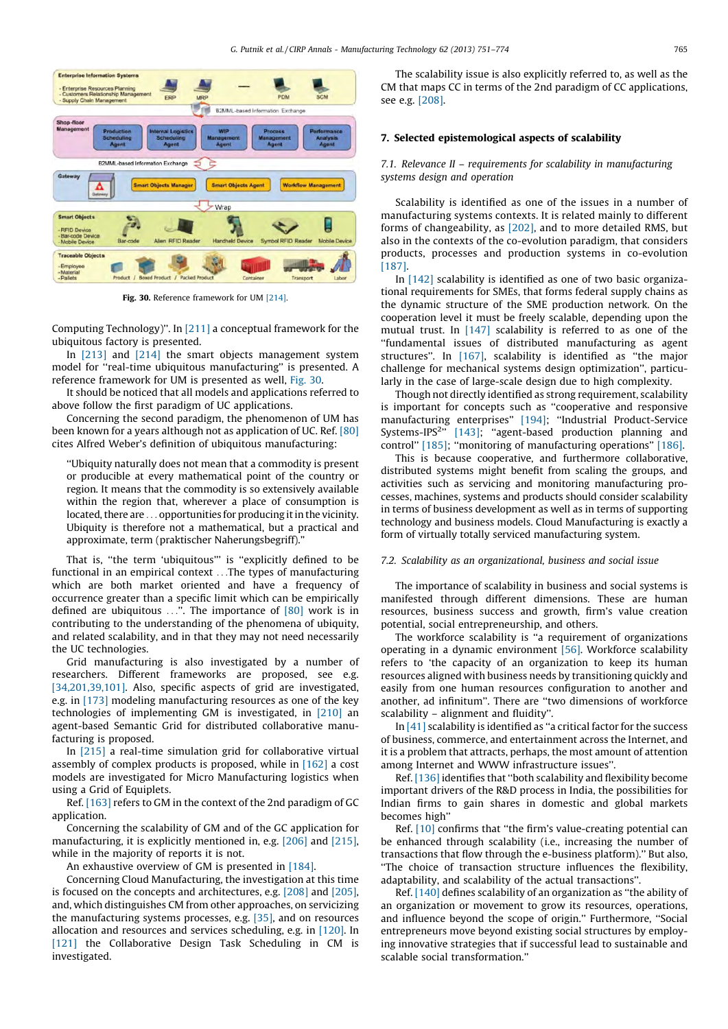

Fig. 30. Reference framework for UM [\[214\]](#page-23-0).

Computing Technology)''. In [\[211\]](#page-23-0) a conceptual framework for the ubiquitous factory is presented.

In [\[213\]](#page-23-0) and [\[214\]](#page-23-0) the smart objects management system model for ''real-time ubiquitous manufacturing'' is presented. A reference framework for UM is presented as well, Fig. 30.

It should be noticed that all models and applications referred to above follow the first paradigm of UC applications.

Concerning the second paradigm, the phenomenon of UM has been known for a years although not as application of UC. Ref. [\[80\]](#page-21-0) cites Alfred Weber's definition of ubiquitous manufacturing:

''Ubiquity naturally does not mean that a commodity is present or producible at every mathematical point of the country or region. It means that the commodity is so extensively available within the region that, wherever a place of consumption is located, there are ... opportunities for producing it in the vicinity. Ubiquity is therefore not a mathematical, but a practical and approximate, term (praktischer Naherungsbegriff).''

That is, ''the term 'ubiquitous''' is ''explicitly defined to be functional in an empirical context ...The types of manufacturing which are both market oriented and have a frequency of occurrence greater than a specific limit which can be empirically defined are ubiquitous ...''. The importance of [\[80\]](#page-21-0) work is in contributing to the understanding of the phenomena of ubiquity, and related scalability, and in that they may not need necessarily the UC technologies.

Grid manufacturing is also investigated by a number of researchers. Different frameworks are proposed, see e.g. [\[34,201,39,101\]](#page-20-0). Also, specific aspects of grid are investigated, e.g. in [\[173\]](#page-23-0) modeling manufacturing resources as one of the key technologies of implementing GM is investigated, in [\[210\]](#page-23-0) an agent-based Semantic Grid for distributed collaborative manufacturing is proposed.

In [\[215\]](#page-23-0) a real-time simulation grid for collaborative virtual assembly of complex products is proposed, while in [\[162\]](#page-22-0) a cost models are investigated for Micro Manufacturing logistics when using a Grid of Equiplets.

Ref. [\[163\]](#page-22-0) refers to GM in the context of the 2nd paradigm of GC application.

Concerning the scalability of GM and of the GC application for manufacturing, it is explicitly mentioned in, e.g. [\[206\]](#page-23-0) and [\[215\],](#page-23-0) while in the majority of reports it is not.

An exhaustive overview of GM is presented in [\[184\].](#page-23-0)

Concerning Cloud Manufacturing, the investigation at this time is focused on the concepts and architectures, e.g. [\[208\]](#page-23-0) and [\[205\],](#page-23-0) and, which distinguishes CM from other approaches, on servicizing the manufacturing systems processes, e.g. [\[35\]](#page-20-0), and on resources allocation and resources and services scheduling, e.g. in [\[120\]](#page-22-0). In [\[121\]](#page-22-0) the Collaborative Design Task Scheduling in CM is investigated.

The scalability issue is also explicitly referred to, as well as the CM that maps CC in terms of the 2nd paradigm of CC applications, see e.g. [\[208\].](#page-23-0)

# 7. Selected epistemological aspects of scalability

7.1. Relevance II – requirements for scalability in manufacturing systems design and operation

Scalability is identified as one of the issues in a number of manufacturing systems contexts. It is related mainly to different forms of changeability, as [\[202\],](#page-23-0) and to more detailed RMS, but also in the contexts of the co-evolution paradigm, that considers products, processes and production systems in co-evolution [\[187\].](#page-23-0)

In [\[142\]](#page-22-0) scalability is identified as one of two basic organizational requirements for SMEs, that forms federal supply chains as the dynamic structure of the SME production network. On the cooperation level it must be freely scalable, depending upon the mutual trust. In [\[147\]](#page-22-0) scalability is referred to as one of the ''fundamental issues of distributed manufacturing as agent structures''. In [\[167\]](#page-22-0), scalability is identified as ''the major challenge for mechanical systems design optimization'', particularly in the case of large-scale design due to high complexity.

Though not directly identified as strong requirement, scalability is important for concepts such as ''cooperative and responsive manufacturing enterprises'' [\[194\];](#page-23-0) ''Industrial Product-Service Systems-IPS<sup>2</sup>" [\[143\]](#page-22-0); "agent-based production planning and control'' [\[185\];](#page-23-0) ''monitoring of manufacturing operations'' [\[186\]](#page-23-0).

This is because cooperative, and furthermore collaborative, distributed systems might benefit from scaling the groups, and activities such as servicing and monitoring manufacturing processes, machines, systems and products should consider scalability in terms of business development as well as in terms of supporting technology and business models. Cloud Manufacturing is exactly a form of virtually totally serviced manufacturing system.

## 7.2. Scalability as an organizational, business and social issue

The importance of scalability in business and social systems is manifested through different dimensions. These are human resources, business success and growth, firm's value creation potential, social entrepreneurship, and others.

The workforce scalability is ''a requirement of organizations operating in a dynamic environment [\[56\].](#page-21-0) Workforce scalability refers to 'the capacity of an organization to keep its human resources aligned with business needs by transitioning quickly and easily from one human resources configuration to another and another, ad infinitum''. There are ''two dimensions of workforce scalability – alignment and fluidity''.

In [\[41\]](#page-20-0) scalability is identified as ''a critical factor for the success of business, commerce, and entertainment across the Internet, and it is a problem that attracts, perhaps, the most amount of attention among Internet and WWW infrastructure issues''.

Ref. [\[136\]](#page-22-0) identifies that ''both scalability and flexibility become important drivers of the R&D process in India, the possibilities for Indian firms to gain shares in domestic and global markets becomes high''

Ref. [\[10\]](#page-20-0) confirms that "the firm's value-creating potential can be enhanced through scalability (i.e., increasing the number of transactions that flow through the e-business platform).'' But also, ''The choice of transaction structure influences the flexibility, adaptability, and scalability of the actual transactions''.

Ref. [\[140\]](#page-22-0) defines scalability of an organization as ''the ability of an organization or movement to grow its resources, operations, and influence beyond the scope of origin.'' Furthermore, ''Social entrepreneurs move beyond existing social structures by employing innovative strategies that if successful lead to sustainable and scalable social transformation.''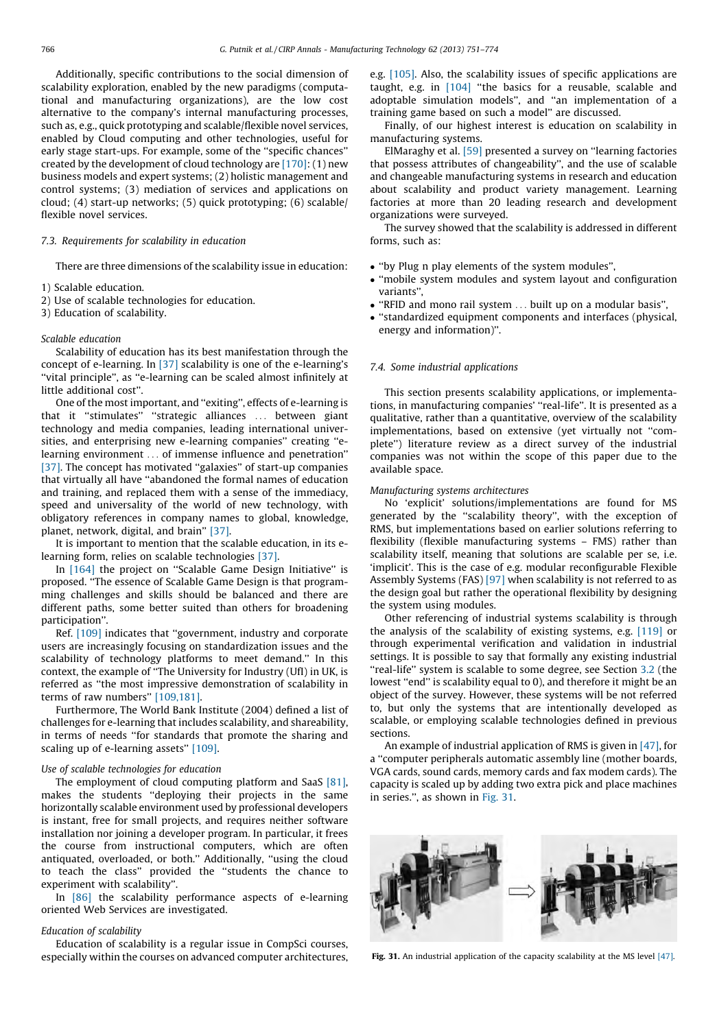<span id="page-15-0"></span>Additionally, specific contributions to the social dimension of scalability exploration, enabled by the new paradigms (computational and manufacturing organizations), are the low cost alternative to the company's internal manufacturing processes, such as, e.g., quick prototyping and scalable/flexible novel services, enabled by Cloud computing and other technologies, useful for early stage start-ups. For example, some of the ''specific chances'' created by the development of cloud technology are  $[170]$ : (1) new business models and expert systems; (2) holistic management and control systems; (3) mediation of services and applications on cloud; (4) start-up networks; (5) quick prototyping; (6) scalable/ flexible novel services.

## 7.3. Requirements for scalability in education

There are three dimensions of the scalability issue in education:

- 1) Scalable education.
- 2) Use of scalable technologies for education.

3) Education of scalability.

## Scalable education

Scalability of education has its best manifestation through the concept of e-learning. In [\[37\]](#page-20-0) scalability is one of the e-learning's ''vital principle'', as ''e-learning can be scaled almost infinitely at little additional cost''.

One of the most important, and ''exiting'', effects of e-learning is that it ''stimulates'' ''strategic alliances ... between giant technology and media companies, leading international universities, and enterprising new e-learning companies'' creating ''elearning environment ... of immense influence and penetration'' [\[37\]](#page-20-0). The concept has motivated "galaxies" of start-up companies that virtually all have ''abandoned the formal names of education and training, and replaced them with a sense of the immediacy, speed and universality of the world of new technology, with obligatory references in company names to global, knowledge, planet, network, digital, and brain'' [\[37\]](#page-20-0).

It is important to mention that the scalable education, in its elearning form, relies on scalable technologies [\[37\].](#page-20-0)

In [\[164\]](#page-22-0) the project on "Scalable Game Design Initiative" is proposed. ''The essence of Scalable Game Design is that programming challenges and skills should be balanced and there are different paths, some better suited than others for broadening participation''.

Ref. [\[109\]](#page-22-0) indicates that "government, industry and corporate users are increasingly focusing on standardization issues and the scalability of technology platforms to meet demand.'' In this context, the example of ''The University for Industry (UfI) in UK, is referred as ''the most impressive demonstration of scalability in terms of raw numbers'' [\[109,181\].](#page-22-0)

Furthermore, The World Bank Institute (2004) defined a list of challenges for e-learning that includes scalability, and shareability, in terms of needs ''for standards that promote the sharing and scaling up of e-learning assets'' [\[109\].](#page-22-0)

#### Use of scalable technologies for education

The employment of cloud computing platform and SaaS [\[81\],](#page-21-0) makes the students ''deploying their projects in the same horizontally scalable environment used by professional developers is instant, free for small projects, and requires neither software installation nor joining a developer program. In particular, it frees the course from instructional computers, which are often antiquated, overloaded, or both.'' Additionally, ''using the cloud to teach the class'' provided the ''students the chance to experiment with scalability''.

In [\[86\]](#page-21-0) the scalability performance aspects of e-learning oriented Web Services are investigated.

## Education of scalability

Education of scalability is a regular issue in CompSci courses, especially within the courses on advanced computer architectures, e.g. [\[105\]](#page-22-0). Also, the scalability issues of specific applications are taught, e.g. in [\[104\]](#page-22-0) "the basics for a reusable, scalable and adoptable simulation models'', and ''an implementation of a training game based on such a model'' are discussed.

Finally, of our highest interest is education on scalability in manufacturing systems.

ElMaraghy et al. [\[59\]](#page-21-0) presented a survey on ''learning factories that possess attributes of changeability'', and the use of scalable and changeable manufacturing systems in research and education about scalability and product variety management. Learning factories at more than 20 leading research and development organizations were surveyed.

The survey showed that the scalability is addressed in different forms, such as:

- ''by Plug n play elements of the system modules'',
- ''mobile system modules and system layout and configuration variants'',
- ''RFID and mono rail system ... built up on a modular basis'',
- ''standardized equipment components and interfaces (physical, energy and information)''.

## 7.4. Some industrial applications

This section presents scalability applications, or implementations, in manufacturing companies' ''real-life''. It is presented as a qualitative, rather than a quantitative, overview of the scalability implementations, based on extensive (yet virtually not ''complete'') literature review as a direct survey of the industrial companies was not within the scope of this paper due to the available space.

### Manufacturing systems architectures

No 'explicit' solutions/implementations are found for MS generated by the ''scalability theory'', with the exception of RMS, but implementations based on earlier solutions referring to flexibility (flexible manufacturing systems – FMS) rather than scalability itself, meaning that solutions are scalable per se, i.e. 'implicit'. This is the case of e.g. modular reconfigurable Flexible Assembly Systems (FAS) [\[97\]](#page-21-0) when scalability is not referred to as the design goal but rather the operational flexibility by designing the system using modules.

Other referencing of industrial systems scalability is through the analysis of the scalability of existing systems, e.g. [\[119\]](#page-22-0) or through experimental verification and validation in industrial settings. It is possible to say that formally any existing industrial ''real-life'' system is scalable to some degree, see Section [3.2](#page-8-0) (the lowest "end" is scalability equal to 0), and therefore it might be an object of the survey. However, these systems will be not referred to, but only the systems that are intentionally developed as scalable, or employing scalable technologies defined in previous sections.

An example of industrial application of RMS is given in [\[47\]](#page-21-0), for a ''computer peripherals automatic assembly line (mother boards, VGA cards, sound cards, memory cards and fax modem cards). The capacity is scaled up by adding two extra pick and place machines in series.'', as shown in Fig. 31.



Fig. 31. An industrial application of the capacity scalability at the MS level [\[47\].](#page-21-0)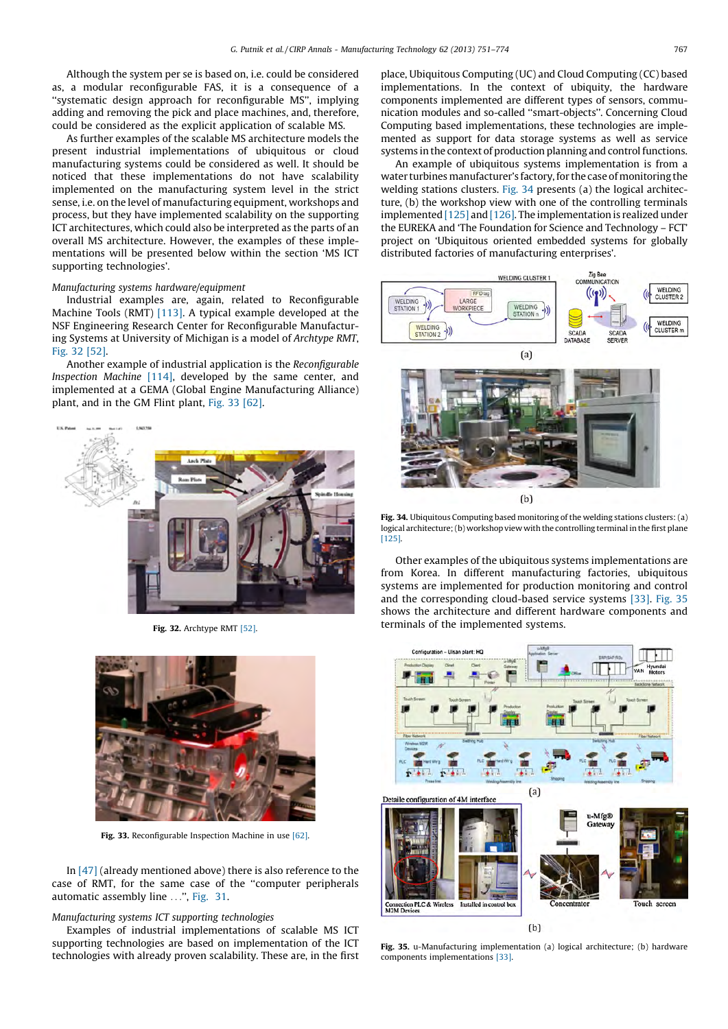Although the system per se is based on, i.e. could be considered as, a modular reconfigurable FAS, it is a consequence of a ''systematic design approach for reconfigurable MS'', implying adding and removing the pick and place machines, and, therefore, could be considered as the explicit application of scalable MS.

As further examples of the scalable MS architecture models the present industrial implementations of ubiquitous or cloud manufacturing systems could be considered as well. It should be noticed that these implementations do not have scalability implemented on the manufacturing system level in the strict sense, i.e. on the level of manufacturing equipment, workshops and process, but they have implemented scalability on the supporting ICT architectures, which could also be interpreted as the parts of an overall MS architecture. However, the examples of these implementations will be presented below within the section 'MS ICT supporting technologies'.

## Manufacturing systems hardware/equipment

Industrial examples are, again, related to Reconfigurable Machine Tools (RMT) [\[113\]](#page-22-0). A typical example developed at the NSF Engineering Research Center for Reconfigurable Manufacturing Systems at University of Michigan is a model of Archtype RMT, Fig. 32 [\[52\].](#page-21-0)

Another example of industrial application is the Reconfigurable Inspection Machine [\[114\]](#page-22-0), developed by the same center, and implemented at a GEMA (Global Engine Manufacturing Alliance) plant, and in the GM Flint plant, Fig. 33 [\[62\]](#page-21-0).





Fig. 33. Reconfigurable Inspection Machine in use [\[62\].](#page-21-0)

In [\[47\]](#page-21-0) (already mentioned above) there is also reference to the case of RMT, for the same case of the ''computer peripherals automatic assembly line ...'', [Fig. 31.](#page-15-0)

# Manufacturing systems ICT supporting technologies

Examples of industrial implementations of scalable MS ICT supporting technologies are based on implementation of the ICT technologies with already proven scalability. These are, in the first place, Ubiquitous Computing (UC) and Cloud Computing (CC) based implementations. In the context of ubiquity, the hardware components implemented are different types of sensors, communication modules and so-called ''smart-objects''. Concerning Cloud Computing based implementations, these technologies are implemented as support for data storage systems as well as service systems in the context of production planning and control functions.

An example of ubiquitous systems implementation is from a water turbines manufacturer's factory, for the case of monitoring the welding stations clusters. Fig. 34 presents (a) the logical architecture, (b) the workshop view with one of the controlling terminals implemented [\[125\]](#page-22-0) and [\[126\].](#page-22-0) The implementation is realized under the EUREKA and 'The Foundation for Science and Technology – FCT' project on 'Ubiquitous oriented embedded systems for globally distributed factories of manufacturing enterprises'.





Other examples of the ubiquitous systems implementations are from Korea. In different manufacturing factories, ubiquitous systems are implemented for production monitoring and control and the corresponding cloud-based service systems [\[33\]](#page-20-0). Fig. 35 shows the architecture and different hardware components and terminals of the implemented systems. Fig. 32. Archtype RMT [\[52\]](#page-21-0).



Fig. 35. u-Manufacturing implementation (a) logical architecture; (b) hardware components implementations [\[33\]](#page-20-0).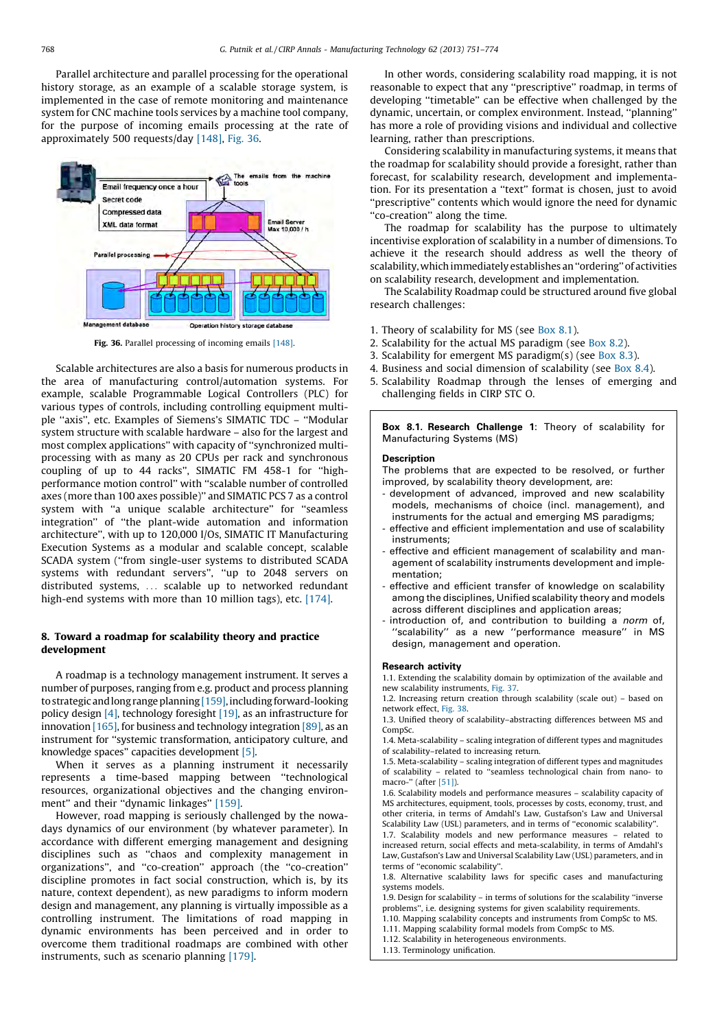Parallel architecture and parallel processing for the operational history storage, as an example of a scalable storage system, is implemented in the case of remote monitoring and maintenance system for CNC machine tools services by a machine tool company, for the purpose of incoming emails processing at the rate of approximately 500 requests/day [\[148\],](#page-22-0) Fig. 36.



Fig. 36. Parallel processing of incoming emails [\[148\].](#page-22-0)

Scalable architectures are also a basis for numerous products in the area of manufacturing control/automation systems. For example, scalable Programmable Logical Controllers (PLC) for various types of controls, including controlling equipment multiple ''axis'', etc. Examples of Siemens's SIMATIC TDC – ''Modular system structure with scalable hardware – also for the largest and most complex applications'' with capacity of ''synchronized multiprocessing with as many as 20 CPUs per rack and synchronous coupling of up to 44 racks'', SIMATIC FM 458-1 for ''highperformance motion control'' with ''scalable number of controlled axes (more than 100 axes possible)'' and SIMATIC PCS 7 as a control system with "a unique scalable architecture" for "seamless integration'' of ''the plant-wide automation and information architecture'', with up to 120,000 I/Os, SIMATIC IT Manufacturing Execution Systems as a modular and scalable concept, scalable SCADA system (''from single-user systems to distributed SCADA systems with redundant servers'', ''up to 2048 servers on distributed systems, ... scalable up to networked redundant high-end systems with more than 10 million tags), etc. [\[174\]](#page-23-0).

## 8. Toward a roadmap for scalability theory and practice development

A roadmap is a technology management instrument. It serves a number of purposes, ranging from e.g. product and process planning to strategic and long range planning[\[159\],](#page-22-0) including forward-looking policy design [\[4\],](#page-20-0) technology foresight [\[19\]](#page-20-0), as an infrastructure for innovation  $[165]$ , for business and technology integration  $[89]$ , as an instrument for ''systemic transformation, anticipatory culture, and knowledge spaces'' capacities development [\[5\]](#page-20-0).

When it serves as a planning instrument it necessarily represents a time-based mapping between ''technological resources, organizational objectives and the changing environ-ment" and their "dynamic linkages" [\[159\]](#page-22-0).

However, road mapping is seriously challenged by the nowadays dynamics of our environment (by whatever parameter). In accordance with different emerging management and designing disciplines such as ''chaos and complexity management in organizations'', and ''co-creation'' approach (the ''co-creation'' discipline promotes in fact social construction, which is, by its nature, context dependent), as new paradigms to inform modern design and management, any planning is virtually impossible as a controlling instrument. The limitations of road mapping in dynamic environments has been perceived and in order to overcome them traditional roadmaps are combined with other instruments, such as scenario planning [\[179\].](#page-23-0)

In other words, considering scalability road mapping, it is not reasonable to expect that any ''prescriptive'' roadmap, in terms of developing ''timetable'' can be effective when challenged by the dynamic, uncertain, or complex environment. Instead, ''planning'' has more a role of providing visions and individual and collective learning, rather than prescriptions.

Considering scalability in manufacturing systems, it means that the roadmap for scalability should provide a foresight, rather than forecast, for scalability research, development and implementation. For its presentation a ''text'' format is chosen, just to avoid ''prescriptive'' contents which would ignore the need for dynamic ''co-creation'' along the time.

The roadmap for scalability has the purpose to ultimately incentivise exploration of scalability in a number of dimensions. To achieve it the research should address as well the theory of scalability,which immediately establishes an ''ordering'' of activities on scalability research, development and implementation.

The Scalability Roadmap could be structured around five global research challenges:

- 1. Theory of scalability for MS (see Box 8.1).
- 2. Scalability for the actual MS paradigm (see [Box 8.2](#page-18-0)).
- 3. Scalability for emergent MS paradigm(s) (see [Box 8.3](#page-18-0)).
- 4. Business and social dimension of scalability (see [Box 8.4](#page-18-0)).
- 5. Scalability Roadmap through the lenses of emerging and challenging fields in CIRP STC O.

Box 8.1. Research Challenge 1: Theory of scalability for Manufacturing Systems (MS)

## Description

The problems that are expected to be resolved, or further improved, by scalability theory development, are:

- development of advanced, improved and new scalability models, mechanisms of choice (incl. management), and instruments for the actual and emerging MS paradigms;
- effective and efficient implementation and use of scalability instruments;
- effective and efficient management of scalability and management of scalability instruments development and implementation;
- effective and efficient transfer of knowledge on scalability among the disciplines, Unified scalability theory and models across different disciplines and application areas;
- introduction of, and contribution to building a norm of, "scalability" as a new "performance measure" in MS design, management and operation.

#### Research activity

1.1. Extending the scalability domain by optimization of the available and new scalability instruments, [Fig. 37.](#page-19-0)

1.2. Increasing return creation through scalability (scale out) – based on network effect, [Fig. 38.](#page-19-0)

1.3. Unified theory of scalability–abstracting differences between MS and CompSc.

1.4. Meta-scalability – scaling integration of different types and magnitudes of scalability–related to increasing return.

1.5. Meta-scalability – scaling integration of different types and magnitudes of scalability – related to ''seamless technological chain from nano- to macro-" (after [\[51\]](#page-21-0)).

1.6. Scalability models and performance measures – scalability capacity of MS architectures, equipment, tools, processes by costs, economy, trust, and other criteria, in terms of Amdahl's Law, Gustafson's Law and Universal Scalability Law (USL) parameters, and in terms of ''economic scalability''.

1.7. Scalability models and new performance measures – related to increased return, social effects and meta-scalability, in terms of Amdahl's Law, Gustafson's Law and Universal Scalability Law (USL) parameters, and in terms of ''economic scalability''.

1.8. Alternative scalability laws for specific cases and manufacturing systems models.

1.9. Design for scalability – in terms of solutions for the scalability ''inverse problems'', i.e. designing systems for given scalability requirements.

1.10. Mapping scalability concepts and instruments from CompSc to MS.

1.11. Mapping scalability formal models from CompSc to MS.

1.12. Scalability in heterogeneous environments.

1.13. Terminology unification.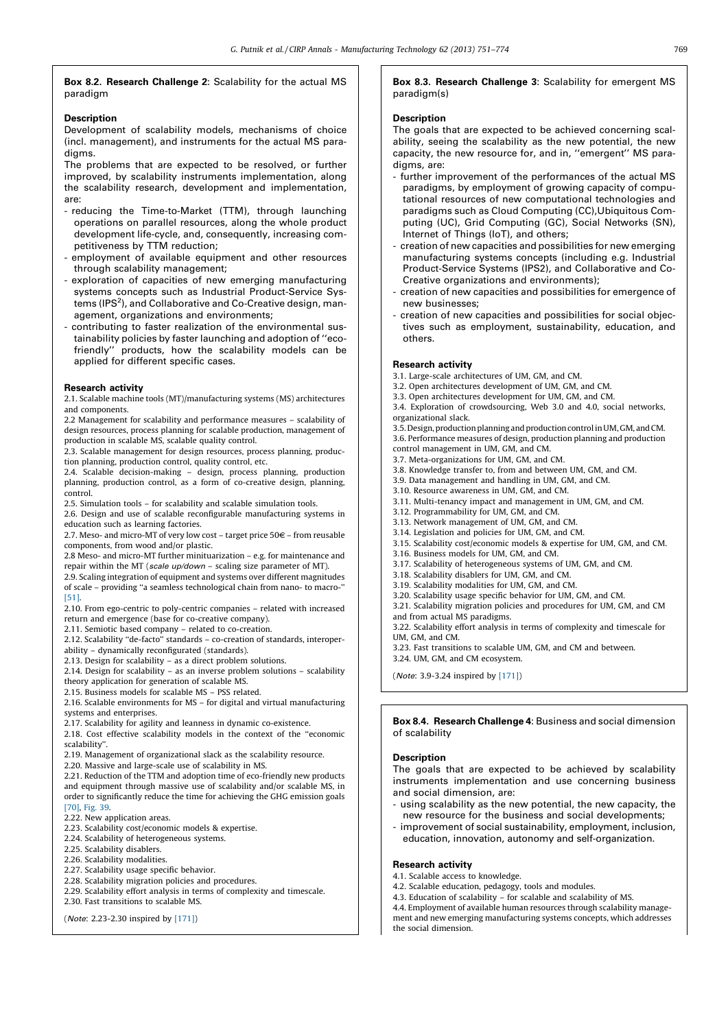<span id="page-18-0"></span>Box 8.2. Research Challenge 2: Scalability for the actual MS paradigm

## **Description**

Development of scalability models, mechanisms of choice (incl. management), and instruments for the actual MS paradigms.

The problems that are expected to be resolved, or further improved, by scalability instruments implementation, along the scalability research, development and implementation, are:

- reducing the Time-to-Market (TTM), through launching operations on parallel resources, along the whole product development life-cycle, and, consequently, increasing competitiveness by TTM reduction;
- employment of available equipment and other resources through scalability management;
- exploration of capacities of new emerging manufacturing systems concepts such as Industrial Product-Service Systems (IPS<sup>2</sup>), and Collaborative and Co-Creative design, management, organizations and environments;
- contributing to faster realization of the environmental sustainability policies by faster launching and adoption of ''ecofriendly'' products, how the scalability models can be applied for different specific cases.

# Research activity

2.1. Scalable machine tools (MT)/manufacturing systems (MS) architectures and components.

2.2 Management for scalability and performance measures – scalability of design resources, process planning for scalable production, management of production in scalable MS, scalable quality control.

2.3. Scalable management for design resources, process planning, production planning, production control, quality control, etc.

2.4. Scalable decision-making – design, process planning, production planning, production control, as a form of co-creative design, planning, control.

2.5. Simulation tools – for scalability and scalable simulation tools.

2.6. Design and use of scalable reconfigurable manufacturing systems in education such as learning factories.

2.7. Meso- and micro-MT of very low cost - target price  $50 \in$  - from reusable components, from wood and/or plastic.

2.8 Meso- and micro-MT further minituarization – e.g. for maintenance and repair within the MT (scale up/down – scaling size parameter of MT).

2.9. Scaling integration of equipment and systems over different magnitudes of scale – providing "a seamless technological chain from nano- to macro-[\[51\]](#page-21-0).

2.10. From ego-centric to poly-centric companies – related with increased return and emergence (base for co-creative company).

2.11. Semiotic based company – related to co-creation.

2.12. Scalability ''de-facto'' standards – co-creation of standards, interoperability – dynamically reconfigurated (standards).

2.13. Design for scalability – as a direct problem solutions.

2.14. Design for scalability – as an inverse problem solutions – scalability theory application for generation of scalable MS.

2.15. Business models for scalable MS – PSS related.

2.16. Scalable environments for MS – for digital and virtual manufacturing systems and enterprises.

2.17. Scalability for agility and leanness in dynamic co-existence.

2.18. Cost effective scalability models in the context of the ''economic scalability''.

2.19. Management of organizational slack as the scalability resource.

2.20. Massive and large-scale use of scalability in MS.

2.21. Reduction of the TTM and adoption time of eco-friendly new products and equipment through massive use of scalability and/or scalable MS, in order to significantly reduce the time for achieving the GHG emission goals

#### [\[70\],](#page-21-0) [Fig. 39](#page-19-0).

2.22. New application areas.

2.23. Scalability cost/economic models & expertise.

2.24. Scalability of heterogeneous systems.

2.25. Scalability disablers.

2.26. Scalability modalities.

- 2.27. Scalability usage specific behavior.
- 2.28. Scalability migration policies and procedures.

2.29. Scalability effort analysis in terms of complexity and timescale. 2.30. Fast transitions to scalable MS.

(Note: 2.23-2.30 inspired by [\[171\]](#page-23-0))

Box 8.3. Research Challenge 3: Scalability for emergent MS paradigm(s)

#### **Description**

The goals that are expected to be achieved concerning scalability, seeing the scalability as the new potential, the new capacity, the new resource for, and in, ''emergent'' MS paradiams, are:

- further improvement of the performances of the actual MS paradigms, by employment of growing capacity of computational resources of new computational technologies and paradigms such as Cloud Computing (CC),Ubiquitous Computing (UC), Grid Computing (GC), Social Networks (SN), Internet of Things (IoT), and others;
- creation of new capacities and possibilities for new emerging manufacturing systems concepts (including e.g. Industrial Product-Service Systems (IPS2), and Collaborative and Co-Creative organizations and environments);
- creation of new capacities and possibilities for emergence of new businesses;
- creation of new capacities and possibilities for social objectives such as employment, sustainability, education, and others.

## Research activity

3.1. Large-scale architectures of UM, GM, and CM.

- 3.2. Open architectures development of UM, GM, and CM.
- 3.3. Open architectures development for UM, GM, and CM.

3.4. Exploration of crowdsourcing, Web 3.0 and 4.0, social networks, organizational slack.

3.5. Design, production planning and production control in UM, GM, and CM. 3.6. Performance measures of design, production planning and production control management in UM, GM, and CM.

- 3.7. Meta-organizations for UM, GM, and CM.
- 3.8. Knowledge transfer to, from and between UM, GM, and CM.
- 3.9. Data management and handling in UM, GM, and CM.

3.10. Resource awareness in UM, GM, and CM.

- 3.11. Multi-tenancy impact and management in UM, GM, and CM.
- 3.12. Programmability for UM, GM, and CM.
- 3.13. Network management of UM, GM, and CM.
- 3.14. Legislation and policies for UM, GM, and CM.
- 3.15. Scalability cost/economic models & expertise for UM, GM, and CM.
- 3.16. Business models for UM, GM, and CM.
- 3.17. Scalability of heterogeneous systems of UM, GM, and CM.
- 3.18. Scalability disablers for UM, GM, and CM.
- 3.19. Scalability modalities for UM, GM, and CM. 3.20. Scalability usage specific behavior for UM, GM, and CM.
- 3.21. Scalability migration policies and procedures for UM, GM, and CM

and from actual MS paradigms. 3.22. Scalability effort analysis in terms of complexity and timescale for

UM, GM, and CM.

3.23. Fast transitions to scalable UM, GM, and CM and between. 3.24. UM, GM, and CM ecosystem.

(Note: 3.9-3.24 inspired by [\[171\]](#page-23-0))

Box 8.4. Research Challenge 4: Business and social dimension of scalability

## Description

The goals that are expected to be achieved by scalability instruments implementation and use concerning business and social dimension, are:

- using scalability as the new potential, the new capacity, the new resource for the business and social developments;
- improvement of social sustainability, employment, inclusion, education, innovation, autonomy and self-organization.

## Research activity

4.1. Scalable access to knowledge.

4.2. Scalable education, pedagogy, tools and modules.

4.3. Education of scalability – for scalable and scalability of MS.

4.4. Employment of available human resources through scalability management and new emerging manufacturing systems concepts, which addresses the social dimension.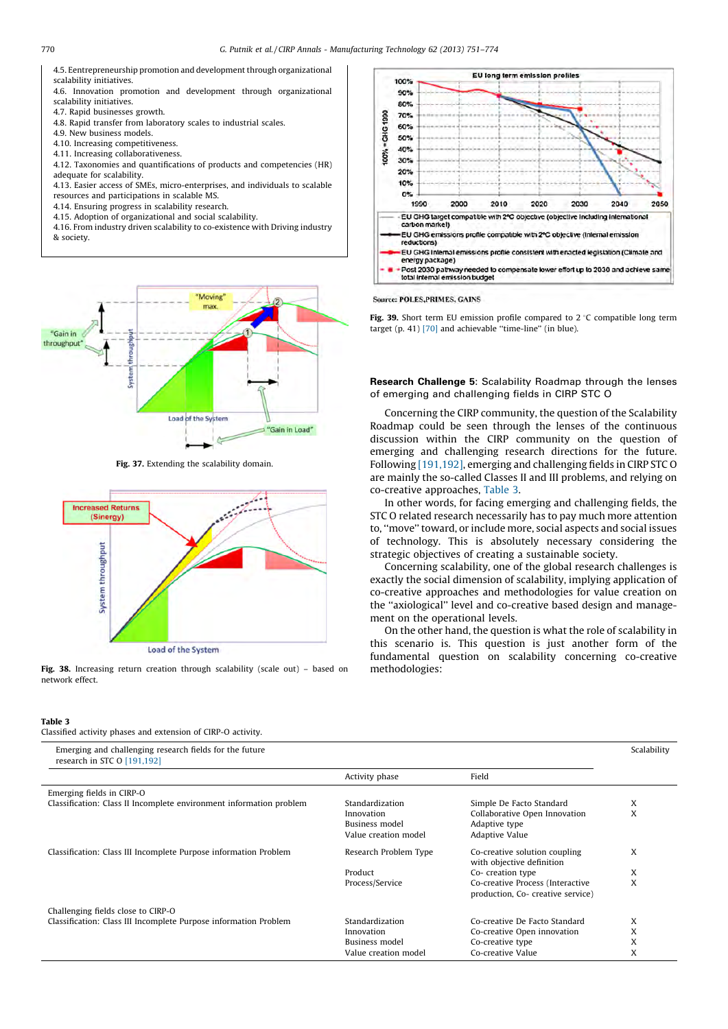<span id="page-19-0"></span>

4.6. Innovation promotion and development through organizational scalability initiatives.

4.7. Rapid businesses growth.

4.8. Rapid transfer from laboratory scales to industrial scales.

4.9. New business models.

4.10. Increasing competitiveness.

4.11. Increasing collaborativeness.

4.12. Taxonomies and quantifications of products and competencies (HR) adequate for scalability.

4.13. Easier access of SMEs, micro-enterprises, and individuals to scalable resources and participations in scalable MS.

4.14. Ensuring progress in scalability research.

4.15. Adoption of organizational and social scalability.

4.16. From industry driven scalability to co-existence with Driving industry & society.



Fig. 37. Extending the scalability domain.



Fig. 38. Increasing return creation through scalability (scale out) - based on network effect.

#### Table 3

Classified activity phases and extension of CIRP-O activity.

|                    |                                                  |                                                                                                                                                                                                                                                   |      | EU long term emission profiles |      |      |      |
|--------------------|--------------------------------------------------|---------------------------------------------------------------------------------------------------------------------------------------------------------------------------------------------------------------------------------------------------|------|--------------------------------|------|------|------|
|                    | 100%                                             |                                                                                                                                                                                                                                                   |      |                                |      |      |      |
|                    | 90%                                              |                                                                                                                                                                                                                                                   |      |                                |      |      |      |
|                    | 80%                                              |                                                                                                                                                                                                                                                   |      |                                |      |      |      |
|                    | 70%                                              |                                                                                                                                                                                                                                                   |      |                                |      |      |      |
|                    | 60%                                              |                                                                                                                                                                                                                                                   |      |                                |      |      |      |
| $100\% = GHG 1990$ | 50%                                              |                                                                                                                                                                                                                                                   |      |                                |      |      |      |
|                    | 40%                                              |                                                                                                                                                                                                                                                   |      |                                |      |      |      |
|                    | 30%                                              |                                                                                                                                                                                                                                                   |      |                                |      |      |      |
|                    | 20%                                              |                                                                                                                                                                                                                                                   |      |                                |      |      |      |
|                    | 10%                                              |                                                                                                                                                                                                                                                   |      |                                |      |      |      |
|                    | $0\%$                                            |                                                                                                                                                                                                                                                   |      |                                |      |      |      |
|                    | 1990                                             | 2000                                                                                                                                                                                                                                              | 2010 | 2020                           | 2030 | 2040 | 2050 |
|                    | carbon market)<br>reductions)<br>energy package) | EU GHG target compatible with 2°C objective (objective including international<br>EU GHG emissions profile compatible with 2°C objective (internal emission<br>EU GHG Inlernal emissions profile consistent with enacted legislation (Climate and |      |                                |      |      |      |
|                    |                                                  | Post 2030 pathway needed to compensate lower effort up to 2030 and achieve same<br>total internal emission budget                                                                                                                                 |      |                                |      |      |      |

**Source: POLES, PRIMES, GAINS** 

Fig. 39. Short term EU emission profile compared to  $2^{\circ}$ C compatible long term target (p. 41) [\[70\]](#page-21-0) and achievable "time-line" (in blue).

Research Challenge 5: Scalability Roadmap through the lenses of emerging and challenging fields in CIRP STC O

Concerning the CIRP community, the question of the Scalability Roadmap could be seen through the lenses of the continuous discussion within the CIRP community on the question of emerging and challenging research directions for the future. Following [\[191,192\],](#page-23-0) emerging and challenging fields in CIRP STC O are mainly the so-called Classes II and III problems, and relying on co-creative approaches, Table 3.

In other words, for facing emerging and challenging fields, the STC O related research necessarily has to pay much more attention to, ''move'' toward, or include more, social aspects and social issues of technology. This is absolutely necessary considering the strategic objectives of creating a sustainable society.

Concerning scalability, one of the global research challenges is exactly the social dimension of scalability, implying application of co-creative approaches and methodologies for value creation on the ''axiological'' level and co-creative based design and management on the operational levels.

On the other hand, the question is what the role of scalability in this scenario is. This question is just another form of the fundamental question on scalability concerning co-creative methodologies:

| Emerging and challenging research fields for the future<br>research in STC $O$ [191,192] |                               |                                                                       |        |  |  |  |  |
|------------------------------------------------------------------------------------------|-------------------------------|-----------------------------------------------------------------------|--------|--|--|--|--|
|                                                                                          | Activity phase                | Field                                                                 |        |  |  |  |  |
| Emerging fields in CIRP-O                                                                |                               |                                                                       |        |  |  |  |  |
| Classification: Class II Incomplete environment information problem                      | Standardization<br>Innovation | Simple De Facto Standard<br>Collaborative Open Innovation             | X<br>X |  |  |  |  |
|                                                                                          | Business model                | Adaptive type                                                         |        |  |  |  |  |
|                                                                                          | Value creation model          | Adaptive Value                                                        |        |  |  |  |  |
| Classification: Class III Incomplete Purpose information Problem                         | Research Problem Type         | Co-creative solution coupling<br>with objective definition            | X      |  |  |  |  |
|                                                                                          | Product                       | Co- creation type                                                     | X      |  |  |  |  |
|                                                                                          | Process/Service               | Co-creative Process (Interactive<br>production, Co- creative service) | X      |  |  |  |  |
| Challenging fields close to CIRP-O                                                       |                               |                                                                       |        |  |  |  |  |
| Classification: Class III Incomplete Purpose information Problem                         | Standardization               | Co-creative De Facto Standard                                         | X      |  |  |  |  |
|                                                                                          | Innovation                    | Co-creative Open innovation                                           | X      |  |  |  |  |
|                                                                                          | Business model                | Co-creative type                                                      | X      |  |  |  |  |
|                                                                                          | Value creation model          | Co-creative Value                                                     | X      |  |  |  |  |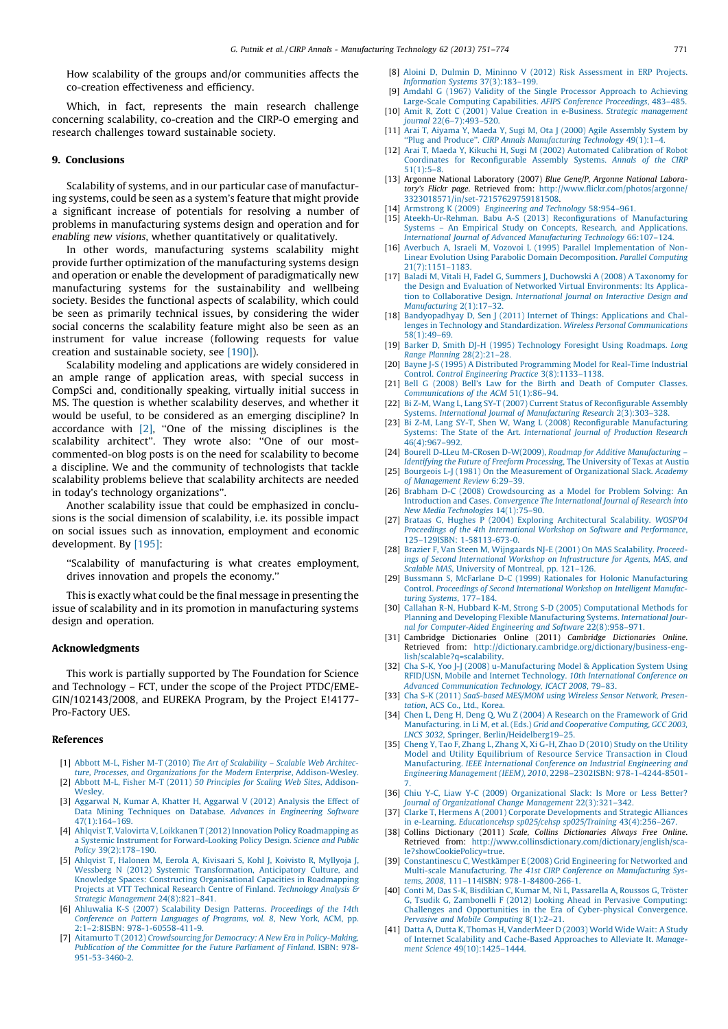<span id="page-20-0"></span>How scalability of the groups and/or communities affects the co-creation effectiveness and efficiency.

Which, in fact, represents the main research challenge concerning scalability, co-creation and the CIRP-O emerging and research challenges toward sustainable society.

## 9. Conclusions

Scalability of systems, and in our particular case of manufacturing systems, could be seen as a system's feature that might provide a significant increase of potentials for resolving a number of problems in manufacturing systems design and operation and for enabling new visions, whether quantitatively or qualitatively.

In other words, manufacturing systems scalability might provide further optimization of the manufacturing systems design and operation or enable the development of paradigmatically new manufacturing systems for the sustainability and wellbeing society. Besides the functional aspects of scalability, which could be seen as primarily technical issues, by considering the wider social concerns the scalability feature might also be seen as an instrument for value increase (following requests for value creation and sustainable society, see [\[190\]\)](#page-23-0).

Scalability modeling and applications are widely considered in an ample range of application areas, with special success in CompSci and, conditionally speaking, virtually initial success in MS. The question is whether scalability deserves, and whether it would be useful, to be considered as an emerging discipline? In accordance with [2], ''One of the missing disciplines is the scalability architect''. They wrote also: ''One of our mostcommented-on blog posts is on the need for scalability to become a discipline. We and the community of technologists that tackle scalability problems believe that scalability architects are needed in today's technology organizations''.

Another scalability issue that could be emphasized in conclusions is the social dimension of scalability, i.e. its possible impact on social issues such as innovation, employment and economic development. By [\[195\]](#page-23-0):

''Scalability of manufacturing is what creates employment, drives innovation and propels the economy.''

This is exactly what could be the final message in presenting the issue of scalability and in its promotion in manufacturing systems design and operation.

#### Acknowledgments

This work is partially supported by The Foundation for Science and Technology – FCT, under the scope of the Project PTDC/EME-GIN/102143/2008, and EUREKA Program, by the Project E!4177- Pro-Factory UES.

#### References

- [1] Abbott M-L, Fisher M-T (2010) [The Art of Scalability Scalable Web Architec-](http://refhub.elsevier.com/S0007-8506(13)00192-3/sbref0005)[ture, Processes, and Organizations for the Modern Enterprise](http://refhub.elsevier.com/S0007-8506(13)00192-3/sbref0005), Addison-Wesley[.](http://refhub.elsevier.com/S0007-8506(13)00192-3/sbref0005)
- [2] Abbott M-L, Fisher M-T (2011) [50 Principles for Scaling Web Sites](http://refhub.elsevier.com/S0007-8506(13)00192-3/sbref0010), Addison-[Wesley.](http://refhub.elsevier.com/S0007-8506(13)00192-3/sbref0010)
- [3] [Aggarwal N, Kumar A, Khatter H, Aggarwal V \(2012\) Analysis the Effect of](http://refhub.elsevier.com/S0007-8506(13)00192-3/sbref0015) [Data Mining Techniques on Database.](http://refhub.elsevier.com/S0007-8506(13)00192-3/sbref0015) Advances in Engineering Software [47\(1\):164–169.](http://refhub.elsevier.com/S0007-8506(13)00192-3/sbref0015)
- [4] [Ahlqvist T, Valovirta V, Loikkanen T \(2012\) Innovation Policy Roadmapping as](http://refhub.elsevier.com/S0007-8506(13)00192-3/sbref0020) [a Systemic Instrument for Forward-Looking Policy Design.](http://refhub.elsevier.com/S0007-8506(13)00192-3/sbref0020) Science and Public Policy [39\(2\):178–190.](http://refhub.elsevier.com/S0007-8506(13)00192-3/sbref0020)
- [5] [Ahlqvist T, Halonen M, Eerola A, Kivisaari S, Kohl J, Koivisto R, Myllyoja J,](http://refhub.elsevier.com/S0007-8506(13)00192-3/sbref0025) [Wessberg N \(2012\) Systemic Transformation, Anticipatory Culture, and](http://refhub.elsevier.com/S0007-8506(13)00192-3/sbref0025) [Knowledge Spaces: Constructing Organisational Capacities in Roadmapping](http://refhub.elsevier.com/S0007-8506(13)00192-3/sbref0025) [Projects at VTT Technical Research Centre of Finland.](http://refhub.elsevier.com/S0007-8506(13)00192-3/sbref0025) Technology Analysis & [Strategic Management](http://refhub.elsevier.com/S0007-8506(13)00192-3/sbref0025) 24(8):821–841.
- [6] [Ahluwalia K-S \(2007\) Scalability Design Patterns.](http://refhub.elsevier.com/S0007-8506(13)00192-3/sbref0030) Proceedings of the 14th [Conference on Pattern Languages of Programs, vol. 8](http://refhub.elsevier.com/S0007-8506(13)00192-3/sbref0030), New York, AC[M, pp.](http://refhub.elsevier.com/S0007-8506(13)00192-3/sbref0030) [2:1–2:8ISBN: 978-1-60558-411-9.](http://refhub.elsevier.com/S0007-8506(13)00192-3/sbref0030)
- [7] Aitamurto T (2012) [Crowdsourcing for Democracy: A New Era in Policy-Making,](http://refhub.elsevier.com/S0007-8506(13)00192-3/sbref0035) [Publication of the Committee for the Future Parliament of Finland](http://refhub.elsevier.com/S0007-8506(13)00192-3/sbref0035). ISBN: 978- [951-53-3460-2.](http://refhub.elsevier.com/S0007-8506(13)00192-3/sbref0035)
- [8] [Aloini D, Dulmin D, Mininno V \(2012\) Risk Assessment in ERP Projects.](http://refhub.elsevier.com/S0007-8506(13)00192-3/sbref0040) [Information Systems](http://refhub.elsevier.com/S0007-8506(13)00192-3/sbref0040) 37(3):183–199.
- [9] [Amdahl G \(1967\) Validity of the Single Processor Approach to Achieving](http://refhub.elsevier.com/S0007-8506(13)00192-3/sbref0045) [Large-Scale Computing Capabilities.](http://refhub.elsevier.com/S0007-8506(13)00192-3/sbref0045) AFIPS Conference Proceedings, 483–485. [10] [Amit R, Zott C \(2001\) Value Creation in e-Business.](http://refhub.elsevier.com/S0007-8506(13)00192-3/sbref0050) Strategic management
- journal [22\(6–7\):493–520.](http://refhub.elsevier.com/S0007-8506(13)00192-3/sbref0050) [11] [Arai T, Aiyama Y, Maeda Y, Sugi M, Ota J \(2000\) Agile Assembly System by](http://refhub.elsevier.com/S0007-8506(13)00192-3/sbref0055) ''Plug and Produce''. [CIRP Annals Manufacturing Technology](http://refhub.elsevier.com/S0007-8506(13)00192-3/sbref0055) 49(1):1–4.
- [12] [Arai T, Maeda Y, Kikuchi H, Sugi M \(2002\) Automated Calibration of Robot](http://refhub.elsevier.com/S0007-8506(13)00192-3/sbref0060) [Coordinates for Reconfigurable Assembly Systems.](http://refhub.elsevier.com/S0007-8506(13)00192-3/sbref0060) Annals of the CIRP  $51(1):5-8$
- [13] Argonne National Laboratory (2007) Blue Gene/P, Argonne National Laboratory's Flickr page. Retrieved from: [http://www.flickr.com/photos/argonne/](http://www.flickr.com/photos/argonne/3323018571/in/set-72157629759181508) [3323018571/in/set-72157629759181508](http://www.flickr.com/photos/argonne/3323018571/in/set-72157629759181508).
- [14] Armstrong K (2009) [Engineering and Technology](http://refhub.elsevier.com/S0007-8506(13)00192-3/sbref0070) 58:954–961.
- [15] [Ateekh-Ur-Rehman. Babu A-S \(2013\) Reconfigurations of Manufacturing](http://refhub.elsevier.com/S0007-8506(13)00192-3/sbref0075) [Systems – An Empirical Study on Concepts, Research, and Applications.](http://refhub.elsevier.com/S0007-8506(13)00192-3/sbref0075)
- [International Journal of Advanced Manufacturing Technology](http://refhub.elsevier.com/S0007-8506(13)00192-3/sbref0075) 66:107–124. [16] [Averbuch A, Israeli M, Vozovoi L \(1995\) Parallel Implementation of Non-](http://refhub.elsevier.com/S0007-8506(13)00192-3/sbref0080)[Linear Evolution Using Parabolic Domain Decomposition.](http://refhub.elsevier.com/S0007-8506(13)00192-3/sbref0080) Parallel Computing [21\(7\):1151–1183.](http://refhub.elsevier.com/S0007-8506(13)00192-3/sbref0080)
- [17] [Baladi M, Vitali H, Fadel G, Summers J, Duchowski A \(2008\) A Taxonomy for](http://refhub.elsevier.com/S0007-8506(13)00192-3/sbref0085) [the Design and Evaluation of Networked Virtual Environments: Its Applica](http://refhub.elsevier.com/S0007-8506(13)00192-3/sbref0085)tion to Collaborative Design. [International Journal on Interactive Design and](http://refhub.elsevier.com/S0007-8506(13)00192-3/sbref0085) [Manufacturing](http://refhub.elsevier.com/S0007-8506(13)00192-3/sbref0085) 2(1):17-32.
- [18] [Bandyopadhyay D, Sen J \(2011\) Internet of Things: Applications and Chal](http://refhub.elsevier.com/S0007-8506(13)00192-3/sbref0090)[lenges in Technology and Standardization.](http://refhub.elsevier.com/S0007-8506(13)00192-3/sbref0090) Wireless Personal Communications [58\(1\):49–69.](http://refhub.elsevier.com/S0007-8506(13)00192-3/sbref0090)
- [19] [Barker D, Smith DJ-H \(1995\) Technology Foresight Using Roadmaps.](http://refhub.elsevier.com/S0007-8506(13)00192-3/sbref0095) Long [Range Planning](http://refhub.elsevier.com/S0007-8506(13)00192-3/sbref0095) 28(2):21–28.
- [20] Bayne [J-S \(1995\) A Distributed Programming Model for Real-Time Industrial](http://refhub.elsevier.com/S0007-8506(13)00192-3/sbref0100) Control. [Control Engineering Practice](http://refhub.elsevier.com/S0007-8506(13)00192-3/sbref0100) 3(8):1133–1138.
- [21] [Bell G \(2008\) Bell's Law for the Birth and Death of Computer Classes.](http://refhub.elsevier.com/S0007-8506(13)00192-3/sbref0105) [Communications of the ACM](http://refhub.elsevier.com/S0007-8506(13)00192-3/sbref0105) 51(1):86–94.
- [22] [Bi Z-M, Wang L, Lang SY-T \(2007\) Current Status of Reconfigurable Assembly](http://refhub.elsevier.com/S0007-8506(13)00192-3/sbref0110) Systems. [International Journal of Manufacturing Research](http://refhub.elsevier.com/S0007-8506(13)00192-3/sbref0110) 2(3):303–328.
- [23] [Bi Z-M, Lang SY-T, Shen W, Wang L \(2008\) Reconfigurable Manufacturing](http://refhub.elsevier.com/S0007-8506(13)00192-3/sbref0115) Systems: The State of the Art. [International Journal of Production Research](http://refhub.elsevier.com/S0007-8506(13)00192-3/sbref0115) [46\(4\):967–992.](http://refhub.elsevier.com/S0007-8506(13)00192-3/sbref0115)
- [24] [Bourell D-LLeu M-CRosen D-W\(2009\),](http://refhub.elsevier.com/S0007-8506(13)00192-3/sbref0120) Roadmap for Additive Manufacturing [Identifying the Future of Freeform Processing](http://refhub.elsevier.com/S0007-8506(13)00192-3/sbref0120), The University of Texas at Austi[n.](http://refhub.elsevier.com/S0007-8506(13)00192-3/sbref0120)
- [25] [Bourgeois L-J \(1981\) On the Measurement of Organizational Slack.](http://refhub.elsevier.com/S0007-8506(13)00192-3/sbref0125) Academy [of Management Review](http://refhub.elsevier.com/S0007-8506(13)00192-3/sbref0125) 6:29–39.
- [26] [Brabham D-C \(2008\) Crowdsourcing as a Model for Problem Solving: An](http://refhub.elsevier.com/S0007-8506(13)00192-3/sbref0130) Introduction and Cases. [Convergence The International Journal of Research into](http://refhub.elsevier.com/S0007-8506(13)00192-3/sbref0130) [New Media Technologies](http://refhub.elsevier.com/S0007-8506(13)00192-3/sbref0130) 14(1):75–90.
- [27] [Brataas G, Hughes P \(2004\) Exploring Architectural Scalability.](http://refhub.elsevier.com/S0007-8506(13)00192-3/sbref0135) WOSP'04 [Proceedings of the 4th International Workshop on Software and Performance](http://refhub.elsevier.com/S0007-8506(13)00192-3/sbref0135), [125–129ISBN: 1-58113-673-0.](http://refhub.elsevier.com/S0007-8506(13)00192-3/sbref0135)
- [28] [Brazier F, Van Steen M, Wijngaards NJ-E \(2001\) On MAS Scalability.](http://refhub.elsevier.com/S0007-8506(13)00192-3/sbref0140) Proceed[ings of Second International Workshop on Infrastructure for Agents, MAS, and](http://refhub.elsevier.com/S0007-8506(13)00192-3/sbref0140) Scalable MAS[, University of Montreal, pp. 121–126.](http://refhub.elsevier.com/S0007-8506(13)00192-3/sbref0140)
- [29] [Bussmann S, McFarlane D-C \(1999\) Rationales for Holonic Manufacturing](http://refhub.elsevier.com/S0007-8506(13)00192-3/sbref0145) Control. [Proceedings of Second International Workshop on Intelligent Manufac](http://refhub.elsevier.com/S0007-8506(13)00192-3/sbref0145)[turing Systems](http://refhub.elsevier.com/S0007-8506(13)00192-3/sbref0145), 177–184.
- [30] [Callahan R-N, Hubbard K-M, Strong S-D \(2005\) Computational Methods for](http://refhub.elsevier.com/S0007-8506(13)00192-3/sbref0150) [Planning and Developing Flexible Manufacturing Systems.](http://refhub.elsevier.com/S0007-8506(13)00192-3/sbref0150) International Jour[nal for Computer-Aided Engineering and Software](http://refhub.elsevier.com/S0007-8506(13)00192-3/sbref0150) 22(8):958–971.
- [31] Cambridge Dictionaries Online (2011) Cambridge Dictionaries Online. Retrieved from: [http://dictionary.cambridge.org/dictionary/business-eng](http://dictionary.cambridge.org/dictionary/business-english/scalable?q=scalability)[lish/scalable?q=scalability.](http://dictionary.cambridge.org/dictionary/business-english/scalable?q=scalability)
- [32] [Cha S-K, Yoo J-J \(2008\) u-Manufacturing Model & Application System Using](http://refhub.elsevier.com/S0007-8506(13)00192-3/sbref0160) [RFID/USN, Mobile and Internet Technology.](http://refhub.elsevier.com/S0007-8506(13)00192-3/sbref0160) 10th International Conference on [Advanced Communication Technology, ICACT 2008](http://refhub.elsevier.com/S0007-8506(13)00192-3/sbref0160), 79–83.
- [33] Cha S-K (2011) [SaaS-based MES/MOM using Wireless Sensor Network, Presen](http://refhub.elsevier.com/S0007-8506(13)00192-3/sbref0165)tation[, ACS Co., Ltd., Korea.](http://refhub.elsevier.com/S0007-8506(13)00192-3/sbref0165)
- [34] [Chen L, Deng H, Deng Q, Wu Z \(2004\) A Research on the Framework of Grid](http://refhub.elsevier.com/S0007-8506(13)00192-3/sbref0170) Manufacturing. in Li M, et al. (Eds.) [Grid and Cooperative Computing, GCC 2003,](http://refhub.elsevier.com/S0007-8506(13)00192-3/sbref0170) LNCS 3032[, Springer, Berlin/Heidelberg19–25.](http://refhub.elsevier.com/S0007-8506(13)00192-3/sbref0170)
- [35] [Cheng Y, Tao F, Zhang L, Zhang X, Xi G-H, Zhao D \(2010\) Study on the Utility](http://refhub.elsevier.com/S0007-8506(13)00192-3/sbref0175) [Model and Utility Equilibrium of Resource Service Transaction in Cloud](http://refhub.elsevier.com/S0007-8506(13)00192-3/sbref0175) Manufacturing. [IEEE International Conference on Industrial Engineering and](http://refhub.elsevier.com/S0007-8506(13)00192-3/sbref0175) Engineering Management (IEEM), 2010[, 2298–2302ISBN: 978-1-4244-8501-](http://refhub.elsevier.com/S0007-8506(13)00192-3/sbref0175)
- [7.](http://refhub.elsevier.com/S0007-8506(13)00192-3/sbref0175) [36] [Chiu Y-C, Liaw Y-C \(2009\) Organizational Slack: Is More or Less Better?](http://refhub.elsevier.com/S0007-8506(13)00192-3/sbref0180) [Journal of Organizational Change Management](http://refhub.elsevier.com/S0007-8506(13)00192-3/sbref0180) 22(3):321–342.
- [37] [Clarke T, Hermens A \(2001\) Corporate Developments and Strategic Alliances](http://refhub.elsevier.com/S0007-8506(13)00192-3/sbref0185) in e-Learning. *[Educationcehsp sp025/cehsp sp025/Training](http://refhub.elsevier.com/S0007-8506(13)00192-3/sbref0185)*  $43(4)$ : $256-267$ .
- [38] Collins Dictionary (2011) Scale, Collins Dictionaries Always Free Online. Retrieved from: [http://www.collinsdictionary.com/dictionary/english/sca](http://www.collinsdictionary.com/dictionary/english/scale?showCookiePolicy=true)[le?showCookiePolicy=true](http://www.collinsdictionary.com/dictionary/english/scale?showCookiePolicy=true).
- [39] Constantinescu C, Westkämper E (2008) Grid Engineering for Networked and Multi-scale Manufacturing. [The 41st CIRP Conference on Manufacturing Sys](http://refhub.elsevier.com/S0007-8506(13)00192-3/sbref0195)tems, 2008[, 111–114ISBN: 978-1-84800-266-1.](http://refhub.elsevier.com/S0007-8506(13)00192-3/sbref0195)
- [40] Conti M, Das S-K, Bisdikian C, Kumar M, Ni L, Passarella A, Roussos G, Tröster [G, Tsudik G, Zambonelli F \(2012\) Looking Ahead in Pervasive Computing:](http://refhub.elsevier.com/S0007-8506(13)00192-3/sbref0200) [Challenges and Opportunities in the Era of Cyber-physical Convergence.](http://refhub.elsevier.com/S0007-8506(13)00192-3/sbref0200) [Pervasive and Mobile Computing](http://refhub.elsevier.com/S0007-8506(13)00192-3/sbref0200) 8(1):2–21.
- [41] [Datta A, Dutta K, Thomas H, VanderMeer D \(2003\) World Wide Wait: A Study](http://refhub.elsevier.com/S0007-8506(13)00192-3/sbref0205) [of Internet Scalability and Cache-Based Approaches to Alleviate It.](http://refhub.elsevier.com/S0007-8506(13)00192-3/sbref0205) Management Science [49\(10\):1425–1444.](http://refhub.elsevier.com/S0007-8506(13)00192-3/sbref0205)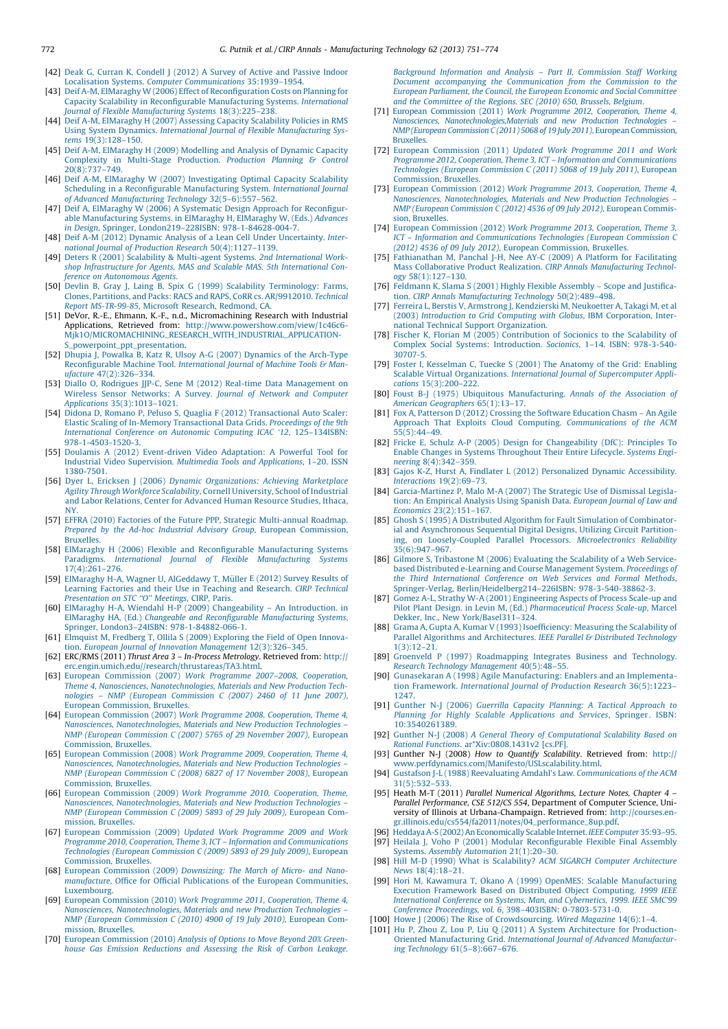- <span id="page-21-0"></span>[42] [Deak G, Curran K, Condell J \(2012\) A Survey of Active and Passive Indoor](http://refhub.elsevier.com/S0007-8506(13)00192-3/sbref0210) Localisation Systems. [Computer Communications](http://refhub.elsevier.com/S0007-8506(13)00192-3/sbref0210) 35:1939–1954.
- [43] [Deif A-M, ElMaraghy W \(2006\) Effect of Reconfiguration Costs on Planning for](http://refhub.elsevier.com/S0007-8506(13)00192-3/sbref0215) [Capacity Scalability in Reconfigurable Manufacturing Systems.](http://refhub.elsevier.com/S0007-8506(13)00192-3/sbref0215) International [Journal of Flexible Manufacturing Systems](http://refhub.elsevier.com/S0007-8506(13)00192-3/sbref0215) 18(3):225–238.
- [44] [Deif A-M, ElMaraghy H \(2007\) Assessing Capacity Scalability Policies in RMS](http://refhub.elsevier.com/S0007-8506(13)00192-3/sbref0220) Using System Dynamics. [International Journal of Flexible Manufacturing Sys](http://refhub.elsevier.com/S0007-8506(13)00192-3/sbref0220)tems [19\(3\):128–150.](http://refhub.elsevier.com/S0007-8506(13)00192-3/sbref0220)
- [45] [Deif A-M, ElMaraghy H \(2009\) Modelling and Analysis of Dynamic Capacity](http://refhub.elsevier.com/S0007-8506(13)00192-3/sbref0225) [Complexity in Multi-Stage Production.](http://refhub.elsevier.com/S0007-8506(13)00192-3/sbref0225) *Production Planning & Control*<br>[20\(8\):737–749.](http://refhub.elsevier.com/S0007-8506(13)00192-3/sbref0225)
- [46] [Deif A-M, ElMaraghy W \(2007\) Investigating Optimal Capacity Scalability](http://refhub.elsevier.com/S0007-8506(13)00192-3/sbref0230) [Scheduling in a Reconfigurable Manufacturing System.](http://refhub.elsevier.com/S0007-8506(13)00192-3/sbref0230) International Journal [of Advanced Manufacturing Technology](http://refhub.elsevier.com/S0007-8506(13)00192-3/sbref0230) 32(5–6):557–562.
- [47] [Deif A, ElMaraghy W \(2006\) A Systematic Design Approach for Reconfigur](http://refhub.elsevier.com/S0007-8506(13)00192-3/sbref0235)[able Manufacturing Systems. in ElMaraghy H, ElMaraghy W, \(Eds.\)](http://refhub.elsevier.com/S0007-8506(13)00192-3/sbref0235) Advances in Design[, Springer, London219–228ISBN: 978-1-84628-004-7.](http://refhub.elsevier.com/S0007-8506(13)00192-3/sbref0235)
- [48] [Deif A-M \(2012\) Dynamic Analysis of a Lean Cell Under Uncertainty.](http://refhub.elsevier.com/S0007-8506(13)00192-3/sbref0240) Inter[national Journal of Production Research](http://refhub.elsevier.com/S0007-8506(13)00192-3/sbref0240) 50(4):1127–1139.
- [49] [Deters R \(2001\) Scalability & Multi-agent Systems.](http://refhub.elsevier.com/S0007-8506(13)00192-3/sbref0245) 2nd International Work[shop Infrastructure for Agents, MAS and Scalable MAS. 5th International Con](http://refhub.elsevier.com/S0007-8506(13)00192-3/sbref0245)[ference on Autonomous Agents](http://refhub.elsevier.com/S0007-8506(13)00192-3/sbref0245).
- [50] [Devlin B, Gray J, Laing B, Spix G \(1999\) Scalability Terminology: Farms,](http://refhub.elsevier.com/S0007-8506(13)00192-3/sbref0250) [Clones, Partitions, and Packs: RACS and RAPS, CoRR cs. AR/9912010.](http://refhub.elsevier.com/S0007-8506(13)00192-3/sbref0250) Technical Report MS-TR-99-85[, Microsoft Research, Redmond, CA.](http://refhub.elsevier.com/S0007-8506(13)00192-3/sbref0250)
- [51] DeVor, R.-E., Ehmann, K.-F., n.d., Micromachining Research with Industrial Applications, Retrieved from: [http://www.powershow.com/view/1c46c6-](http://www.powershow.com/view/1c46c6-Mjk1O/MICROMACHINING_RESEARCH_WITH_INDUSTRIAL_APPLICATIONS_powerpoint_ppt_presentation) [Mjk1O/MICROMACHINING\\_RESEARCH\\_WITH\\_INDUSTRIAL\\_APPLICATION-](http://www.powershow.com/view/1c46c6-Mjk1O/MICROMACHINING_RESEARCH_WITH_INDUSTRIAL_APPLICATIONS_powerpoint_ppt_presentation)
- [S\\_powerpoint\\_ppt\\_presentation.](http://www.powershow.com/view/1c46c6-Mjk1O/MICROMACHINING_RESEARCH_WITH_INDUSTRIAL_APPLICATIONS_powerpoint_ppt_presentation) [52] [Dhupia J, Powalka B, Katz R, Ulsoy A-G \(2007\) Dynamics of the Arch-Type](http://refhub.elsevier.com/S0007-8506(13)00192-3/sbref0260) Reconfigurable Machine Tool. [International Journal of Machine Tools & Man](http://refhub.elsevier.com/S0007-8506(13)00192-3/sbref0260)ufacture [47\(2\):326–334.](http://refhub.elsevier.com/S0007-8506(13)00192-3/sbref0260)
- [53] [Diallo O, Rodrigues JJP-C, Sene M \(2012\) Real-time Data Management on](http://refhub.elsevier.com/S0007-8506(13)00192-3/sbref0265) [Wireless Sensor Networks: A Survey.](http://refhub.elsevier.com/S0007-8506(13)00192-3/sbref0265) Journal of Network and Computer Applications [35\(3\):1013–1021.](http://refhub.elsevier.com/S0007-8506(13)00192-3/sbref0265)
- [54] [Didona D, Romano P, Peluso S, Quaglia F \(2012\) Transactional Auto Scaler:](http://refhub.elsevier.com/S0007-8506(13)00192-3/sbref0270) [Elastic Scaling of In-Memory Transactional Data Grids.](http://refhub.elsevier.com/S0007-8506(13)00192-3/sbref0270) Proceedings of the 9th [International Conference on Autonomic Computing ICAC '12](http://refhub.elsevier.com/S0007-8506(13)00192-3/sbref0270), 125–134ISBN: [978-1-4503-1520-3.](http://refhub.elsevier.com/S0007-8506(13)00192-3/sbref0270)
- [55] [Doulamis A \(2012\) Event-driven Video Adaptation: A Powerful Tool for](http://refhub.elsevier.com/S0007-8506(13)00192-3/sbref0275) Industrial Video Supervision. [Multimedia Tools and Applications](http://refhub.elsevier.com/S0007-8506(13)00192-3/sbref0275), 1–20. ISSN [1380-7501.](http://refhub.elsevier.com/S0007-8506(13)00192-3/sbref0275)
- [56] Dyer L, Ericksen J (2006) [Dynamic Organizations: Achieving Marketplace](http://refhub.elsevier.com/S0007-8506(13)00192-3/sbref0280) Agility Through Workforce Scalability[, Cornell University, School of Industrial](http://refhub.elsevier.com/S0007-8506(13)00192-3/sbref0280) [and Labor Relations, Center for Advanced Human Resource Studies, Ithaca,](http://refhub.elsevier.com/S0007-8506(13)00192-3/sbref0280) [NY.](http://refhub.elsevier.com/S0007-8506(13)00192-3/sbref0280)
- [57] [EFFRA \(2010\) Factories of the Future PPP, Strategic Multi-annual Roadmap.](http://refhub.elsevier.com/S0007-8506(13)00192-3/sbref0285) [Prepared by the Ad-hoc Industrial Advisory Group](http://refhub.elsevier.com/S0007-8506(13)00192-3/sbref0285), European Commission, [Bruxelles.](http://refhub.elsevier.com/S0007-8506(13)00192-3/sbref0285)
- [58] [ElMaraghy H \(2006\) Flexible and Reconfigurable Manufacturing Systems](http://refhub.elsevier.com/S0007-8506(13)00192-3/sbref0290) Paradigms. [International Journal of Flexible Manufacturing Systems](http://refhub.elsevier.com/S0007-8506(13)00192-3/sbref0290) [17\(4\):261–276.](http://refhub.elsevier.com/S0007-8506(13)00192-3/sbref0290)
- [59] ElMaraghy H-A, Wagner U, AlGeddawy T, Müller E (2012) Survey Results of [Learning Factories and their Use in Teaching and Research.](http://refhub.elsevier.com/S0007-8506(13)00192-3/sbref0295) CIRP Technical [Presentation on STC ''O'' Meetings](http://refhub.elsevier.com/S0007-8506(13)00192-3/sbref0295), CIRP, Paris. [60] [ElMaraghy H-A, Wiendahl H-P \(2009\) Changeability – An Introduction. in](http://refhub.elsevier.com/S0007-8506(13)00192-3/sbref0300)
- ElMaraghy HA, (Ed.) [Changeable and Reconfigurable Manufacturing Systems](http://refhub.elsevier.com/S0007-8506(13)00192-3/sbref0300), [Springer, London3–24ISBN: 978-1-84882-066-1.](http://refhub.elsevier.com/S0007-8506(13)00192-3/sbref0300)
- [61] [Elmquist M, Fredberg T, Ollila S \(2009\) Exploring the Field of Open Innova](http://refhub.elsevier.com/S0007-8506(13)00192-3/sbref0305)tion. [European Journal of Innovation Management](http://refhub.elsevier.com/S0007-8506(13)00192-3/sbref0305) 12(3):326–345.
- [62] ERC/RMS (2011) Thrust Area 3 In-Process Metrology. Retrieved from: [http://](http://erc.engin.umich.edu//research/thrustareas/TA3.html) [erc.engin.umich.edu//research/thrustareas/TA3.html.](http://erc.engin.umich.edu//research/thrustareas/TA3.html)
- [63] European Commission (2007) [Work Programme 2007–2008, Cooperation,](http://refhub.elsevier.com/S0007-8506(13)00192-3/sbref0315) [Theme 4, Nanosciences, Nanotechnologies, Materials and New Production Tech](http://refhub.elsevier.com/S0007-8506(13)00192-3/sbref0315)[nologies – NMP \(European Commission C \(2007\) 2460 of 11 June 2007\)](http://refhub.elsevier.com/S0007-8506(13)00192-3/sbref0315), [European Commission, Bruxelles.](http://refhub.elsevier.com/S0007-8506(13)00192-3/sbref0315)
- [64] European Commission (2007) [Work Programme 2008, Cooperation, Theme 4,](http://refhub.elsevier.com/S0007-8506(13)00192-3/sbref0320) [Nanosciences, Nanotechnologies, Materials and New Production Technologies –](http://refhub.elsevier.com/S0007-8506(13)00192-3/sbref0320) [NMP \(European Commission C \(2007\) 5765 of 29 November 2007\)](http://refhub.elsevier.com/S0007-8506(13)00192-3/sbref0320), European [Commission, Bruxelles.](http://refhub.elsevier.com/S0007-8506(13)00192-3/sbref0320)
- [65] European Commission (2008) [Work Programme 2009, Cooperation, Theme 4,](http://refhub.elsevier.com/S0007-8506(13)00192-3/sbref0325) [Nanosciences, Nanotechnologies, Materials and New Production Technologies –](http://refhub.elsevier.com/S0007-8506(13)00192-3/sbref0325) [NMP \(European Commission C \(2008\) 6827 of 17 November 2008\)](http://refhub.elsevier.com/S0007-8506(13)00192-3/sbref0325), European [Commission, Bruxelles.](http://refhub.elsevier.com/S0007-8506(13)00192-3/sbref0325)
- [66] European Commission (2009) [Work Programme 2010, Cooperation, Theme,](http://refhub.elsevier.com/S0007-8506(13)00192-3/sbref0330) [Nanosciences, Nanotechnologies, Materials and New Production Technologies –](http://refhub.elsevier.com/S0007-8506(13)00192-3/sbref0330) [NMP \(European Commission C \(2009\) 5893 of 29 July 2009\)](http://refhub.elsevier.com/S0007-8506(13)00192-3/sbref0330), European Com[mission, Bruxelles.](http://refhub.elsevier.com/S0007-8506(13)00192-3/sbref0330)
- [67] European Commission (2009) [Updated Work Programme 2009 and Work](http://refhub.elsevier.com/S0007-8506(13)00192-3/sbref0335) [Programme 2010, Cooperation, Theme 3, ICT – Information and Communications](http://refhub.elsevier.com/S0007-8506(13)00192-3/sbref0335) [Technologies \(European Commission C \(2009\) 5893 of 29 July 2009\)](http://refhub.elsevier.com/S0007-8506(13)00192-3/sbref0335), European [Commission, Bruxelles.](http://refhub.elsevier.com/S0007-8506(13)00192-3/sbref0335)
- [68] European Commission (2009) [Downsizing: The March of Micro- and Nano-](http://refhub.elsevier.com/S0007-8506(13)00192-3/sbref0340)manufacture[, Office for Official Publications of the European Communities,](http://refhub.elsevier.com/S0007-8506(13)00192-3/sbref0340) [Luxembourg.](http://refhub.elsevier.com/S0007-8506(13)00192-3/sbref0340)
- [69] European Commission (2010) [Work Programme 2011, Cooperation, Theme 4,](http://refhub.elsevier.com/S0007-8506(13)00192-3/sbref0345) [Nanosciences, Nanotechnologies, Materials and new Production Technologies –](http://refhub.elsevier.com/S0007-8506(13)00192-3/sbref0345) [NMP \(European Commission C \(2010\) 4900 of 19 July 2010\)](http://refhub.elsevier.com/S0007-8506(13)00192-3/sbref0345), European Com[mission, Bruxelles.](http://refhub.elsevier.com/S0007-8506(13)00192-3/sbref0345)
- [70] European Commission (2010) [Analysis of Options to Move Beyond 20% Green](http://refhub.elsevier.com/S0007-8506(13)00192-3/sbref0350)[house Gas Emission Reductions and Assessing the Risk of Carbon Leakage.](http://refhub.elsevier.com/S0007-8506(13)00192-3/sbref0350)

[Background Information and Analysis – Part II, Commission Staff Working](http://refhub.elsevier.com/S0007-8506(13)00192-3/sbref0350) [Document accompanying the Communication from the Commission to the](http://refhub.elsevier.com/S0007-8506(13)00192-3/sbref0350) [European Parliament, the Council, the European Economic and Social Committee](http://refhub.elsevier.com/S0007-8506(13)00192-3/sbref0350) [and the Committee of the Regions. SEC \(2010\) 650, Brussels, Belgium](http://refhub.elsevier.com/S0007-8506(13)00192-3/sbref0350).

- [71] European Commission (2011) [Work Programme 2012, Cooperation, Theme 4,](http://refhub.elsevier.com/S0007-8506(13)00192-3/sbref0355) [Nanosciences, Nanotechnologies,Materials and new Production Technologies –](http://refhub.elsevier.com/S0007-8506(13)00192-3/sbref0355) [NMP \(European Commission C \(2011\) 5068 of 19 July 2011\)](http://refhub.elsevier.com/S0007-8506(13)00192-3/sbref0355), European Commission, **Bruxelles**
- [72] European Commission (2011) [Updated Work Programme 2011 and Work](http://refhub.elsevier.com/S0007-8506(13)00192-3/sbref0360) [Programme 2012, Cooperation, Theme 3, ICT – Information and Communications](http://refhub.elsevier.com/S0007-8506(13)00192-3/sbref0360) [Technologies \(European Commission C \(2011\) 5068 of 19 July 2011\)](http://refhub.elsevier.com/S0007-8506(13)00192-3/sbref0360), European [Commission, Bruxelles.](http://refhub.elsevier.com/S0007-8506(13)00192-3/sbref0360)
- [73] European Commission (2012) [Work Programme 2013, Cooperation, Theme 4,](http://refhub.elsevier.com/S0007-8506(13)00192-3/sbref0365) [Nanosciences, Nanotechnologies, Materials and New Production Technologies –](http://refhub.elsevier.com/S0007-8506(13)00192-3/sbref0365) [NMP \(European Commission C \(2012\) 4536 of 09 July 2012\)](http://refhub.elsevier.com/S0007-8506(13)00192-3/sbref0365), European Commis[sion, Bruxelles.](http://refhub.elsevier.com/S0007-8506(13)00192-3/sbref0365)
- [74] European Commission (2012) [Work Programme 2013, Cooperation, Theme 3,](http://refhub.elsevier.com/S0007-8506(13)00192-3/sbref0370) [ICT – Information and Communications Technologies \(European Commission C](http://refhub.elsevier.com/S0007-8506(13)00192-3/sbref0370) (2012) 4536 of 09 July 2012)[, European Commission, Bruxelles.](http://refhub.elsevier.com/S0007-8506(13)00192-3/sbref0370)
- [75] [Fathianathan M, Panchal J-H, Nee AY-C \(2009\) A Platform for Facilitating](http://refhub.elsevier.com/S0007-8506(13)00192-3/sbref0375) [Mass Collaborative Product Realization.](http://refhub.elsevier.com/S0007-8506(13)00192-3/sbref0375) CIRP Annals Manufacturing Technology [58\(1\):127–130.](http://refhub.elsevier.com/S0007-8506(13)00192-3/sbref0375)
- [76] [Feldmann K, Slama S \(2001\) Highly Flexible Assembly Scope and Justifica](http://refhub.elsevier.com/S0007-8506(13)00192-3/sbref0380)tion. [CIRP Annals Manufacturing Technology](http://refhub.elsevier.com/S0007-8506(13)00192-3/sbref0380) 50(2):489–498. [77] [Ferreira L, Berstis V, Armstrong J, Kendzierski M, Neukoetter A, Takagi M, et al](http://refhub.elsevier.com/S0007-8506(13)00192-3/sbref0385)
- (2003) [Introduction to Grid Computing with Globus](http://refhub.elsevier.com/S0007-8506(13)00192-3/sbref0385), IBM Corporation, Inter[national Technical Support Organization.](http://refhub.elsevier.com/S0007-8506(13)00192-3/sbref0385)
- [78] [Fischer K, Florian M \(2005\) Contribution of Socionics to the Scalability of](http://refhub.elsevier.com/S0007-8506(13)00192-3/sbref0390) [Complex Social Systems: Introduction.](http://refhub.elsevier.com/S0007-8506(13)00192-3/sbref0390) Socionics, 1–14. ISBN: 978-3-540- [30707-5.](http://refhub.elsevier.com/S0007-8506(13)00192-3/sbref0390)
- [79] [Foster I, Kesselman C, Tuecke S \(2001\) The Anatomy of the Grid: Enabling](http://refhub.elsevier.com/S0007-8506(13)00192-3/sbref0395) Scalable Virtual Organizations. [International Journal of Supercomputer Appli](http://refhub.elsevier.com/S0007-8506(13)00192-3/sbref0395)cations [15\(3\):200–222.](http://refhub.elsevier.com/S0007-8506(13)00192-3/sbref0395)
- [80] [Foust B-J \(1975\) Ubiquitous Manufacturing.](http://refhub.elsevier.com/S0007-8506(13)00192-3/sbref0400) Annals of the Association of [American Geographers](http://refhub.elsevier.com/S0007-8506(13)00192-3/sbref0400) 65(1):13–17.
- [81] [Fox A, Patterson D \(2012\) Crossing the Software Education Chasm An Agile](http://refhub.elsevier.com/S0007-8506(13)00192-3/sbref0405) [Approach That Exploits Cloud Computing.](http://refhub.elsevier.com/S0007-8506(13)00192-3/sbref0405) Communications of the ACM  $55(5):44-49.$
- [82] [Fricke E, Schulz A-P \(2005\) Design for Changeability \(DfC\): Principles To](http://refhub.elsevier.com/S0007-8506(13)00192-3/sbref0410) [Enable Changes in Systems Throughout Their Entire Lifecycle.](http://refhub.elsevier.com/S0007-8506(13)00192-3/sbref0410) Systems Engineering [8\(4\):342–359.](http://refhub.elsevier.com/S0007-8506(13)00192-3/sbref0410)
- [83] [Gajos K-Z, Hurst A, Findlater L \(2012\) Personalized Dynamic Accessibility.](http://refhub.elsevier.com/S0007-8506(13)00192-3/sbref0415) Interactions [19\(2\):69–73.](http://refhub.elsevier.com/S0007-8506(13)00192-3/sbref0415)
- [84] [Garcia-Martinez P, Malo M-A \(2007\) The Strategic Use of Dismissal Legisla](http://refhub.elsevier.com/S0007-8506(13)00192-3/sbref0420)[tion: An Empirical Analysis Using Spanish Data.](http://refhub.elsevier.com/S0007-8506(13)00192-3/sbref0420) European Journal of Law and Economics [23\(2\):151–167.](http://refhub.elsevier.com/S0007-8506(13)00192-3/sbref0420)
- [85] [Ghosh S \(1995\) A Distributed Algorithm for Fault Simulation of Combinator](http://refhub.elsevier.com/S0007-8506(13)00192-3/sbref0425)[ial and Asynchronous Sequential Digital Designs, Utilizing Circuit Partition](http://refhub.elsevier.com/S0007-8506(13)00192-3/sbref0425)[ing, on Loosely-Coupled Parallel Processors.](http://refhub.elsevier.com/S0007-8506(13)00192-3/sbref0425) Microelectronics Reliability [35\(6\):947–967.](http://refhub.elsevier.com/S0007-8506(13)00192-3/sbref0425)
- [86] [Gilmore S, Tribastone M \(2006\) Evaluating the Scalability of a Web Service](http://refhub.elsevier.com/S0007-8506(13)00192-3/sbref0430)[based Distributed e-Learning and Course Management System.](http://refhub.elsevier.com/S0007-8506(13)00192-3/sbref0430) Proceedings of [the Third International Conference on Web Services and Formal Methods](http://refhub.elsevier.com/S0007-8506(13)00192-3/sbref0430), [Springer-Verlag, Berlin/Heidelberg214–226ISBN: 978-3-540-38862-3.](http://refhub.elsevier.com/S0007-8506(13)00192-3/sbref0430)
- [87] [Gomez A-L, Strathy W-A \(2001\) Engineering Aspects of Process Scale-up and](http://refhub.elsevier.com/S0007-8506(13)00192-3/sbref0435) [Pilot Plant Design. in Levin M, \(Ed.\)](http://refhub.elsevier.com/S0007-8506(13)00192-3/sbref0435) Pharmaceutical Process Scale-up, Marcel [Dekker, Inc., New York/Basel311–324.](http://refhub.elsevier.com/S0007-8506(13)00192-3/sbref0435)
- [88] [Grama A, Gupta A, Kumar V \(1993\) Isoefficiency: Measuring the Scalability of](http://refhub.elsevier.com/S0007-8506(13)00192-3/sbref0440) [Parallel Algorithms and Architectures.](http://refhub.elsevier.com/S0007-8506(13)00192-3/sbref0440) IEEE Parallel & Distributed Technology [1\(3\):12–21.](http://refhub.elsevier.com/S0007-8506(13)00192-3/sbref0440)
- [89] [Groenveld P \(1997\) Roadmapping Integrates Business and Technology.](http://refhub.elsevier.com/S0007-8506(13)00192-3/sbref0445) [Research Technology Management](http://refhub.elsevier.com/S0007-8506(13)00192-3/sbref0445) 40(5):48–55. [90] [Gunasekaran A \(1998\) Agile Manufacturing: Enablers and an Implementa-](http://refhub.elsevier.com/S0007-8506(13)00192-3/sbref0450)
- tion Framework. [International Journal of Production Research](http://refhub.elsevier.com/S0007-8506(13)00192-3/sbref0450) 36(5):1223– [1247.](http://refhub.elsevier.com/S0007-8506(13)00192-3/sbref0450)
- [91] Gunther N-J (2006) [Guerrilla Capacity Planning: A Tactical Approach to](http://refhub.elsevier.com/S0007-8506(13)00192-3/sbref0455) [Planning for Highly Scalable Applications and Services](http://refhub.elsevier.com/S0007-8506(13)00192-3/sbref0455), Springer. ISBN: [10:3540261389.](http://refhub.elsevier.com/S0007-8506(13)00192-3/sbref0455)
- [92] Gunther N-J (2008) [A General Theory of Computational Scalability Based on](http://refhub.elsevier.com/S0007-8506(13)00192-3/sbref0460) Rational Functions[. ar\\*Xiv:0808.1431v2 \[cs.PF\].](http://refhub.elsevier.com/S0007-8506(13)00192-3/sbref0460)
- [93] Gunther N-J (2008) How to Quantify Scalability. Retrieved from: [http://](http://www.perfdynamics.com/Manifesto/USLscalability.html) [www.perfdynamics.com/Manifesto/USLscalability.html.](http://www.perfdynamics.com/Manifesto/USLscalability.html)
- [94] [Gustafson J-L \(1988\) Reevaluating Amdahl's Law.](http://refhub.elsevier.com/S0007-8506(13)00192-3/sbref0470) Communications of the ACM [31\(5\):532–533.](http://refhub.elsevier.com/S0007-8506(13)00192-3/sbref0470)
- [95] Heath M-T (2011) Parallel Numerical Algorithms, Lecture Notes, Chapter 4 Parallel Performance, CSE 512/CS 554, Department of Computer Science, University of Illinois at Urbana-Champaign. Retrieved from: [http://courses.en](http://courses.engr.illinois.edu/cs554/fa2011/notes/04_performance_8up.pdf)[gr.illinois.edu/cs554/fa2011/notes/04\\_performance\\_8up.pdf.](http://courses.engr.illinois.edu/cs554/fa2011/notes/04_performance_8up.pdf)
- [96] [Heddaya A-S \(2002\) An Economically Scalable Internet.](http://refhub.elsevier.com/S0007-8506(13)00192-3/sbref0480) IEEE Computer 35:93–95. [97] [Heilala J, Voho P \(2001\) Modular Reconfigurable Flexible Final Assembly](http://refhub.elsevier.com/S0007-8506(13)00192-3/sbref0485) Systems. [Assembly Automation](http://refhub.elsevier.com/S0007-8506(13)00192-3/sbref0485) 21(1):20–30.
- [98] [Hill M-D \(1990\) What is Scalability?](http://refhub.elsevier.com/S0007-8506(13)00192-3/sbref0490) ACM SIGARCH Computer Architecture News [18\(4\):18–21.](http://refhub.elsevier.com/S0007-8506(13)00192-3/sbref0490)
- [99] [Hori M, Kawamura T, Okano A \(1999\) OpenMES: Scalable Manufacturing](http://refhub.elsevier.com/S0007-8506(13)00192-3/sbref0495) [Execution Framework Based on Distributed Object Computing.](http://refhub.elsevier.com/S0007-8506(13)00192-3/sbref0495) 1999 IEEE [International Conference on Systems, Man, and Cybernetics, 1999. IEEE SMC'99](http://refhub.elsevier.com/S0007-8506(13)00192-3/sbref0495) Conference Proceedings, vol. 6[, 398–403ISBN: 0-7803-5731-0.](http://refhub.elsevier.com/S0007-8506(13)00192-3/sbref0495)
- [100] [Howe J \(2006\) The Rise of Crowdsourcing.](http://refhub.elsevier.com/S0007-8506(13)00192-3/sbref0500) Wired Magazine 14(6):1-4.
- [101] [Hu P, Zhou Z, Lou P, Liu Q \(2011\) A System Architecture for Production-](http://refhub.elsevier.com/S0007-8506(13)00192-3/sbref0505)Oriented Manufacturing Grid. [International Journal of Advanced Manufactur](http://refhub.elsevier.com/S0007-8506(13)00192-3/sbref0505)ing Technology [61\(5–8\):667–676.](http://refhub.elsevier.com/S0007-8506(13)00192-3/sbref0505)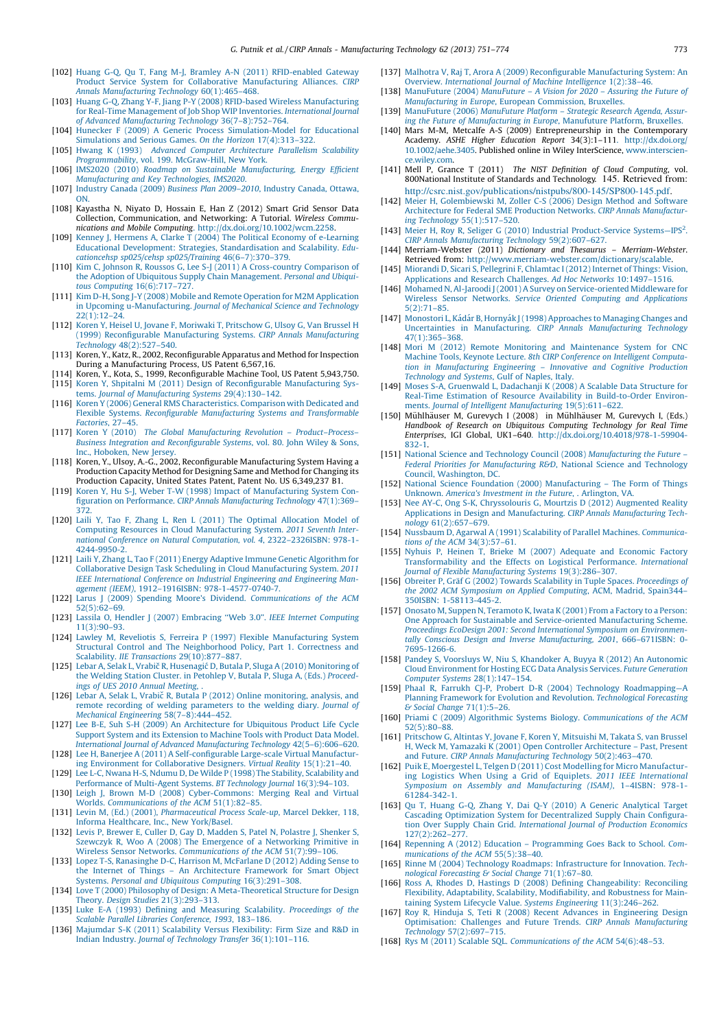- <span id="page-22-0"></span>[102] [Huang G-Q, Qu T, Fang M-J, Bramley A-N \(2011\) RFID-enabled Gateway](http://refhub.elsevier.com/S0007-8506(13)00192-3/sbref0510) [Product Service System for Collaborative Manufacturing Alliances.](http://refhub.elsevier.com/S0007-8506(13)00192-3/sbref0510) CIRP [Annals Manufacturing Technology](http://refhub.elsevier.com/S0007-8506(13)00192-3/sbref0510) 60(1):465–468.
- [103] [Huang G-Q, Zhang Y-F, Jiang P-Y \(2008\) RFID-based Wireless Manufacturing](http://refhub.elsevier.com/S0007-8506(13)00192-3/sbref0515) [for Real-Time Management of Job Shop WIP Inventories.](http://refhub.elsevier.com/S0007-8506(13)00192-3/sbref0515) International Journal [of Advanced Manufacturing Technology](http://refhub.elsevier.com/S0007-8506(13)00192-3/sbref0515) 36(7–8):752–764.
- [104] [Hunecker F \(2009\) A Generic Process Simulation-Model for Educational](http://refhub.elsevier.com/S0007-8506(13)00192-3/sbref0520) [Simulations and Serious Games.](http://refhub.elsevier.com/S0007-8506(13)00192-3/sbref0520) On the Horizon 17(4):313–322.
- [105] Hwang K (1993) [Advanced Computer Architecture Parallelism Scalability](http://refhub.elsevier.com/S0007-8506(13)00192-3/sbref0525) Programmability[, vol. 199. McGraw-Hill, New York](http://refhub.elsevier.com/S0007-8506(13)00192-3/sbref0525). [106] IMS2020 (2010) [Roadmap on Sustainable Manufacturing, Energy Efficient](http://refhub.elsevier.com/S0007-8506(13)00192-3/sbref0530)
- [Manufacturing and Key Technologies, IMS2020](http://refhub.elsevier.com/S0007-8506(13)00192-3/sbref0530).
- [107] Industry Canada (2009) Business Plan 2009–2010[, Industry Canada, Ottawa,](http://refhub.elsevier.com/S0007-8506(13)00192-3/sbref0535) **[ON.](http://refhub.elsevier.com/S0007-8506(13)00192-3/sbref0535)**
- [108] Kayastha N, Niyato D, Hossain E, Han Z (2012) Smart Grid Sensor Data Collection, Communication, and Networking: A Tutorial. Wireless Communications and Mobile Computing[. http://dx.doi.org/10.1002/wcm.2258](http://dx.doi.org/10.1002/wcm.2258).
- [109] [Kenney J, Hermens A, Clarke T \(2004\) The Political Economy of e-Learning](http://refhub.elsevier.com/S0007-8506(13)00192-3/sbref0545) [Educational Development: Strategies, Standardisation and Scalability.](http://refhub.elsevier.com/S0007-8506(13)00192-3/sbref0545) Edu[cationcehsp sp025/cehsp sp025/Training](http://refhub.elsevier.com/S0007-8506(13)00192-3/sbref0545) 46(6–7):370–379.
- [110] [Kim C, Johnson R, Roussos G, Lee S-J \(2011\) A Cross-country Comparison of](http://refhub.elsevier.com/S0007-8506(13)00192-3/sbref0550) [the Adoption of Ubiquitous Supply Chain Management.](http://refhub.elsevier.com/S0007-8506(13)00192-3/sbref0550) Personal and Ubiquitous Computing [16\(6\):717–727.](http://refhub.elsevier.com/S0007-8506(13)00192-3/sbref0550)
- [111] [Kim D-H, Song J-Y \(2008\) Mobile and Remote Operation for M2M Application](http://refhub.elsevier.com/S0007-8506(13)00192-3/sbref0555) in Upcoming u-Manufacturing. [Journal of Mechanical Science and Technology](http://refhub.elsevier.com/S0007-8506(13)00192-3/sbref0555)  $22(1):12-24.$
- [112] [Koren Y, Heisel U, Jovane F, Moriwaki T, Pritschow G, Ulsoy G, Van Brussel H](http://refhub.elsevier.com/S0007-8506(13)00192-3/sbref0560) [\(1999\) Reconfigurable Manufacturing Systems.](http://refhub.elsevier.com/S0007-8506(13)00192-3/sbref0560) CIRP Annals Manufacturing Technology [48\(2\):527–540.](http://refhub.elsevier.com/S0007-8506(13)00192-3/sbref0560)
- [113] Koren, Y., Katz, R., 2002, Reconfigurable Apparatus and Method for Inspection During a Manufacturing Process, US Patent 6,567,16.
- [114] Koren, Y., Kota, S., 1999, Reconfigurable Machine Tool, US Patent 5,943,750. [115] [Koren Y, Shpitalni M \(2011\) Design of Reconfigurable Manufacturing Sys-](http://refhub.elsevier.com/S0007-8506(13)00192-3/sbref0575)
- tems. [Journal of Manufacturing Systems](http://refhub.elsevier.com/S0007-8506(13)00192-3/sbref0575) 29(4):130–142. [116] [Koren Y \(2006\) General RMS Characteristics. Comparison with Dedicated and](http://refhub.elsevier.com/S0007-8506(13)00192-3/sbref0580)
- Flexible Systems. [Reconfigurable Manufacturing Systems and Transformable](http://refhub.elsevier.com/S0007-8506(13)00192-3/sbref0580) [Factories](http://refhub.elsevier.com/S0007-8506(13)00192-3/sbref0580), 27–45. [117] Koren Y (2010) The Global Manufacturing Revolution - Product-Process-
- [Business Integration and Reconfigurable Systems](http://refhub.elsevier.com/S0007-8506(13)00192-3/sbref0585), vol. 80. John Wiley & Sons, [Inc., Hoboken, New Jersey](http://refhub.elsevier.com/S0007-8506(13)00192-3/sbref0585)
- [118] Koren, Y., Ulsoy, A.-G., 2002, Reconfigurable Manufacturing System Having a Production Capacity Method for Designing Same and Method for Changing its Production Capacity, United States Patent, Patent No. US 6,349,237 B1. [119] [Koren Y, Hu S-J, Weber T-W \(1998\) Impact of Manufacturing System Con-](http://refhub.elsevier.com/S0007-8506(13)00192-3/sbref0595)
- figuration on Performance. [CIRP Annals Manufacturing Technology](http://refhub.elsevier.com/S0007-8506(13)00192-3/sbref0595) 47(1):369– [372.](http://refhub.elsevier.com/S0007-8506(13)00192-3/sbref0595)
- [120] [Laili Y, Tao F, Zhang L, Ren L \(2011\) The Optimal Allocation Model of](http://refhub.elsevier.com/S0007-8506(13)00192-3/sbref0600) [Computing Resources in Cloud Manufacturing System.](http://refhub.elsevier.com/S0007-8506(13)00192-3/sbref0600) 2011 Seventh Inter[national Conference on Natural Computation, vol. 4](http://refhub.elsevier.com/S0007-8506(13)00192-3/sbref0600), 2322–2326ISBN: 978-1- [4244-9950-2.](http://refhub.elsevier.com/S0007-8506(13)00192-3/sbref0600)
- [121] [Laili Y, Zhang L, Tao F \(2011\) Energy Adaptive Immune Genetic Algorithm for](http://refhub.elsevier.com/S0007-8506(13)00192-3/sbref0605) [Collaborative Design Task Scheduling in Cloud Manufacturing System.](http://refhub.elsevier.com/S0007-8506(13)00192-3/sbref0605) 2011 [IEEE International Conference on Industrial Engineering and Engineering Man](http://refhub.elsevier.com/S0007-8506(13)00192-3/sbref0605)agement (IEEM), [1912–1916ISBN: 978-1-4577-0740-7.](http://refhub.elsevier.com/S0007-8506(13)00192-3/sbref0605)
- [122] [Larus J \(2009\) Spending Moore's Dividend.](http://refhub.elsevier.com/S0007-8506(13)00192-3/sbref0610) Communications of the ACM [52\(5\):62–69.](http://refhub.elsevier.com/S0007-8506(13)00192-3/sbref0610)
- [123] Lassila O, Hendler J (2007) Embracing "Web 3.0". IEEE Internet Computing [11\(3\):90–93.](http://refhub.elsevier.com/S0007-8506(13)00192-3/sbref0615)
- [124] [Lawley M, Reveliotis S, Ferreira P \(1997\) Flexible Manufacturing System](http://refhub.elsevier.com/S0007-8506(13)00192-3/sbref0620) [Structural Control and The Neighborhood Policy, Part 1. Correctness and](http://refhub.elsevier.com/S0007-8506(13)00192-3/sbref0620) Scalability. IIE Transactions [29\(10\):877–887.](http://refhub.elsevier.com/S0007-8506(13)00192-3/sbref0620)
- [125] Lebar A, Selak L, Vrabicˇ R, Husenagic´ [D, Butala P, Sluga A \(2010\) Monitoring of](http://refhub.elsevier.com/S0007-8506(13)00192-3/sbref0625) [the Welding Station Cluster. in Petohlep V, Butala P, Sluga A, \(Eds.\)](http://refhub.elsevier.com/S0007-8506(13)00192-3/sbref0625) Proceed[ings of UES 2010 Annual Meeting](http://refhub.elsevier.com/S0007-8506(13)00192-3/sbref0625), .
- [126] Lebar A, Selak L, Vrabič [R, Butala P \(2012\) Online monitoring, analysis, and](http://refhub.elsevier.com/S0007-8506(13)00192-3/sbref0630) [remote recording of welding parameters to the welding diary.](http://refhub.elsevier.com/S0007-8506(13)00192-3/sbref0630) Journal of [Mechanical Engineering](http://refhub.elsevier.com/S0007-8506(13)00192-3/sbref0630) 58(7–8):444–452. [127] [Lee B-E, Suh S-H \(2009\) An Architecture for Ubiquitous Product Life Cycle](http://refhub.elsevier.com/S0007-8506(13)00192-3/sbref0635)
- [Support System and its Extension to Machine Tools with Product Data Model.](http://refhub.elsevier.com/S0007-8506(13)00192-3/sbref0635) [International Journal of Advanced Manufacturing Technology](http://refhub.elsevier.com/S0007-8506(13)00192-3/sbref0635) 42(5–6):606–620. [128] [Lee H, Banerjee A \(2011\) A Self-configurable Large-scale Virtual Manufactur-](http://refhub.elsevier.com/S0007-8506(13)00192-3/sbref0640)
- [ing Environment for Collaborative Designers.](http://refhub.elsevier.com/S0007-8506(13)00192-3/sbref0640) Virtual Reality 15(1):21–40. [129] [Lee L-C, Nwana H-S, Ndumu D, De Wilde P \(1998\) The Stability, Scalability and](http://refhub.elsevier.com/S0007-8506(13)00192-3/sbref0645)
- [Performance of Multi-Agent Systems.](http://refhub.elsevier.com/S0007-8506(13)00192-3/sbref0645) BT Technology Journal 16(3):94–103.
- [130] [Leigh J, Brown M-D \(2008\) Cyber-Commons: Merging Real and Virtual](http://refhub.elsevier.com/S0007-8506(13)00192-3/sbref0650) Worlds. [Communications of the ACM](http://refhub.elsevier.com/S0007-8506(13)00192-3/sbref0650) 51(1):82–85. [131] Levin M, (Ed.) (2001), [Pharmaceutical Process Scale-up](http://refhub.elsevier.com/S0007-8506(13)00192-3/sbref0655), Marcel Dekker, 118,
- [Informa Healthcare, Inc., New York/Basel.](http://refhub.elsevier.com/S0007-8506(13)00192-3/sbref0655) [132] [Levis P, Brewer E, Culler D, Gay D, Madden S, Patel N, Polastre J, Shenker S,](http://refhub.elsevier.com/S0007-8506(13)00192-3/sbref0660)
- [Szewczyk R, Woo A \(2008\) The Emergence of a Networking Primitive in](http://refhub.elsevier.com/S0007-8506(13)00192-3/sbref0660) Wireless Sensor Networks. [Communications of the ACM](http://refhub.elsevier.com/S0007-8506(13)00192-3/sbref0660) 51(7):99–106. [133] [Lopez T-S, Ranasinghe D-C, Harrison M, McFarlane D \(2012\) Adding Sense to](http://refhub.elsevier.com/S0007-8506(13)00192-3/sbref0665)
- [the Internet of Things An Architecture Framework for Smart Object](http://refhub.elsevier.com/S0007-8506(13)00192-3/sbref0665) Systems. [Personal and Ubiquitous Computing](http://refhub.elsevier.com/S0007-8506(13)00192-3/sbref0665) 16(3):291–308.
- [134] [Love T \(2000\) Philosophy of Design: A Meta-Theoretical Structure for Design](http://refhub.elsevier.com/S0007-8506(13)00192-3/sbref0670) Theory. Design Studies [21\(3\):293–313.](http://refhub.elsevier.com/S0007-8506(13)00192-3/sbref0670) [135] [Luke E-A \(1993\) Defining and Measuring Scalability.](http://refhub.elsevier.com/S0007-8506(13)00192-3/sbref0675) Proceedings of the
- [Scalable Parallel Libraries Conference, 1993](http://refhub.elsevier.com/S0007-8506(13)00192-3/sbref0675), 183–186.
- [136] [Majumdar S-K \(2011\) Scalability Versus Flexibility: Firm Size and R&D in](http://refhub.elsevier.com/S0007-8506(13)00192-3/sbref0680) Indian Industry. [Journal of Technology Transfer](http://refhub.elsevier.com/S0007-8506(13)00192-3/sbref0680) 36(1):101–116.
- [137] [Malhotra V, Raj T, Arora A \(2009\) Reconfigurable Manufacturing System: An](http://refhub.elsevier.com/S0007-8506(13)00192-3/sbref0685) Overview. [International Journal of Machine Intelligence](http://refhub.elsevier.com/S0007-8506(13)00192-3/sbref0685) 1(2):38–46.
- [138] ManuFuture (2004) [ManuFuture A Vision for 2020 Assuring the Future of](http://refhub.elsevier.com/S0007-8506(13)00192-3/sbref0690) Manufacturing in Europe[, European Commission, Bruxelles.](http://refhub.elsevier.com/S0007-8506(13)00192-3/sbref0690) [139] ManuFuture (2006) [ManuFuture Platform – Strategic Research Agenda, Assur-](http://refhub.elsevier.com/S0007-8506(13)00192-3/sbref0695)
- [ing the Future of Manufacturing in Europe](http://refhub.elsevier.com/S0007-8506(13)00192-3/sbref0695), Manufuture Platform, Bruxelles. [140] Mars M-M, Metcalfe A-S (2009) Entrepreneurship in the Contemporary
- Academy. ASHE Higher Education Report 34(3):1–11[1. http://dx.doi.org/](http://dx.doi.org/10.1002/aehe.3405) [10.1002/aehe.3405](http://dx.doi.org/10.1002/aehe.3405). Published online in Wiley InterScience, [www.interscien](http://www.interscience.wiley.com/)[ce.wiley.com](http://www.interscience.wiley.com/).
- [141] Mell P, Grance T (2011) The NIST Definition of Cloud Computing, vol. 800National Institute of Standards and Technology. 145. Retrieved from: [http://csrc.nist.gov/publications/nistpubs/800-145/SP800-145.pdf.](http://csrc.nist.gov/publications/nistpubs/800-145/SP800-145.pdf)
- [142] [Meier H, Golembiewski M, Zoller C-S \(2006\) Design Method and Software](http://refhub.elsevier.com/S0007-8506(13)00192-3/sbref0710) [Architecture for Federal SME Production Networks.](http://refhub.elsevier.com/S0007-8506(13)00192-3/sbref0710) CIRP Annals Manufacturing Technology [55\(1\):517–520.](http://refhub.elsevier.com/S0007-8506(13)00192-3/sbref0710)
- [143] [Meier](http://refhub.elsevier.com/S0007-8506(13)00192-3/sbref0715) [H,](http://refhub.elsevier.com/S0007-8506(13)00192-3/sbref0715) [Roy](http://refhub.elsevier.com/S0007-8506(13)00192-3/sbref0715) [R,](http://refhub.elsevier.com/S0007-8506(13)00192-3/sbref0715) [Seliger](http://refhub.elsevier.com/S0007-8506(13)00192-3/sbref0715) [G](http://refhub.elsevier.com/S0007-8506(13)00192-3/sbref0715) [\(2010\)](http://refhub.elsevier.com/S0007-8506(13)00192-3/sbref0715) [Industrial](http://refhub.elsevier.com/S0007-8506(13)00192-3/sbref0715) [Product-Service](http://refhub.elsevier.com/S0007-8506(13)00192-3/sbref0715) Systems-IPS<sup>2</sup>[.](http://refhub.elsevier.com/S0007-8506(13)00192-3/sbref0715) [CIRP Annals Manufacturing Technology](http://refhub.elsevier.com/S0007-8506(13)00192-3/sbref0715) 59(2):607–627.
- [144] Merriam-Webster (2011) Dictionary and Thesaurus Merriam-Webster. Retrieved from: <http://www.merriam-webster.com/dictionary/scalable>.
- [145] [Miorandi D, Sicari S, Pellegrini F, Chlamtac I \(2012\) Internet of Things: Vision,](http://refhub.elsevier.com/S0007-8506(13)00192-3/sbref0725) [Applications and Research Challenges.](http://refhub.elsevier.com/S0007-8506(13)00192-3/sbref0725) Ad Hoc Networks 10:1497–1516.
- [146] [Mohamed N, Al-Jaroodi J \(2001\) A Survey on Service-oriented Middleware for](http://refhub.elsevier.com/S0007-8506(13)00192-3/sbref0730) Wireless Sensor Networks. [Service Oriented Computing and Applications](http://refhub.elsevier.com/S0007-8506(13)00192-3/sbref0730) [5\(2\):71–85.](http://refhub.elsevier.com/S0007-8506(13)00192-3/sbref0730)
- [147] Monostori L, Kádár B, Hornyák J (1998) Approaches to Managing Changes and Uncertainties in Manufacturing. [CIRP Annals Manufacturing Technology](http://refhub.elsevier.com/S0007-8506(13)00192-3/sbref0735) [47\(1\):365–368.](http://refhub.elsevier.com/S0007-8506(13)00192-3/sbref0735) [148] [Mori M \(2012\) Remote Monitoring and Maintenance System for CNC](http://refhub.elsevier.com/S0007-8506(13)00192-3/sbref0740)
- Machine Tools, Keynote Lecture. [8th CIRP Conference on Intelligent Computa](http://refhub.elsevier.com/S0007-8506(13)00192-3/sbref0740)[tion in Manufacturing Engineering – Innovative and Cognitive Production](http://refhub.elsevier.com/S0007-8506(13)00192-3/sbref0740) [Technology and Systems](http://refhub.elsevier.com/S0007-8506(13)00192-3/sbref0740), Gulf of Naples, Italy.
- [149] [Moses S-A, Gruenwald L, Dadachanji K \(2008\) A Scalable Data Structure for](http://refhub.elsevier.com/S0007-8506(13)00192-3/sbref0745) [Real-Time Estimation of Resource Availability in Build-to-Order Environ](http://refhub.elsevier.com/S0007-8506(13)00192-3/sbref0745)ments. [Journal of Intelligent Manufacturing](http://refhub.elsevier.com/S0007-8506(13)00192-3/sbref0745) 19(5):611–622.
- [150] Mühlhäuser M, Gurevych I (2008) in Mühlhäuser M, Gurevych I, (Eds.) Handbook of Research on Ubiquitous Computing Technology for Real Time Enterprises, IGI Global, UK1–640[. http://dx.doi.org/10.4018/978-1-59904-](http://dx.doi.org/10.4018/978-1-59904-832-1) [832-1](http://dx.doi.org/10.4018/978-1-59904-832-1).
- [151] [National Science and Technology Council \(2008\)](http://refhub.elsevier.com/S0007-8506(13)00192-3/sbref0755) Manufacturing the Future [Federal Priorities for Manufacturing R&D](http://refhub.elsevier.com/S0007-8506(13)00192-3/sbref0755), National Science and Technology [Council, Washington, DC.](http://refhub.elsevier.com/S0007-8506(13)00192-3/sbref0755)
- [152] [National Science Foundation \(2000\) Manufacturing The Form of Things](http://refhub.elsevier.com/S0007-8506(13)00192-3/sbref0760) Unknown. [America's Investment in the Future](http://refhub.elsevier.com/S0007-8506(13)00192-3/sbref0760), . Arlington, VA.
- [153] [Nee AY-C, Ong S-K, Chryssolouris G, Mourtzis D \(2012\) Augmented Reality](http://refhub.elsevier.com/S0007-8506(13)00192-3/sbref0765) [Applications in Design and Manufacturing.](http://refhub.elsevier.com/S0007-8506(13)00192-3/sbref0765) CIRP Annals Manufacturing Technology [61\(2\):657–679.](http://refhub.elsevier.com/S0007-8506(13)00192-3/sbref0765)
- [154] [Nussbaum D, Agarwal A \(1991\) Scalability of Parallel Machines.](http://refhub.elsevier.com/S0007-8506(13)00192-3/sbref0770) Communica[tions of the ACM](http://refhub.elsevier.com/S0007-8506(13)00192-3/sbref0770) 34(3):57–61.
- [155] [Nyhuis P, Heinen T, Brieke M \(2007\) Adequate and Economic Factory](http://refhub.elsevier.com/S0007-8506(13)00192-3/sbref0775) [Transformability and the Effects on Logistical Performance.](http://refhub.elsevier.com/S0007-8506(13)00192-3/sbref0775) International
- [Journal of Flexible Manufacturing Systems](http://refhub.elsevier.com/S0007-8506(13)00192-3/sbref0775) 19(3):286–307.<br>[156] Obreiter P, Gräf G (2002) Towards Scalability in Tuple Spaces. Proceedings of [the 2002 ACM Symposium on Applied Computing](http://refhub.elsevier.com/S0007-8506(13)00192-3/sbref0780), ACM, Madrid, Spain344– [350ISBN: 1-58113-445-2.](http://refhub.elsevier.com/S0007-8506(13)00192-3/sbref0780)
- [157] [Onosato M, Suppen N, Teramoto K, Iwata K \(2001\) From a Factory to a Person:](http://refhub.elsevier.com/S0007-8506(13)00192-3/sbref0785) [One Approach for Sustainable and Service-oriented Manufacturing Scheme.](http://refhub.elsevier.com/S0007-8506(13)00192-3/sbref0785) [Proceedings EcoDesign 2001: Second International Symposium on Environmen](http://refhub.elsevier.com/S0007-8506(13)00192-3/sbref0785)[tally Conscious Design and Inverse Manufacturing, 2001](http://refhub.elsevier.com/S0007-8506(13)00192-3/sbref0785), 666–671ISBN: 0- [7695-1266-6.](http://refhub.elsevier.com/S0007-8506(13)00192-3/sbref0785)
- [158] [Pandey S, Voorsluys W, Niu S, Khandoker A, Buyya R \(2012\) An Autonomic](http://refhub.elsevier.com/S0007-8506(13)00192-3/sbref0790) Cloud [Environment for Hosting ECG Data Analysis Services.](http://refhub.elsevier.com/S0007-8506(13)00192-3/sbref0790) Future Generation [Computer Systems](http://refhub.elsevier.com/S0007-8506(13)00192-3/sbref0790) 28(1):147–154.
- [159] [Phaal R, Farrukh CJ-P, Probert D-R \(2004\) Technology Roadmapping—A](http://refhub.elsevier.com/S0007-8506(13)00192-3/sbref0795) [Planning Framework for Evolution and Revolution.](http://refhub.elsevier.com/S0007-8506(13)00192-3/sbref0795) Technological Forecasting [& Social Change](http://refhub.elsevier.com/S0007-8506(13)00192-3/sbref0795) 71(1):5–26.
- [160] [Priami C \(2009\) Algorithmic Systems Biology.](http://refhub.elsevier.com/S0007-8506(13)00192-3/sbref0800) Communications of the ACM [52\(5\):80–88.](http://refhub.elsevier.com/S0007-8506(13)00192-3/sbref0800)
- [161] [Pritschow G, Altintas Y, Jovane F, Koren Y, Mitsuishi M, Takata S, van Brussel](http://refhub.elsevier.com/S0007-8506(13)00192-3/sbref0805) [H, Weck M, Yamazaki K \(2001\) Open Controller Architecture – Past, Present](http://refhub.elsevier.com/S0007-8506(13)00192-3/sbref0805) and Future. [CIRP Annals Manufacturing Technology](http://refhub.elsevier.com/S0007-8506(13)00192-3/sbref0805) 50(2):463–470.
- [162] [Puik E, Moergestel L, Telgen D \(2011\) Cost Modelling for Micro Manufactur](http://refhub.elsevier.com/S0007-8506(13)00192-3/sbref0810)[ing Logistics When Using a Grid of Equiplets.](http://refhub.elsevier.com/S0007-8506(13)00192-3/sbref0810) 2011 IEEE International [Symposium on Assembly and Manufacturing \(ISAM\)](http://refhub.elsevier.com/S0007-8506(13)00192-3/sbref0810), 1–4ISBN: 978-1- [61284-342-1.](http://refhub.elsevier.com/S0007-8506(13)00192-3/sbref0810)
- [163] [Qu T, Huang G-Q, Zhang Y, Dai Q-Y \(2010\) A Generic Analytical Target](http://refhub.elsevier.com/S0007-8506(13)00192-3/sbref0815) [Cascading Optimization System for Decentralized Supply Chain Configura](http://refhub.elsevier.com/S0007-8506(13)00192-3/sbref0815)tion Over Supply Chain Grid. [International Journal of Production Economics](http://refhub.elsevier.com/S0007-8506(13)00192-3/sbref0815) [127\(2\):262–277.](http://refhub.elsevier.com/S0007-8506(13)00192-3/sbref0815)
- [164] [Repenning A \(2012\) Education Programming Goes Back to School.](http://refhub.elsevier.com/S0007-8506(13)00192-3/sbref0820) Com[munications of the ACM](http://refhub.elsevier.com/S0007-8506(13)00192-3/sbref0820) 55(5):38-40.
- [165] [Rinne M \(2004\) Technology Roadmaps: Infrastructure for Innovation.](http://refhub.elsevier.com/S0007-8506(13)00192-3/sbref0825) Tech[nological Forecasting & Social Change](http://refhub.elsevier.com/S0007-8506(13)00192-3/sbref0825) 71(1):67-80.
- [166] [Ross A, Rhodes D, Hastings D \(2008\) Defining Changeability: Reconciling](http://refhub.elsevier.com/S0007-8506(13)00192-3/sbref0830) [Flexibility, Adaptability, Scalability, Modifiability, and Robustness for Main-](http://refhub.elsevier.com/S0007-8506(13)00192-3/sbref0830)[taining System Lifecycle Value.](http://refhub.elsevier.com/S0007-8506(13)00192-3/sbref0830) Systems Engineering 11(3):246–262.
- [167] [Roy R, Hinduja S, Teti R \(2008\) Recent Advances in Engineering Design](http://refhub.elsevier.com/S0007-8506(13)00192-3/sbref0835) [Optimisation: Challenges and Future Trends.](http://refhub.elsevier.com/S0007-8506(13)00192-3/sbref0835) CIRP Annals Manufacturing Technology [57\(2\):697–715.](http://refhub.elsevier.com/S0007-8506(13)00192-3/sbref0835)
- [168] [Rys M \(2011\) Scalable SQL.](http://refhub.elsevier.com/S0007-8506(13)00192-3/sbref0840) Communications of the ACM 54(6):48-53.